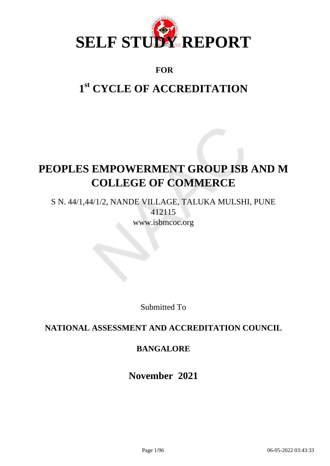

## **FOR**

# **1 st CYCLE OF ACCREDITATION**

# **PEOPLES EMPOWERMENT GROUP ISB AND M COLLEGE OF COMMERCE**

S N. 44/1,44/1/2, NANDE VILLAGE, TALUKA MULSHI, PUNE 412115 www.isbmcoc.org

Submitted To

## **NATIONAL ASSESSMENT AND ACCREDITATION COUNCIL**

## **BANGALORE**

**November 2021**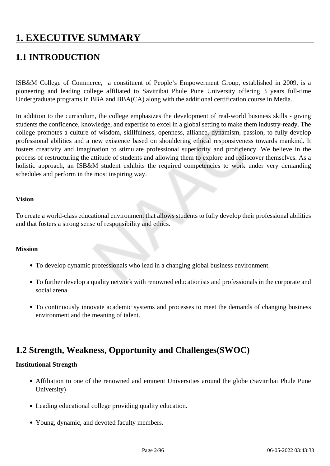# **1. EXECUTIVE SUMMARY**

# **1.1 INTRODUCTION**

ISB&M College of Commerce, a constituent of People's Empowerment Group, established in 2009, is a pioneering and leading college affiliated to Savitribai Phule Pune University offering 3 years full-time Undergraduate programs in BBA and BBA(CA) along with the additional certification course in Media.

In addition to the curriculum, the college emphasizes the development of real-world business skills - giving students the confidence, knowledge, and expertise to excel in a global setting to make them industry-ready. The college promotes a culture of wisdom, skillfulness, openness, alliance, dynamism, passion, to fully develop professional abilities and a new existence based on shouldering ethical responsiveness towards mankind. It fosters creativity and imagination to stimulate professional superiority and proficiency. We believe in the process of restructuring the attitude of students and allowing them to explore and rediscover themselves. As a holistic approach, an ISB&M student exhibits the required competencies to work under very demanding schedules and perform in the most inspiring way.

#### **Vision**

To create a world-class educational environment that allows students to fully develop their professional abilities and that fosters a strong sense of responsibility and ethics.

#### **Mission**

- To develop dynamic professionals who lead in a changing global business environment.
- To further develop a quality network with renowned educationists and professionals in the corporate and social arena.
- To continuously innovate academic systems and processes to meet the demands of changing business environment and the meaning of talent.

# **1.2 Strength, Weakness, Opportunity and Challenges(SWOC)**

#### **Institutional Strength**

- Affiliation to one of the renowned and eminent Universities around the globe (Savitribai Phule Pune University)
- Leading educational college providing quality education.
- Young, dynamic, and devoted faculty members.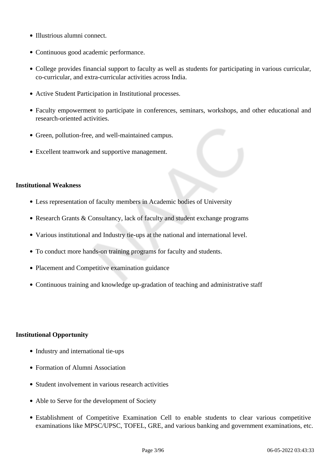- Illustrious alumni connect.
- Continuous good academic performance.
- College provides financial support to faculty as well as students for participating in various curricular, co-curricular, and extra-curricular activities across India.
- Active Student Participation in Institutional processes.
- Faculty empowerment to participate in conferences, seminars, workshops, and other educational and research-oriented activities.
- Green, pollution-free, and well-maintained campus.
- Excellent teamwork and supportive management.

#### **Institutional Weakness**

- Less representation of faculty members in Academic bodies of University
- Research Grants & Consultancy, lack of faculty and student exchange programs
- Various institutional and Industry tie-ups at the national and international level.
- To conduct more hands-on training programs for faculty and students.
- Placement and Competitive examination guidance
- Continuous training and knowledge up-gradation of teaching and administrative staff

#### **Institutional Opportunity**

- Industry and international tie-ups
- Formation of Alumni Association
- Student involvement in various research activities
- Able to Serve for the development of Society
- Establishment of Competitive Examination Cell to enable students to clear various competitive examinations like MPSC/UPSC, TOFEL, GRE, and various banking and government examinations, etc.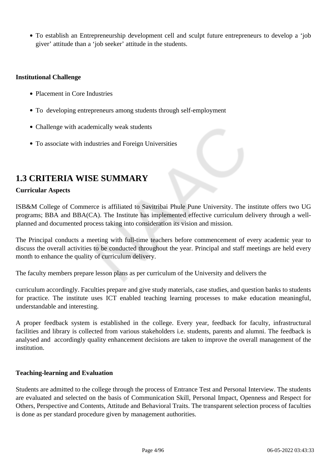To establish an Entrepreneurship development cell and sculpt future entrepreneurs to develop a 'job giver' attitude than a 'job seeker' attitude in the students.

#### **Institutional Challenge**

- Placement in Core Industries
- To developing entrepreneurs among students through self-employment
- Challenge with academically weak students
- To associate with industries and Foreign Universities

## **1.3 CRITERIA WISE SUMMARY**

### **Curricular Aspects**

ISB&M College of Commerce is affiliated to Savitribai Phule Pune University. The institute offers two UG programs; BBA and BBA(CA). The Institute has implemented effective curriculum delivery through a wellplanned and documented process taking into consideration its vision and mission.

The Principal conducts a meeting with full-time teachers before commencement of every academic year to discuss the overall activities to be conducted throughout the year. Principal and staff meetings are held every month to enhance the quality of curriculum delivery.

The faculty members prepare lesson plans as per curriculum of the University and delivers the

curriculum accordingly. Faculties prepare and give study materials, case studies, and question banks to students for practice. The institute uses ICT enabled teaching learning processes to make education meaningful, understandable and interesting.

A proper feedback system is established in the college. Every year, feedback for faculty, infrastructural facilities and library is collected from various stakeholders i.e. students, parents and alumni. The feedback is analysed and accordingly quality enhancement decisions are taken to improve the overall management of the institution.

#### **Teaching-learning and Evaluation**

Students are admitted to the college through the process of Entrance Test and Personal Interview. The students are evaluated and selected on the basis of Communication Skill, Personal Impact, Openness and Respect for Others, Perspective and Contents, Attitude and Behavioral Traits. The transparent selection process of faculties is done as per standard procedure given by management authorities.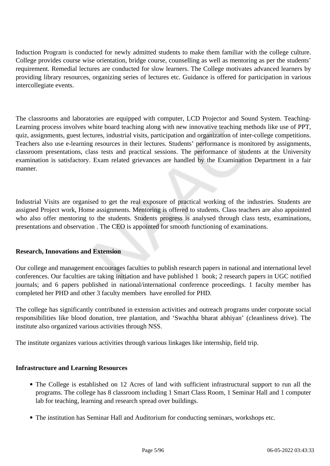Induction Program is conducted for newly admitted students to make them familiar with the college culture. College provides course wise orientation, bridge course, counselling as well as mentoring as per the students' requirement. Remedial lectures are conducted for slow learners. The College motivates advanced learners by providing library resources, organizing series of lectures etc. Guidance is offered for participation in various intercollegiate events.

The classrooms and laboratories are equipped with computer, LCD Projector and Sound System. Teaching-Learning process involves white board teaching along with new innovative teaching methods like use of PPT, quiz, assignments, guest lectures, industrial visits, participation and organization of inter-college competitions. Teachers also use e-learning resources in their lectures. Students' performance is monitored by assignments, classroom presentations, class tests and practical sessions. The performance of students at the University examination is satisfactory. Exam related grievances are handled by the Examination Department in a fair manner.

Industrial Visits are organised to get the real exposure of practical working of the industries. Students are assigned Project work, Home assignments. Mentoring is offered to students. Class teachers are also appointed who also offer mentoring to the students. Students progress is analysed through class tests, examinations, presentations and observation . The CEO is appointed for smooth functioning of examinations.

### **Research, Innovations and Extension**

Our college and management encourages faculties to publish research papers in national and international level conferences. Our faculties are taking initiation and have published 1 book; 2 research papers in UGC notified journals; and 6 papers published in national/international conference proceedings. 1 faculty member has completed her PHD and other 3 faculty members have enrolled for PHD.

The college has significantly contributed in extension activities and outreach programs under corporate social responsibilities like blood donation, tree plantation, and 'Swachha bharat abhiyan' (cleanliness drive). The institute also organized various activities through NSS.

The institute organizes various activities through various linkages like internship, field trip.

#### **Infrastructure and Learning Resources**

- The College is established on 12 Acres of land with sufficient infrastructural support to run all the programs. The college has 8 classroom including 1 Smart Class Room, 1 Seminar Hall and 1 computer lab for teaching, learning and research spread over buildings.
- The institution has Seminar Hall and Auditorium for conducting seminars, workshops etc.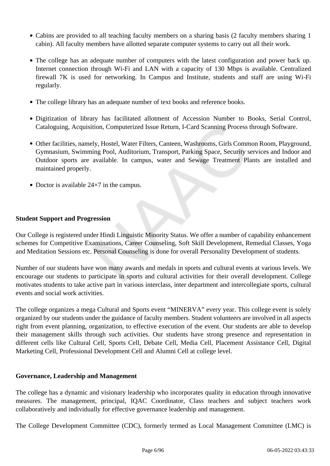- Cabins are provided to all teaching faculty members on a sharing basis (2 faculty members sharing 1 cabin). All faculty members have allotted separate computer systems to carry out all their work.
- The college has an adequate number of computers with the latest configuration and power back up. Internet connection through Wi-Fi and LAN with a capacity of 130 Mbps is available. Centralized firewall 7K is used for networking. In Campus and Institute, students and staff are using Wi-Fi regularly.
- The college library has an adequate number of text books and reference books.
- Digitization of library has facilitated allotment of Accession Number to Books, Serial Control, Cataloguing, Acquisition, Computerized Issue Return, I-Card Scanning Process through Software.
- Other facilities, namely, Hostel, Water Filters, Canteen, Washrooms, Girls Common Room, Playground, Gymnasium, Swimming Pool, Auditorium, Transport, Parking Space, Security services and Indoor and Outdoor sports are available. In campus, water and Sewage Treatment Plants are installed and maintained properly.
- Doctor is available  $24\times7$  in the campus.

### **Student Support and Progression**

Our College is registered under Hindi Linguistic Minority Status. We offer a number of capability enhancement schemes for Competitive Examinations, Career Counseling, Soft Skill Development, Remedial Classes, Yoga and Meditation Sessions etc. Personal Counseling is done for overall Personality Development of students.

Number of our students have won many awards and medals in sports and cultural events at various levels. We encourage our students to participate in sports and cultural activities for their overall development. College motivates students to take active part in various interclass, inter department and intercollegiate sports, cultural events and social work activities.

The college organizes a mega Cultural and Sports event "MINERVA" every year. This college event is solely organized by our students under the guidance of faculty members. Student volunteers are involved in all aspects right from event planning, organization, to effective execution of the event. Our students are able to develop their management skills through such activities. Our students have strong presence and representation in different cells like Cultural Cell, Sports Cell, Debate Cell, Media Cell, Placement Assistance Cell, Digital Marketing Cell, Professional Development Cell and Alumni Cell at college level.

### **Governance, Leadership and Management**

The college has a dynamic and visionary leadership who incorporates quality in education through innovative measures. The management, principal, IQAC Coordinator, Class teachers and subject teachers work collaboratively and individually for effective governance leadership and management.

The College Development Committee (CDC), formerly termed as Local Management Committee (LMC) is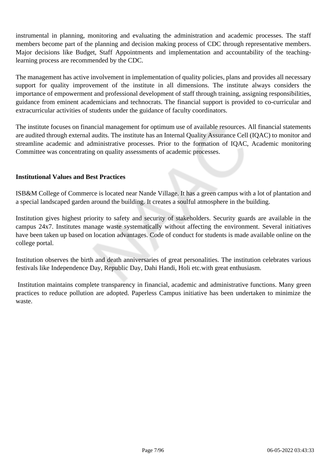instrumental in planning, monitoring and evaluating the administration and academic processes. The staff members become part of the planning and decision making process of CDC through representative members. Major decisions like Budget, Staff Appointments and implementation and accountability of the teachinglearning process are recommended by the CDC.

The management has active involvement in implementation of quality policies, plans and provides all necessary support for quality improvement of the institute in all dimensions. The institute always considers the importance of empowerment and professional development of staff through training, assigning responsibilities, guidance from eminent academicians and technocrats. The financial support is provided to co-curricular and extracurricular activities of students under the guidance of faculty coordinators.

The institute focuses on financial management for optimum use of available resources. All financial statements are audited through external audits. The institute has an Internal Quality Assurance Cell (IQAC) to monitor and streamline academic and administrative processes. Prior to the formation of IQAC, Academic monitoring Committee was concentrating on quality assessments of academic processes.

#### **Institutional Values and Best Practices**

ISB&M College of Commerce is located near Nande Village. It has a green campus with a lot of plantation and a special landscaped garden around the building. It creates a soulful atmosphere in the building.

Institution gives highest priority to safety and security of stakeholders. Security guards are available in the campus 24x7. Institutes manage waste systematically without affecting the environment. Several initiatives have been taken up based on location advantages. Code of conduct for students is made available online on the college portal.

Institution observes the birth and death anniversaries of great personalities. The institution celebrates various festivals like Independence Day, Republic Day, Dahi Handi, Holi etc.with great enthusiasm.

 Institution maintains complete transparency in financial, academic and administrative functions. Many green practices to reduce pollution are adopted. Paperless Campus initiative has been undertaken to minimize the waste.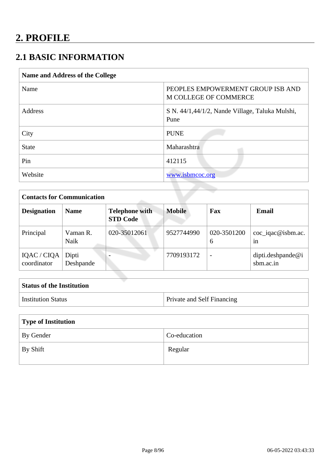# **2.1 BASIC INFORMATION**

| <b>Name and Address of the College</b> |                                                            |
|----------------------------------------|------------------------------------------------------------|
| Name                                   | PEOPLES EMPOWERMENT GROUP ISB AND<br>M COLLEGE OF COMMERCE |
| Address                                | S N. 44/1,44/1/2, Nande Village, Taluka Mulshi,<br>Pune    |
| City                                   | <b>PUNE</b>                                                |
| <b>State</b>                           | Maharashtra                                                |
| Pin                                    | 412115                                                     |
| Website                                | www.isbmcoc.org                                            |

| <b>Contacts for Communication</b> |                    |                                          |               |                  |                                |
|-----------------------------------|--------------------|------------------------------------------|---------------|------------------|--------------------------------|
| <b>Designation</b>                | <b>Name</b>        | <b>Telephone with</b><br><b>STD Code</b> | <b>Mobile</b> | Fax              | <b>Email</b>                   |
| Principal                         | Vaman R.<br>Naik   | 020-35012061                             | 9527744990    | 020-3501200<br>6 | coc_iqac@isbm.ac.<br>1n        |
| IQAC / CIQA<br>coordinator        | Dipti<br>Deshpande |                                          | 7709193172    |                  | dipti.deshpande@i<br>sbm.ac.in |

| <b>Status of the Institution</b> |                                   |
|----------------------------------|-----------------------------------|
| <b>Institution Status</b>        | <b>Private and Self Financing</b> |
|                                  |                                   |

| Type of Institution |              |  |
|---------------------|--------------|--|
| By Gender           | Co-education |  |
| By Shift            | Regular      |  |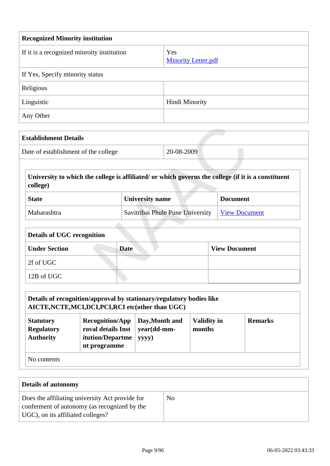| <b>Recognized Minority institution</b>     |                                   |  |
|--------------------------------------------|-----------------------------------|--|
| If it is a recognized minroity institution | Yes<br><b>Minority Letter.pdf</b> |  |
| If Yes, Specify minority status            |                                   |  |
| Religious                                  |                                   |  |
| Linguistic                                 | Hindi Minority                    |  |
| Any Other                                  |                                   |  |

| 20-08-2009<br>Date of establishment of the college |
|----------------------------------------------------|
|                                                    |
|                                                    |

| <b>State</b> | <b>University name</b>                           | <b>Document</b> |
|--------------|--------------------------------------------------|-----------------|
| Maharashtra  | Savitribai Phule Pune University   View Document |                 |

| Details of UGC recognition |             |                      |  |  |
|----------------------------|-------------|----------------------|--|--|
| <b>Under Section</b>       | <b>Date</b> | <b>View Document</b> |  |  |
| 2f of UGC                  |             |                      |  |  |
| 12B of UGC                 |             |                      |  |  |

| Details of recognition/approval by stationary/regulatory bodies like<br>AICTE, NCTE, MCI, DCI, PCI, RCI etc(other than UGC) |                                                                                  |                                        |                              |                |
|-----------------------------------------------------------------------------------------------------------------------------|----------------------------------------------------------------------------------|----------------------------------------|------------------------------|----------------|
| <b>Statutory</b><br><b>Regulatory</b><br><b>Authority</b>                                                                   | <b>Recognition/App</b><br>roval details Inst<br>itution/Departme<br>nt programme | Day, Month and<br>year(dd-mm-<br>yyyy) | <b>Validity in</b><br>months | <b>Remarks</b> |
| No contents                                                                                                                 |                                                                                  |                                        |                              |                |

| <b>Details of autonomy</b>                                                                                                           |    |
|--------------------------------------------------------------------------------------------------------------------------------------|----|
| Does the affiliating university Act provide for<br>conferment of autonomy (as recognized by the<br>UGC), on its affiliated colleges? | No |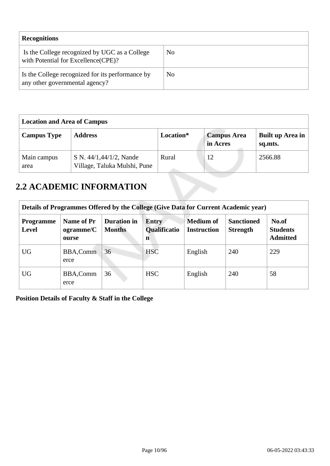| <b>Recognitions</b>                                                                  |                |
|--------------------------------------------------------------------------------------|----------------|
| Is the College recognized by UGC as a College<br>with Potential for Excellence(CPE)? | No             |
| Is the College recognized for its performance by<br>any other governmental agency?   | N <sub>0</sub> |

| <b>Location and Area of Campus</b> |                                                         |           |                                |                             |
|------------------------------------|---------------------------------------------------------|-----------|--------------------------------|-----------------------------|
| <b>Campus Type</b>                 | <b>Address</b>                                          | Location* | <b>Campus Area</b><br>in Acres | Built up Area in<br>sq.mts. |
| Main campus<br>area                | S N. 44/1,44/1/2, Nande<br>Village, Taluka Mulshi, Pune | Rural     | 12                             | 2566.88                     |

# **2.2 ACADEMIC INFORMATION**

| Details of Programmes Offered by the College (Give Data for Current Academic year) |                                  |                                     |                                          |                                        |                                      |                                             |  |  |  |  |
|------------------------------------------------------------------------------------|----------------------------------|-------------------------------------|------------------------------------------|----------------------------------------|--------------------------------------|---------------------------------------------|--|--|--|--|
| <b>Programme</b><br>Level                                                          | Name of Pr<br>ogramme/C<br>ourse | <b>Duration</b> in<br><b>Months</b> | <b>Entry</b><br><b>Qualificatio</b><br>n | <b>Medium of</b><br><b>Instruction</b> | <b>Sanctioned</b><br><b>Strength</b> | No.of<br><b>Students</b><br><b>Admitted</b> |  |  |  |  |
| <b>UG</b>                                                                          | <b>BBA,Comm</b><br>erce          | 36                                  | <b>HSC</b>                               | English                                | 240                                  | 229                                         |  |  |  |  |
| <b>UG</b>                                                                          | <b>BBA,Comm</b><br>erce          | 36                                  | <b>HSC</b>                               | English                                | 240                                  | 58                                          |  |  |  |  |

**Position Details of Faculty & Staff in the College**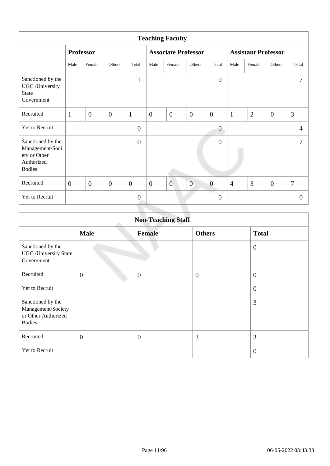| <b>Teaching Faculty</b>                                                             |                  |                |              |                |                |                            |                  |                  |                            |                |                |                |
|-------------------------------------------------------------------------------------|------------------|----------------|--------------|----------------|----------------|----------------------------|------------------|------------------|----------------------------|----------------|----------------|----------------|
|                                                                                     | <b>Professor</b> |                |              |                |                | <b>Associate Professor</b> |                  |                  | <b>Assistant Professor</b> |                |                |                |
|                                                                                     | Male             | Female         | Others       | Total          | Male           | Female                     | Others           | Total            | Male                       | Female         | Others         | Total          |
| Sanctioned by the<br>UGC /University<br><b>State</b><br>Government                  |                  |                |              | $\mathbf{1}$   |                |                            |                  | $\overline{0}$   |                            |                |                | 7              |
| Recruited                                                                           | $\mathbf{1}$     | $\mathbf{0}$   | $\mathbf{0}$ | $\mathbf{1}$   | $\overline{0}$ | $\overline{0}$             | $\mathbf{0}$     | $\overline{0}$   | $\mathbf{1}$               | $\overline{2}$ | $\overline{0}$ | 3              |
| Yet to Recruit                                                                      |                  |                |              | $\overline{0}$ |                |                            |                  | $\boldsymbol{0}$ |                            |                |                | $\overline{4}$ |
| Sanctioned by the<br>Management/Soci<br>ety or Other<br>Authorized<br><b>Bodies</b> |                  |                |              | $\overline{0}$ |                |                            |                  | $\overline{0}$   |                            |                |                | 7              |
| Recruited                                                                           | $\overline{0}$   | $\overline{0}$ | $\mathbf{0}$ | $\overline{0}$ | $\overline{0}$ | $\overline{0}$             | $\boldsymbol{0}$ | $\boldsymbol{0}$ | $\overline{4}$             | 3              | $\overline{0}$ | $\overline{7}$ |
| Yet to Recruit                                                                      |                  |                |              | $\theta$       |                |                            |                  | $\boldsymbol{0}$ |                            |                |                | $\overline{0}$ |

|                                                                                 | <b>Non-Teaching Staff</b> |                |                |                  |  |  |  |  |  |  |
|---------------------------------------------------------------------------------|---------------------------|----------------|----------------|------------------|--|--|--|--|--|--|
|                                                                                 | <b>Male</b>               | <b>Female</b>  | <b>Others</b>  | <b>Total</b>     |  |  |  |  |  |  |
| Sanctioned by the<br><b>UGC</b> / University State<br>Government                |                           |                |                | $\mathbf{0}$     |  |  |  |  |  |  |
| Recruited                                                                       | $\overline{0}$            | $\overline{0}$ | $\overline{0}$ | $\overline{0}$   |  |  |  |  |  |  |
| Yet to Recruit                                                                  |                           |                |                | $\boldsymbol{0}$ |  |  |  |  |  |  |
| Sanctioned by the<br>Management/Society<br>or Other Authorized<br><b>Bodies</b> |                           |                |                | 3                |  |  |  |  |  |  |
| Recruited                                                                       | $\overline{0}$            | $\overline{0}$ | 3              | 3                |  |  |  |  |  |  |
| Yet to Recruit                                                                  |                           |                |                | $\overline{0}$   |  |  |  |  |  |  |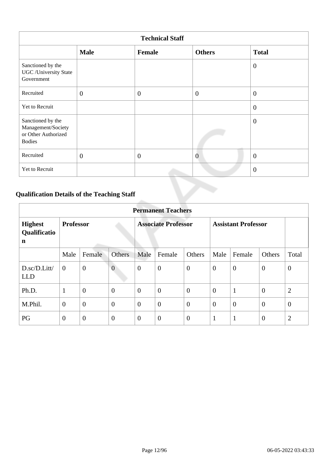| <b>Technical Staff</b>                                                          |                  |                |                |                |  |  |  |  |  |
|---------------------------------------------------------------------------------|------------------|----------------|----------------|----------------|--|--|--|--|--|
|                                                                                 | <b>Male</b>      | Female         | <b>Others</b>  | <b>Total</b>   |  |  |  |  |  |
| Sanctioned by the<br>UGC/University State<br>Government                         |                  |                |                | $\overline{0}$ |  |  |  |  |  |
| Recruited                                                                       | $\boldsymbol{0}$ | $\overline{0}$ | $\mathbf{0}$   | $\overline{0}$ |  |  |  |  |  |
| Yet to Recruit                                                                  |                  |                |                | $\overline{0}$ |  |  |  |  |  |
| Sanctioned by the<br>Management/Society<br>or Other Authorized<br><b>Bodies</b> |                  |                |                | $\overline{0}$ |  |  |  |  |  |
| Recruited                                                                       | $\overline{0}$   | $\overline{0}$ | $\overline{0}$ | $\overline{0}$ |  |  |  |  |  |
| Yet to Recruit                                                                  |                  |                |                | $\overline{0}$ |  |  |  |  |  |

# **Qualification Details of the Teaching Staff**

|                                                         | <b>Permanent Teachers</b> |                |                            |                  |                  |                            |                |                |                |                |  |  |
|---------------------------------------------------------|---------------------------|----------------|----------------------------|------------------|------------------|----------------------------|----------------|----------------|----------------|----------------|--|--|
| <b>Professor</b><br><b>Highest</b><br>Qualificatio<br>n |                           |                | <b>Associate Professor</b> |                  |                  | <b>Assistant Professor</b> |                |                |                |                |  |  |
|                                                         | Male                      | Female         | Others                     | Male             | Female           | Others                     | Male           | Female         | Others         | Total          |  |  |
| D.sc/D.Litt/<br><b>LLD</b>                              | $\mathbf{0}$              | $\overline{0}$ | $\overline{0}$             | $\boldsymbol{0}$ | $\boldsymbol{0}$ | $\theta$                   | $\overline{0}$ | $\theta$       | $\overline{0}$ | $\mathbf{0}$   |  |  |
| Ph.D.                                                   | $\mathbf{1}$              | $\mathbf{0}$   | $\overline{0}$             | $\overline{0}$   | $\overline{0}$   | $\overline{0}$             | $\overline{0}$ | $\mathbf{1}$   | $\mathbf{0}$   | $\overline{2}$ |  |  |
| M.Phil.                                                 | $\theta$                  | $\overline{0}$ | $\overline{0}$             | $\overline{0}$   | $\overline{0}$   | $\overline{0}$             | $\theta$       | $\overline{0}$ | $\overline{0}$ | $\theta$       |  |  |
| PG                                                      | $\overline{0}$            | $\overline{0}$ | $\overline{0}$             | $\overline{0}$   | $\overline{0}$   | $\overline{0}$             |                | 1              | $\theta$       | $\overline{2}$ |  |  |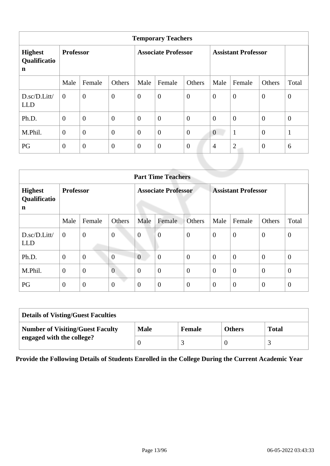|                                               | <b>Temporary Teachers</b> |                  |                            |                  |                  |                            |                |                |                  |              |  |  |  |
|-----------------------------------------------|---------------------------|------------------|----------------------------|------------------|------------------|----------------------------|----------------|----------------|------------------|--------------|--|--|--|
| <b>Highest</b><br>Qualificatio<br>$\mathbf n$ | <b>Professor</b>          |                  | <b>Associate Professor</b> |                  |                  | <b>Assistant Professor</b> |                |                |                  |              |  |  |  |
|                                               | Male                      | Female           | Others                     | Male             | Female           | Others                     | Male           | Female         | Others           | Total        |  |  |  |
| D.sc/D.Litt/<br><b>LLD</b>                    | $\mathbf{0}$              | $\overline{0}$   | $\overline{0}$             | $\overline{0}$   | $\boldsymbol{0}$ | $\overline{0}$             | $\mathbf{0}$   | $\mathbf{0}$   | $\overline{0}$   | $\mathbf{0}$ |  |  |  |
| Ph.D.                                         | $\overline{0}$            | $\overline{0}$   | $\overline{0}$             | $\overline{0}$   | $\overline{0}$   | $\overline{0}$             | $\mathbf{0}$   | $\mathbf{0}$   | $\overline{0}$   | $\mathbf{0}$ |  |  |  |
| M.Phil.                                       | $\overline{0}$            | $\overline{0}$   | $\overline{0}$             | $\theta$         | $\boldsymbol{0}$ | $\overline{0}$             | $\theta$       | $\mathbf{1}$   | $\boldsymbol{0}$ | $\mathbf{1}$ |  |  |  |
| PG                                            | $\overline{0}$            | $\boldsymbol{0}$ | $\boldsymbol{0}$           | $\boldsymbol{0}$ | $\boldsymbol{0}$ | $\overline{0}$             | $\overline{4}$ | $\overline{2}$ | $\overline{0}$   | 6            |  |  |  |
|                                               |                           |                  |                            |                  |                  |                            |                |                |                  |              |  |  |  |

|                                     | <b>Part Time Teachers</b> |                  |                  |                            |                  |                  |                            |                |                |                |  |
|-------------------------------------|---------------------------|------------------|------------------|----------------------------|------------------|------------------|----------------------------|----------------|----------------|----------------|--|
| <b>Highest</b><br>Qualificatio<br>n | <b>Professor</b>          |                  |                  | <b>Associate Professor</b> |                  |                  | <b>Assistant Professor</b> |                |                |                |  |
|                                     | Male                      | Female           | Others           | Male                       | Female           | <b>Others</b>    | Male                       | Female         | Others         | Total          |  |
| D.sc/D.Litt/<br><b>LLD</b>          | $\overline{0}$            | $\boldsymbol{0}$ | $\overline{0}$   | $\overline{0}$             | $\overline{0}$   | $\boldsymbol{0}$ | $\overline{0}$             | $\overline{0}$ | $\mathbf{0}$   | $\theta$       |  |
| Ph.D.                               | $\mathbf{0}$              | $\mathbf{0}$     | $\overline{0}$   | $\overline{0}$             | $\overline{0}$   | $\mathbf{0}$     | $\theta$                   | $\overline{0}$ | $\theta$       | $\overline{0}$ |  |
| M.Phil.                             | $\theta$                  | $\overline{0}$   | $\overline{0}$   | $\overline{0}$             | $\overline{0}$   | $\overline{0}$   | $\theta$                   | $\overline{0}$ | $\overline{0}$ | $\overline{0}$ |  |
| PG                                  | $\mathbf{0}$              | $\mathbf{0}$     | $\boldsymbol{0}$ | $\theta$                   | $\boldsymbol{0}$ | $\boldsymbol{0}$ | $\theta$                   | $\overline{0}$ | $\overline{0}$ | $\overline{0}$ |  |

| <b>Details of Visting/Guest Faculties</b> |             |               |               |              |  |  |  |
|-------------------------------------------|-------------|---------------|---------------|--------------|--|--|--|
| <b>Number of Visiting/Guest Faculty</b>   | <b>Male</b> | <b>Female</b> | <b>Others</b> | <b>Total</b> |  |  |  |
| engaged with the college?                 |             |               |               |              |  |  |  |

**Provide the Following Details of Students Enrolled in the College During the Current Academic Year**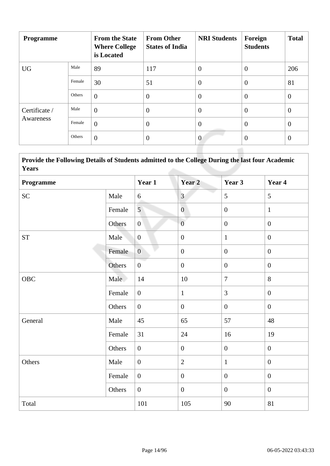| <b>Programme</b> |        | <b>From the State</b><br><b>Where College</b><br>is Located | <b>From Other</b><br><b>States of India</b> | <b>NRI Students</b> | Foreign<br><b>Students</b> | <b>Total</b>   |
|------------------|--------|-------------------------------------------------------------|---------------------------------------------|---------------------|----------------------------|----------------|
| <b>UG</b>        | Male   | 89                                                          | 117                                         | $\overline{0}$      | $\theta$                   | 206            |
|                  | Female | 30                                                          | 51                                          | $\overline{0}$      | $\theta$                   | 81             |
|                  | Others | $\theta$                                                    | $\overline{0}$                              | $\overline{0}$      | $\theta$                   | $\overline{0}$ |
| Certificate /    | Male   | $\overline{0}$                                              | $\theta$                                    | $\overline{0}$      | $\overline{0}$             | $\mathbf{0}$   |
| Awareness        | Female | $\overline{0}$                                              | $\overline{0}$                              | $\overline{0}$      | $\overline{0}$             | $\overline{0}$ |
|                  | Others | $\overline{0}$                                              | $\overline{0}$                              | $\overline{0}$      | $\overline{0}$             | $\theta$       |

 **Provide the Following Details of Students admitted to the College During the last four Academic Years**

| Programme          |        | Year 1           | Year <sub>2</sub> | Year 3           | Year 4           |
|--------------------|--------|------------------|-------------------|------------------|------------------|
| <b>SC</b>          | Male   | 6                | $\overline{3}$    | 5                | 5                |
|                    | Female | 5 <sup>5</sup>   | $\boldsymbol{0}$  | $\boldsymbol{0}$ | $\mathbf{1}$     |
|                    | Others | $\overline{0}$   | $\overline{0}$    | $\boldsymbol{0}$ | $\boldsymbol{0}$ |
| ${\cal S}{\cal T}$ | Male   | $\overline{0}$   | $\boldsymbol{0}$  | $\mathbf{1}$     | $\boldsymbol{0}$ |
|                    | Female | $\overline{0}$   | $\boldsymbol{0}$  | $\boldsymbol{0}$ | $\overline{0}$   |
|                    | Others | $\overline{0}$   | $\boldsymbol{0}$  | $\mathbf{0}$     | $\overline{0}$   |
| OBC                | Male   | 14               | $10\,$            | $\overline{7}$   | 8                |
|                    | Female | $\overline{0}$   | $\mathbf{1}$      | $\overline{3}$   | $\boldsymbol{0}$ |
|                    | Others | $\overline{0}$   | $\boldsymbol{0}$  | $\overline{0}$   | $\boldsymbol{0}$ |
| General            | Male   | 45               | 65                | 57               | 48               |
|                    | Female | 31               | 24                | 16               | 19               |
|                    | Others | $\overline{0}$   | $\boldsymbol{0}$  | $\mathbf{0}$     | $\overline{0}$   |
| Others             | Male   | $\boldsymbol{0}$ | $\sqrt{2}$        | $\mathbf{1}$     | $\boldsymbol{0}$ |
|                    | Female | $\overline{0}$   | $\boldsymbol{0}$  | $\boldsymbol{0}$ | $\boldsymbol{0}$ |
|                    | Others | $\overline{0}$   | $\boldsymbol{0}$  | $\mathbf{0}$     | $\overline{0}$   |
| Total              |        | 101              | 105               | 90               | 81               |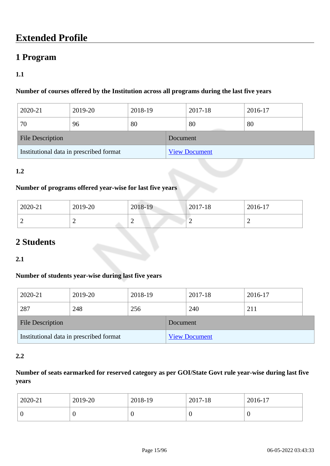# **Extended Profile**

## **1 Program**

## **1.1**

## **Number of courses offered by the Institution across all programs during the last five years**

| 2020-21                                 | 2019-20 | 2018-19 |          | 2017-18              | 2016-17 |  |
|-----------------------------------------|---------|---------|----------|----------------------|---------|--|
| 70                                      | 96      | 80      |          | 80                   | 80      |  |
| <b>File Description</b>                 |         |         | Document |                      |         |  |
| Institutional data in prescribed format |         |         |          | <b>View Document</b> |         |  |

## **1.2**

## **Number of programs offered year-wise for last five years**

| 2020-21 | 2019-20 | 2018-19 | $ 2017-18 $ | 2016-17 |  |
|---------|---------|---------|-------------|---------|--|
| -       | ∼       | ∽       | ∼           |         |  |

# **2 Students**

## **2.1**

## **Number of students year-wise during last five years**

| 2020-21                                 | 2019-20 | 2018-19 |                      | 2017-18 | 2016-17 |  |
|-----------------------------------------|---------|---------|----------------------|---------|---------|--|
| 287                                     | 248     | 256     |                      | 240     | 211     |  |
| <b>File Description</b>                 |         |         | Document             |         |         |  |
| Institutional data in prescribed format |         |         | <b>View Document</b> |         |         |  |

## **2.2**

## **Number of seats earmarked for reserved category as per GOI/State Govt rule year-wise during last five years**

| 2020-21 | 2019-20 | 2018-19          | 2017-18 | 2016-17 |
|---------|---------|------------------|---------|---------|
| ν       |         | $\boldsymbol{0}$ |         | ν       |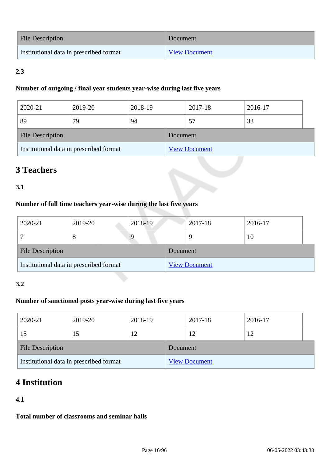| File Description                        | Document             |
|-----------------------------------------|----------------------|
| Institutional data in prescribed format | <b>View Document</b> |

## **2.3**

## **Number of outgoing / final year students year-wise during last five years**

| 2020-21                                 | 2019-20 | 2018-19 |                      | 2017-18 | 2016-17 |  |
|-----------------------------------------|---------|---------|----------------------|---------|---------|--|
| 89                                      | 79      | 94      |                      | 57      | 33      |  |
| <b>File Description</b>                 |         |         | Document             |         |         |  |
| Institutional data in prescribed format |         |         | <b>View Document</b> |         |         |  |

# **3 Teachers**

## **3.1**

## **Number of full time teachers year-wise during the last five years**

| 2020-21                                 | 2019-20 | 2018-19 |          | 2017-18              | 2016-17 |  |
|-----------------------------------------|---------|---------|----------|----------------------|---------|--|
|                                         | 8       |         |          |                      | 10      |  |
| <b>File Description</b>                 |         |         | Document |                      |         |  |
| Institutional data in prescribed format |         |         |          | <b>View Document</b> |         |  |

## **3.2**

## **Number of sanctioned posts year-wise during last five years**

| 2020-21                                 | 2019-20 | 2018-19 |                      | 2017-18 | 2016-17 |  |
|-----------------------------------------|---------|---------|----------------------|---------|---------|--|
| 15                                      | 15      | 12      |                      | 12      |         |  |
| <b>File Description</b>                 |         |         | Document             |         |         |  |
| Institutional data in prescribed format |         |         | <b>View Document</b> |         |         |  |

# **4 Institution**

## **4.1**

**Total number of classrooms and seminar halls**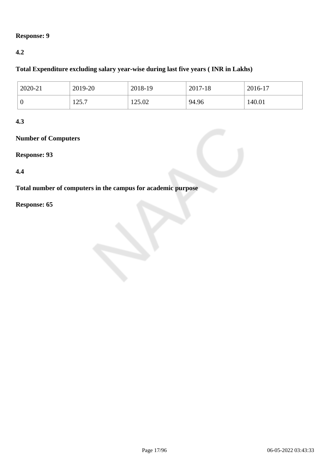## **Response: 9**

## **4.2**

## **Total Expenditure excluding salary year-wise during last five years ( INR in Lakhs)**

| 2020-21          | 2019-20     | 2018-19 | 2017-18 | $2016-17$ |
|------------------|-------------|---------|---------|-----------|
| $\boldsymbol{0}$ | 257<br>17.1 | 125.02  | 94.96   | 140.01    |

## **4.3**

## **Number of Computers**

## **Response: 93**

## **4.4**

**Total number of computers in the campus for academic purpose**

## **Response: 65**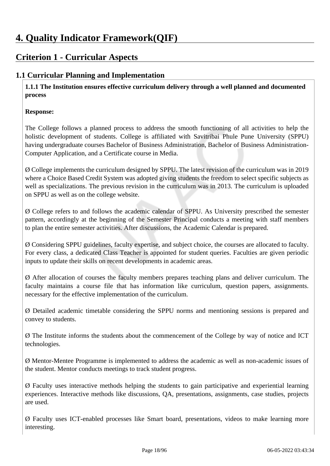# **Criterion 1 - Curricular Aspects**

## **1.1 Curricular Planning and Implementation**

 **1.1.1 The Institution ensures effective curriculum delivery through a well planned and documented process**

## **Response:**

The College follows a planned process to address the smooth functioning of all activities to help the holistic development of students. College is affiliated with Savitribai Phule Pune University (SPPU) having undergraduate courses Bachelor of Business Administration, Bachelor of Business Administration-Computer Application, and a Certificate course in Media.

Ø College implements the curriculum designed by SPPU. The latest revision of the curriculum was in 2019 where a Choice Based Credit System was adopted giving students the freedom to select specific subjects as well as specializations. The previous revision in the curriculum was in 2013. The curriculum is uploaded on SPPU as well as on the college website.

Ø College refers to and follows the academic calendar of SPPU. As University prescribed the semester pattern, accordingly at the beginning of the Semester Principal conducts a meeting with staff members to plan the entire semester activities. After discussions, the Academic Calendar is prepared.

Ø Considering SPPU guidelines, faculty expertise, and subject choice, the courses are allocated to faculty. For every class, a dedicated Class Teacher is appointed for student queries. Faculties are given periodic inputs to update their skills on recent developments in academic areas.

Ø After allocation of courses the faculty members prepares teaching plans and deliver curriculum. The faculty maintains a course file that has information like curriculum, question papers, assignments. necessary for the effective implementation of the curriculum.

Ø Detailed academic timetable considering the SPPU norms and mentioning sessions is prepared and convey to students.

Ø The Institute informs the students about the commencement of the College by way of notice and ICT technologies.

Ø Mentor-Mentee Programme is implemented to address the academic as well as non-academic issues of the student. Mentor conducts meetings to track student progress.

Ø Faculty uses interactive methods helping the students to gain participative and experiential learning experiences. Interactive methods like discussions, QA, presentations, assignments, case studies, projects are used.

Ø Faculty uses ICT-enabled processes like Smart board, presentations, videos to make learning more interesting.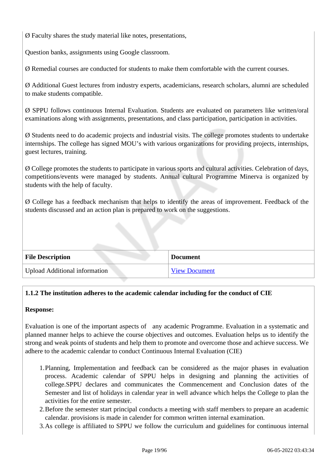Ø Faculty shares the study material like notes, presentations,

Question banks, assignments using Google classroom.

Ø Remedial courses are conducted for students to make them comfortable with the current courses.

Ø Additional Guest lectures from industry experts, academicians, research scholars, alumni are scheduled to make students compatible.

Ø SPPU follows continuous Internal Evaluation. Students are evaluated on parameters like written/oral examinations along with assignments, presentations, and class participation, participation in activities.

Ø Students need to do academic projects and industrial visits. The college promotes students to undertake internships. The college has signed MOU's with various organizations for providing projects, internships, guest lectures, training.

Ø College promotes the students to participate in various sports and cultural activities. Celebration of days, competitions/events were managed by students. Annual cultural Programme Minerva is organized by students with the help of faculty.

Ø College has a feedback mechanism that helps to identify the areas of improvement. Feedback of the students discussed and an action plan is prepared to work on the suggestions.

| <b>File Description</b>              | <b>Document</b>      |
|--------------------------------------|----------------------|
| <b>Upload Additional information</b> | <b>View Document</b> |

## **1.1.2 The institution adheres to the academic calendar including for the conduct of CIE**

### **Response:**

Evaluation is one of the important aspects of any academic Programme. Evaluation in a systematic and planned manner helps to achieve the course objectives and outcomes. Evaluation helps us to identify the strong and weak points of students and help them to promote and overcome those and achieve success. We adhere to the academic calendar to conduct Continuous Internal Evaluation (CIE)

- 1.Planning, Implementation and feedback can be considered as the major phases in evaluation process. Academic calendar of SPPU helps in designing and planning the activities of college.SPPU declares and communicates the Commencement and Conclusion dates of the Semester and list of holidays in calendar year in well advance which helps the College to plan the activities for the entire semester.
- 2.Before the semester start principal conducts a meeting with staff members to prepare an academic calendar. provisions is made in calender for common written internal examination.
- 3.As college is affiliated to SPPU we follow the curriculum and guidelines for continuous internal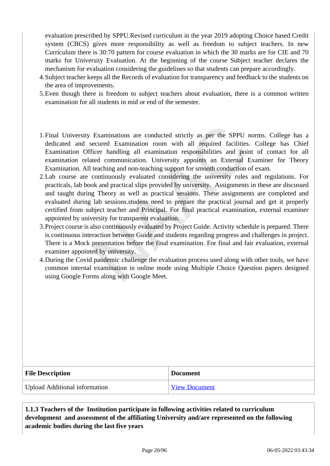evaluation prescribed by SPPU.Revised curriculum in the year 2019 adopting Choice based Credit system (CBCS) gives more responsibility as well as freedom to subject teachers. In new Curriculum there is 30:70 pattern for course evaluation in which the 30 marks are for CIE and 70 marks for University Evaluation. At the beginning of the course Subject teacher declares the mechanism for evaluation considering the guidelines so that students can prepare accordingly.

- 4.Subject teacher keeps all the Records of evaluation for transparency and feedback to the students on the area of improvements.
- 5.Even though there is freedom to subject teachers about evaluation, there is a common written examination for all students in mid or end of the semester.
- 1.Final University Examinations are conducted strictly as per the SPPU norms. College has a dedicated and secured Examination room with all required facilities. College has Chief Examination Officer handling all examination responsibilities and point of contact for all examination related communication. University appoints an External Examiner for Theory Examination. All teaching and non-teaching support for smooth conduction of exam.
- 2.Lab course are continuously evaluated considering the university rules and regulations. For practicals, lab book and practical slips provided by university. Assignments in these are discussed and taught during Theory as well as practical sessions. These assignments are completed and evaluated during lab sessions.studens need to prepare the practical journal and get it properly certified from subject teacher and Principal. For final practical examination, external examiner appointed by university for transparent evaluation.
- 3.Project course is also continuously evaluated by Project Guide. Activity schedule is prepared. There is continuous interaction between Guide and students regarding progress and challenges in project. There is a Mock presentation before the final examination. For final and fair evaluation, external examiner appointed by university.
- 4.During the Covid pandemic challenge the evaluation process used along with other tools, we have common internal examination in online mode using Multiple Choice Question papers designed using Google Forms along with Google Meet.

| <b>File Description</b>       | <b>Document</b>      |
|-------------------------------|----------------------|
| Upload Additional information | <b>View Document</b> |

 **1.1.3 Teachers of the Institution participate in following activities related to curriculum development and assessment of the affiliating University and/are represented on the following academic bodies during the last five years**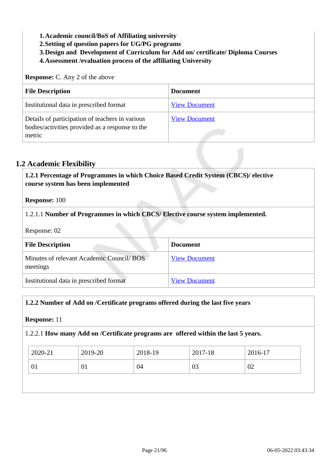- **1.Academic council/BoS of Affiliating university**
- **2.Setting of question papers for UG/PG programs**
- **3.Design and Development of Curriculum for Add on/ certificate/ Diploma Courses**
- **4.Assessment /evaluation process of the affiliating University**

**Response:** C. Any 2 of the above

| <b>File Description</b>                                                                                      | <b>Document</b>      |
|--------------------------------------------------------------------------------------------------------------|----------------------|
| Institutional data in prescribed format                                                                      | <b>View Document</b> |
| Details of participation of teachers in various<br>bodies/activities provided as a response to the<br>metric | <b>View Document</b> |

## **1.2 Academic Flexibility**

| 1.2.1 Percentage of Programmes in which Choice Based Credit System (CBCS)/ elective<br>course system has been implemented |  |  |  |
|---------------------------------------------------------------------------------------------------------------------------|--|--|--|
| <b>Response: 100</b>                                                                                                      |  |  |  |
| 1.2.1.1 Number of Programmes in which CBCS/Elective course system implemented.                                            |  |  |  |

Response: 02

| <b>File Description</b>                              | <b>Document</b>      |
|------------------------------------------------------|----------------------|
| Minutes of relevant Academic Council/BOS<br>meetings | <b>View Document</b> |
| Institutional data in prescribed format              | <b>View Document</b> |

### **1.2.2 Number of Add on /Certificate programs offered during the last five years**

#### **Response:** 11

### 1.2.2.1 **How many Add on /Certificate programs are offered within the last 5 years.**

| 2020-21 | 2019-20 | 2018-19 | 2017-18 | 2016-17 |
|---------|---------|---------|---------|---------|
| 01      | 01      | 04      | 03      | 02      |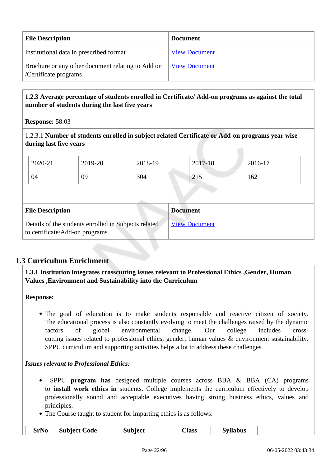| <b>File Description</b>                                                    | <b>Document</b>             |
|----------------------------------------------------------------------------|-----------------------------|
| Institutional data in prescribed format                                    | <b>View Document</b>        |
| Brochure or any other document relating to Add on<br>/Certificate programs | <u><b>View Document</b></u> |

## **1.2.3 Average percentage of students enrolled in Certificate/ Add-on programs as against the total number of students during the last five years**

**Response:** 58.03

1.2.3.1 **Number of students enrolled in subject related Certificate or Add-on programs year wise during last five years**

|                                                                                        | 2020-21 | 2019-20 | 2018-19              |  | 2017-18 | 2016-17 |  |
|----------------------------------------------------------------------------------------|---------|---------|----------------------|--|---------|---------|--|
|                                                                                        | 04      | 09      | 304                  |  | 215     | 162     |  |
|                                                                                        |         |         |                      |  |         |         |  |
| <b>File Description</b>                                                                |         |         | <b>Document</b>      |  |         |         |  |
| Details of the students enrolled in Subjects related<br>to certificate/Add-on programs |         |         | <b>View Document</b> |  |         |         |  |

## **1.3 Curriculum Enrichment**

## **1.3.1 Institution integrates crosscutting issues relevant to Professional Ethics ,Gender, Human Values ,Environment and Sustainability into the Curriculum**

**Response:** 

The goal of education is to make students responsible and reactive citizen of society. The educational process is also constantly evolving to meet the challenges raised by the dynamic factors of global environmental change. Our college includes crosscutting issues related to professional ethics, gender, human values & environment sustainability. SPPU curriculum and supporting activities helps a lot to address these challenges.

*Issues relevant to Professional Ethics:*

- SPPU **program has** designed multiple courses across BBA & BBA (CA) programs to **install work ethics in** students. College implements the curriculum effectively to develop professionally sound and acceptable executives having strong business ethics, values and principles.
- The Course taught to student for imparting ethics is as follows:

| SrNo | Subject Code | <b>Subject</b> | Class | <b>Syllabus</b> |  |
|------|--------------|----------------|-------|-----------------|--|
|------|--------------|----------------|-------|-----------------|--|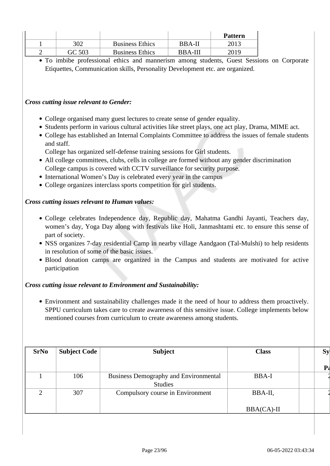|        |                        |                | <b>Pattern</b> |
|--------|------------------------|----------------|----------------|
| 302    | <b>Business Ethics</b> | <b>BBA-II</b>  | 2013           |
| GC 503 | <b>Business Ethics</b> | <b>BRA-III</b> | 2019           |

To imbibe professional ethics and mannerism among students, Guest Sessions on Corporate Etiquettes, Communication skills, Personality Development etc. are organized.

*Cross cutting issue relevant to Gender:*

- College organised many guest lectures to create sense of gender equality.
- Students perform in various cultural activities like street plays, one act play, Drama, MIME act.
- College has established an Internal Complaints Committee to address the issues of female students and staff.

College has organized self-defense training sessions for Girl students.

- All college committees, clubs, cells in college are formed without any gender discrimination College campus is covered with CCTV surveillance for security purpose.
- International Women's Day is celebrated every year in the campus
- College organizes interclass sports competition for girl students.

#### *Cross cutting issues relevant to Human values:*

- College celebrates Independence day, Republic day, Mahatma Gandhi Jayanti, Teachers day, women's day, Yoga Day along with festivals like Holi, Janmashtami etc. to ensure this sense of part of society.
- NSS organizes 7-day residential Camp in nearby village Aandgaon (Tal-Mulshi) to help residents in resolution of some of the basic issues.
- Blood donation camps are organized in the Campus and students are motivated for active participation

#### *Cross cutting issue relevant to Environment and Sustainability:*

Environment and sustainability challenges made it the need of hour to address them proactively. SPPU curriculum takes care to create awareness of this sensitive issue. College implements below mentioned courses from curriculum to create awareness among students.

| <b>SrNo</b> | <b>Subject Code</b> | <b>Subject</b>                                                 | <b>Class</b> | <b>Sy</b> |
|-------------|---------------------|----------------------------------------------------------------|--------------|-----------|
|             |                     |                                                                |              | р,        |
|             | 106                 | <b>Business Demography and Environmental</b><br><b>Studies</b> | BBA-I        |           |
| $\bigcap$   | 307                 | Compulsory course in Environment                               | BBA-II,      |           |
|             |                     |                                                                | $BBA(CA)-II$ |           |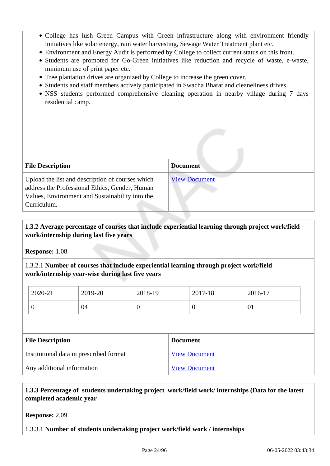- College has lush Green Campus with Green infrastructure along with environment friendly initiatives like solar energy, rain water harvesting, Sewage Water Treatment plant etc.
- Environment and Energy Audit is performed by College to collect current status on this front.
- Students are promoted for Go-Green initiatives like reduction and recycle of waste, e-waste, minimum use of print paper etc.
- Tree plantation drives are organized by College to increase the green cover.
- Students and staff members actively participated in Swacha Bharat and cleaneliness drives.
- NSS students performed comprehensive cleaning operation in nearby village during 7 days residential camp.

| <b>File Description</b>                                                                                                                                              | <b>Document</b>      |
|----------------------------------------------------------------------------------------------------------------------------------------------------------------------|----------------------|
| Upload the list and description of courses which<br>address the Professional Ethics, Gender, Human<br>Values, Environment and Sustainability into the<br>Curriculum. | <b>View Document</b> |

## **1.3.2 Average percentage of courses that include experiential learning through project work/field work/internship during last five years**

**Response:** 1.08

1.3.2.1 **Number of courses that include experiential learning through project work/field work/internship year-wise during last five years**

| 2020-21 | 2019-20 | 2018-19 | 2017-18 | 2016-17 |
|---------|---------|---------|---------|---------|
|         | 04      |         | ν       | V1      |

| <b>File Description</b>                 | <b>Document</b>      |
|-----------------------------------------|----------------------|
| Institutional data in prescribed format | <b>View Document</b> |
| Any additional information              | <b>View Document</b> |

## **1.3.3 Percentage of students undertaking project work/field work/ internships (Data for the latest completed academic year**

**Response:** 2.09

### 1.3.3.1 **Number of students undertaking project work/field work / internships**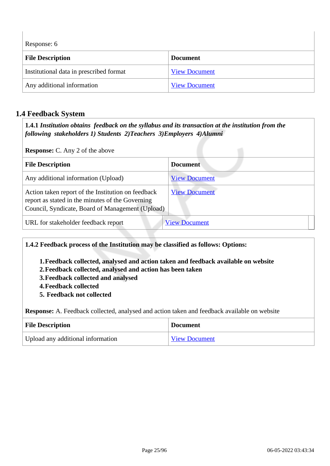Response: 6

| Trapportor o                            |                      |  |
|-----------------------------------------|----------------------|--|
| <b>File Description</b>                 | <b>Document</b>      |  |
| Institutional data in prescribed format | <b>View Document</b> |  |
| Any additional information              | <b>View Document</b> |  |

## **1.4 Feedback System**

 **1.4.1** *Institution obtains feedback on the syllabus and its transaction at the institution from the following stakeholders 1) Students 2)Teachers 3)Employers 4)Alumni* 

**Response:** C. Any 2 of the above

| <b>File Description</b>                                                                                                                                    | <b>Document</b>      |
|------------------------------------------------------------------------------------------------------------------------------------------------------------|----------------------|
| Any additional information (Upload)                                                                                                                        | <b>View Document</b> |
| Action taken report of the Institution on feedback<br>report as stated in the minutes of the Governing<br>Council, Syndicate, Board of Management (Upload) | <b>View Document</b> |
| URL for stakeholder feedback report                                                                                                                        | <b>View Document</b> |

**1.4.2 Feedback process of the Institution may be classified as follows: Options:**

- **1.Feedback collected, analysed and action taken and feedback available on website**
- **2.Feedback collected, analysed and action has been taken**
- **3.Feedback collected and analysed**
- **4.Feedback collected**
- **5. Feedback not collected**

**Response:** A. Feedback collected, analysed and action taken and feedback available on website

| <b>File Description</b>           | <b>Document</b>      |
|-----------------------------------|----------------------|
| Upload any additional information | <b>View Document</b> |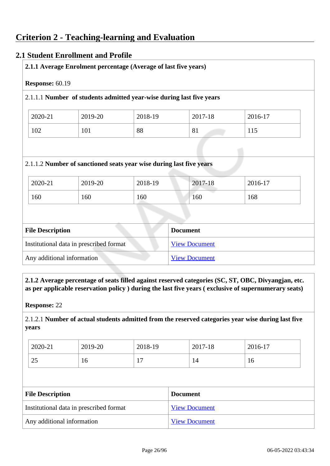## **2.1 Student Enrollment and Profile**

|                         |                                         | 2.1.1.1 Number of students admitted year-wise during last five years |                      |         |
|-------------------------|-----------------------------------------|----------------------------------------------------------------------|----------------------|---------|
| 2020-21                 | 2019-20                                 | 2018-19                                                              | 2017-18              | 2016-17 |
| 102                     | 101                                     | 88                                                                   | 81                   | 115     |
|                         |                                         | 2.1.1.2 Number of sanctioned seats year wise during last five years  |                      |         |
|                         | 2019-20                                 | 2018-19                                                              | 2017-18              | 2016-17 |
|                         | 160                                     | 160                                                                  | 160                  | 168     |
| 2020-21<br>160          |                                         |                                                                      |                      |         |
|                         |                                         |                                                                      | <b>Document</b>      |         |
| <b>File Description</b> | Institutional data in prescribed format |                                                                      | <b>View Document</b> |         |

 **2.1.2 Average percentage of seats filled against reserved categories (SC, ST, OBC, Divyangjan, etc. as per applicable reservation policy ) during the last five years ( exclusive of supernumerary seats)**

**Response:** 22

2.1.2.1 **Number of actual students admitted from the reserved categories year wise during last five years**

| 2020-21      | 2019-20 | 2018-19        | 2017-18 | 2016-17 |
|--------------|---------|----------------|---------|---------|
| $\cap$<br>رے | 16      | <u>_</u><br>л. | 14      | 16      |

| <b>File Description</b>                 | <b>Document</b>      |
|-----------------------------------------|----------------------|
| Institutional data in prescribed format | <b>View Document</b> |
| Any additional information              | <b>View Document</b> |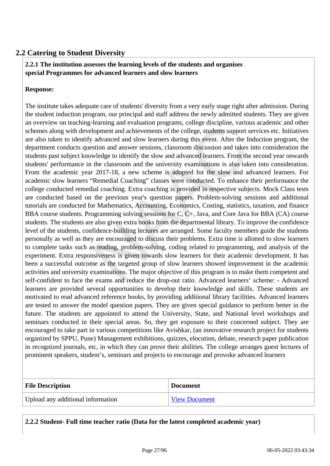## **2.2 Catering to Student Diversity**

## **2.2.1 The institution assesses the learning levels of the students and organises special Programmes for advanced learners and slow learners**

#### **Response:**

The institute takes adequate care of students' diversity from a very early stage right after admission. During the student induction program, our principal and staff address the newly admitted students. They are given an overview on teaching-learning and evaluation programs, college discipline, various academic and other schemes along with development and achievements of the college, students support services etc. Initiatives are also taken to identify advanced and slow learners during this event. After the Induction program, the department conducts question and answer sessions, classroom discussion and takes into consideration the students past subject knowledge to identify the slow and advanced learners. From the second year onwards students' performance in the classroom and the university examinations is also taken into consideration. From the academic year 2017-18, a new scheme is adopted for the slow and advanced learners. For academic slow learners "Remedial Coaching" classes were conducted. To enhance their performance the college conducted remedial coaching. Extra coaching is provided in respective subjects. Mock Class tests are conducted based on the previous year's question papers. Problem-solving sessions and additional tutorials are conducted for Mathematics, Accounting, Economics, Costing, statistics, taxation, and finance BBA course students. Programming solving sessions for C, C+, Java, and Core Java for BBA (CA) course students. The students are also given extra books from the departmental library. To improve the confidence level of the students, confidence-building lectures are arranged. Some faculty members guide the students personally as well as they are encouraged to discuss their problems. Extra time is allotted to slow learners to complete tasks such as reading, problem-solving, coding related to programming, and analysis of the experiment. Extra responsiveness is given towards slow learners for their academic development. It has been a successful outcome as the targeted group of slow learners showed improvement in the academic activities and university examinations. The major objective of this program is to make them competent and self-confident to face the exams and reduce the drop-out ratio. Advanced learners' scheme: - Advanced learners are provided several opportunities to develop their knowledge and skills. These students are motivated to read advanced reference books, by providing additional library facilities. Advanced learners are tested to answer the model question papers. They are given special guidance to perform better in the future. The students are appointed to attend the University, State, and National level workshops and seminars conducted in their special areas. So, they get exposure to their concerned subject. They are encouraged to take part in various competitions like Avishkar, (an innovative research project for students organized by SPPU, Pune) Management exhibitions, quizzes, elocution, debate, research paper publication in recognized journals, etc, in which they can prove their abilities. The college arranges guest lectures of prominent speakers, student's, seminars and projects to encourage and provoke advanced learners

| <b>File Description</b>           | <b>Document</b>      |
|-----------------------------------|----------------------|
| Upload any additional information | <b>View Document</b> |

**2.2.2 Student- Full time teacher ratio (Data for the latest completed academic year)**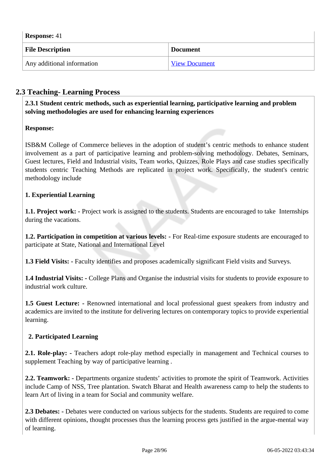**Response:** 41 **File Description Document** Any additional information View Document

## **2.3 Teaching- Learning Process**

 **2.3.1 Student centric methods, such as experiential learning, participative learning and problem solving methodologies are used for enhancing learning experiences**

## **Response:**

ISB&M College of Commerce believes in the adoption of student's centric methods to enhance student involvement as a part of participative learning and problem-solving methodology. Debates, Seminars, Guest lectures, Field and Industrial visits, Team works, Quizzes, Role Plays and case studies specifically students centric Teaching Methods are replicated in project work. Specifically, the student's centric methodology include

## **1. Experiential Learning**

**1.1. Project work:** - Project work is assigned to the students. Students are encouraged to take Internships during the vacations.

**1.2. Participation in competition at various levels:** - For Real-time exposure students are encouraged to participate at State, National and International Level

**1.3 Field Visits: -** Faculty identifies and proposes academically significant Field visits and Surveys.

**1.4 Industrial Visits: -** College Plans and Organise the industrial visits for students to provide exposure to industrial work culture.

**1.5 Guest Lecture: -** Renowned international and local professional guest speakers from industry and academics are invited to the institute for delivering lectures on contemporary topics to provide experiential learning.

### **2. Participated Learning**

2.1. Role-play: - Teachers adopt role-play method especially in management and Technical courses to supplement Teaching by way of participative learning .

2.2. Teamwork: - Departments organize students' activities to promote the spirit of Teamwork. Activities include Camp of NSS, Tree plantation. Swatch Bharat and Health awareness camp to help the students to learn Art of living in a team for Social and community welfare.

**2.3 Debates: -** Debates were conducted on various subjects for the students. Students are required to come with different opinions, thought processes thus the learning process gets justified in the argue-mental way of learning.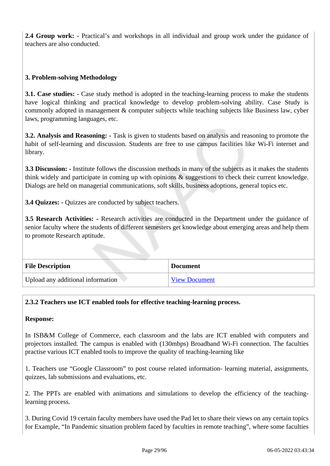**2.4 Group work: -** Practical's and workshops in all individual and group work under the guidance of teachers are also conducted.

## **3. Problem-solving Methodology**

**3.1. Case studies: -** Case study method is adopted in the teaching-learning process to make the students have logical thinking and practical knowledge to develop problem-solving ability. Case Study is commonly adopted in management & computer subjects while teaching subjects like Business law, cyber laws, programming languages, etc.

**3.2. Analysis and Reasoning:** - Task is given to students based on analysis and reasoning to promote the habit of self-learning and discussion. Students are free to use campus facilities like Wi-Fi internet and library.

**3.3 Discussion: -** Institute follows the discussion methods in many of the subjects as it makes the students think widely and participate in coming up with opinions & suggestions to check their current knowledge. Dialogs are held on managerial communications, soft skills, business adoptions, general topics etc.

**3.4 Quizzes: - Quizzes are conducted by subject teachers.** 

**3.5 Research Activities: -** Research activities are conducted in the Department under the guidance of senior faculty where the students of different semesters get knowledge about emerging areas and help them to promote Research aptitude.

| <b>File Description</b>           | <b>Document</b>      |
|-----------------------------------|----------------------|
| Upload any additional information | <b>View Document</b> |

### **2.3.2 Teachers use ICT enabled tools for effective teaching-learning process.**

### **Response:**

In ISB&M College of Commerce, each classroom and the labs are ICT enabled with computers and projectors installed. The campus is enabled with (130mbps) Broadband Wi-Fi connection. The faculties practise various ICT enabled tools to improve the quality of teaching-learning like

1. Teachers use "Google Classroom" to post course related information- learning material, assignments, quizzes, lab submissions and evaluations, etc.

2. The PPTs are enabled with animations and simulations to develop the efficiency of the teachinglearning process.

3. During Covid 19 certain faculty members have used the Pad let to share their views on any certain topics for Example, "In Pandemic situation problem faced by faculties in remote teaching", where some faculties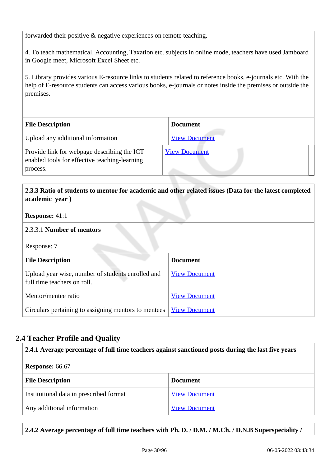forwarded their positive & negative experiences on remote teaching.

4. To teach mathematical, Accounting, Taxation etc. subjects in online mode, teachers have used Jamboard in Google meet, Microsoft Excel Sheet etc.

5. Library provides various E-resource links to students related to reference books, e-journals etc. With the help of E-resource students can access various books, e-journals or notes inside the premises or outside the premises.

| <b>File Description</b>                                                                      | <b>Document</b>      |
|----------------------------------------------------------------------------------------------|----------------------|
| Upload any additional information                                                            | <b>View Document</b> |
| Provide link for webpage describing the ICT<br>enabled tools for effective teaching-learning | <b>View Document</b> |
| process.                                                                                     |                      |

## **2.3.3 Ratio of students to mentor for academic and other related issues (Data for the latest completed academic year )**

### **Response:** 41:1

### 2.3.3.1 **Number of mentors**

Response: 7

| <b>File Description</b>                                                          | <b>Document</b>      |
|----------------------------------------------------------------------------------|----------------------|
| Upload year wise, number of students enrolled and<br>full time teachers on roll. | <b>View Document</b> |
| Mentor/mentee ratio                                                              | <b>View Document</b> |
| Circulars pertaining to assigning mentors to mentees                             | <b>View Document</b> |

## **2.4 Teacher Profile and Quality**

### **2.4.1 Average percentage of full time teachers against sanctioned posts during the last five years**

#### **Response:** 66.67

| <b>File Description</b>                 | <b>Document</b>      |
|-----------------------------------------|----------------------|
| Institutional data in prescribed format | <b>View Document</b> |
| Any additional information              | <b>View Document</b> |

## **2.4.2 Average percentage of full time teachers with Ph. D. / D.M. / M.Ch. / D.N.B Superspeciality /**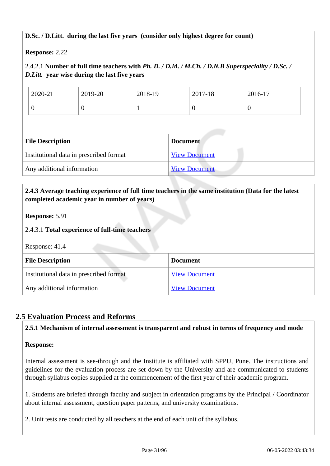## **D.Sc. / D.Litt. during the last five years (consider only highest degree for count)**

**Response:** 2.22

## 2.4.2.1 **Number of full time teachers with** *Ph. D. / D.M. / M.Ch. / D.N.B Superspeciality / D.Sc. / D.Litt.* **year wise during the last five years**

| 2020-21 | 2019-20 | 2018-19 | 2017-18 | 2016-17 |
|---------|---------|---------|---------|---------|
| ◡       | ν       |         | ν       | ν       |

| <b>File Description</b>                 | <b>Document</b>      |  |
|-----------------------------------------|----------------------|--|
| Institutional data in prescribed format | <b>View Document</b> |  |
| Any additional information              | <b>View Document</b> |  |

## **2.4.3 Average teaching experience of full time teachers in the same institution (Data for the latest completed academic year in number of years)**

### **Response:** 5.91

## 2.4.3.1 **Total experience of full-time teachers**

Response: 41.4

| <b>File Description</b>                 | <b>Document</b>      |
|-----------------------------------------|----------------------|
| Institutional data in prescribed format | <b>View Document</b> |
| Any additional information              | <b>View Document</b> |

## **2.5 Evaluation Process and Reforms**

### **2.5.1 Mechanism of internal assessment is transparent and robust in terms of frequency and mode**

### **Response:**

Internal assessment is see-through and the Institute is affiliated with SPPU, Pune. The instructions and guidelines for the evaluation process are set down by the University and are communicated to students through syllabus copies supplied at the commencement of the first year of their academic program.

1. Students are briefed through faculty and subject in orientation programs by the Principal / Coordinator about internal assessment, question paper patterns, and university examinations.

2. Unit tests are conducted by all teachers at the end of each unit of the syllabus.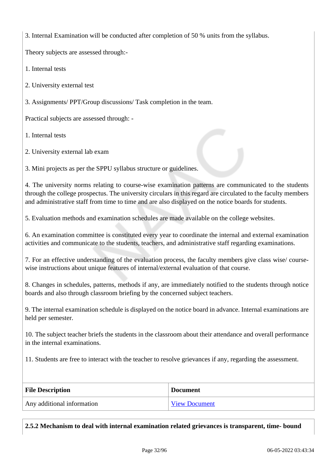3. Internal Examination will be conducted after completion of 50 % units from the syllabus.

Theory subjects are assessed through:-

1. Internal tests

2. University external test

3. Assignments/ PPT/Group discussions/ Task completion in the team.

Practical subjects are assessed through: -

1. Internal tests

2. University external lab exam

3. Mini projects as per the SPPU syllabus structure or guidelines.

4. The university norms relating to course-wise examination patterns are communicated to the students through the college prospectus. The university circulars in this regard are circulated to the faculty members and administrative staff from time to time and are also displayed on the notice boards for students.

5. Evaluation methods and examination schedules are made available on the college websites.

6. An examination committee is constituted every year to coordinate the internal and external examination activities and communicate to the students, teachers, and administrative staff regarding examinations.

7. For an effective understanding of the evaluation process, the faculty members give class wise/ coursewise instructions about unique features of internal/external evaluation of that course.

8. Changes in schedules, patterns, methods if any, are immediately notified to the students through notice boards and also through classroom briefing by the concerned subject teachers.

9. The internal examination schedule is displayed on the notice board in advance. Internal examinations are held per semester.

10. The subject teacher briefs the students in the classroom about their attendance and overall performance in the internal examinations.

11. Students are free to interact with the teacher to resolve grievances if any, regarding the assessment.

| <b>File Description</b>    | <b>Document</b>      |
|----------------------------|----------------------|
| Any additional information | <b>View Document</b> |

**2.5.2 Mechanism to deal with internal examination related grievances is transparent, time- bound**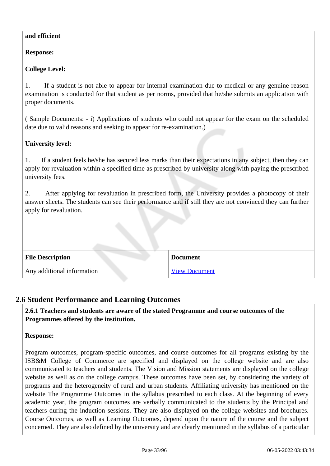### **and efficient**

**Response:** 

## **College Level:**

1. If a student is not able to appear for internal examination due to medical or any genuine reason examination is conducted for that student as per norms, provided that he/she submits an application with proper documents.

( Sample Documents: - i) Applications of students who could not appear for the exam on the scheduled date due to valid reasons and seeking to appear for re-examination.)

## **University level:**

1. If a student feels he/she has secured less marks than their expectations in any subject, then they can apply for revaluation within a specified time as prescribed by university along with paying the prescribed university fees.

2. After applying for revaluation in prescribed form, the University provides a photocopy of their answer sheets. The students can see their performance and if still they are not convinced they can further apply for revaluation.

| <b>File Description</b>    | <b>Document</b>      |
|----------------------------|----------------------|
| Any additional information | <b>View Document</b> |

## **2.6 Student Performance and Learning Outcomes**

 **2.6.1 Teachers and students are aware of the stated Programme and course outcomes of the Programmes offered by the institution.**

### **Response:**

Program outcomes, program-specific outcomes, and course outcomes for all programs existing by the ISB&M College of Commerce are specified and displayed on the college website and are also communicated to teachers and students. The Vision and Mission statements are displayed on the college website as well as on the college campus. These outcomes have been set, by considering the variety of programs and the heterogeneity of rural and urban students. Affiliating university has mentioned on the website The Programme Outcomes in the syllabus prescribed to each class. At the beginning of every academic year, the program outcomes are verbally communicated to the students by the Principal and teachers during the induction sessions. They are also displayed on the college websites and brochures. Course Outcomes, as well as Learning Outcomes, depend upon the nature of the course and the subject concerned. They are also defined by the university and are clearly mentioned in the syllabus of a particular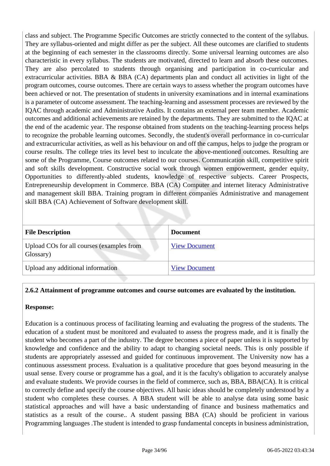class and subject. The Programme Specific Outcomes are strictly connected to the content of the syllabus. They are syllabus-oriented and might differ as per the subject. All these outcomes are clarified to students at the beginning of each semester in the classrooms directly. Some universal learning outcomes are also characteristic in every syllabus. The students are motivated, directed to learn and absorb these outcomes. They are also percolated to students through organising and participation in co-curricular and extracurricular activities. BBA  $\&$  BBA (CA) departments plan and conduct all activities in light of the program outcomes, course outcomes. There are certain ways to assess whether the program outcomes have been achieved or not. The presentation of students in university examinations and in internal examinations is a parameter of outcome assessment. The teaching-learning and assessment processes are reviewed by the IQAC through academic and Administrative Audits. It contains an external peer team member. Academic outcomes and additional achievements are retained by the departments. They are submitted to the IQAC at the end of the academic year. The response obtained from students on the teaching-learning process helps to recognize the probable learning outcomes. Secondly, the student's overall performance in co-curricular and extracurricular activities, as well as his behaviour on and off the campus, helps to judge the program or course results. The college tries its level best to inculcate the above-mentioned outcomes. Resulting are some of the Programme, Course outcomes related to our courses. Communication skill, competitive spirit and soft skills development. Constructive social work through women empowerment, gender equity, Opportunities to differently-abled students, knowledge of respective subjects. Career Prospects, Entrepreneurship development in Commerce. BBA (CA) Computer and internet literacy Administrative and management skill BBA. Training program in different companies Administrative and management skill BBA (CA) Achievement of Software development skill.

| <b>File Description</b>                                | <b>Document</b>      |
|--------------------------------------------------------|----------------------|
| Upload COs for all courses (examples from<br>Glossary) | <b>View Document</b> |
| Upload any additional information                      | <b>View Document</b> |

#### **2.6.2 Attainment of programme outcomes and course outcomes are evaluated by the institution.**

#### **Response:**

Education is a continuous process of facilitating learning and evaluating the progress of the students. The education of a student must be monitored and evaluated to assess the progress made, and it is finally the student who becomes a part of the industry. The degree becomes a piece of paper unless it is supported by knowledge and confidence and the ability to adapt to changing societal needs. This is only possible if students are appropriately assessed and guided for continuous improvement. The University now has a continuous assessment process. Evaluation is a qualitative procedure that goes beyond measuring in the usual sense. Every course or programme has a goal, and it is the faculty's obligation to accurately analyse and evaluate students. We provide courses in the field of commerce, such as, BBA, BBA(CA). It is critical to correctly define and specify the course objectives. All basic ideas should be completely understood by a student who completes these courses. A BBA student will be able to analyse data using some basic statistical approaches and will have a basic understanding of finance and business mathematics and statistics as a result of the course.. A student passing BBA (CA) should be proficient in various Programming languages .The student is intended to grasp fundamental concepts in business administration,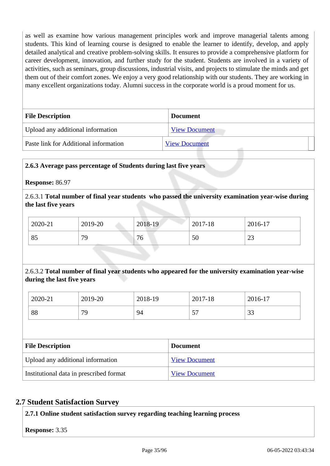as well as examine how various management principles work and improve managerial talents among students. This kind of learning course is designed to enable the learner to identify, develop, and apply detailed analytical and creative problem-solving skills. It ensures to provide a comprehensive platform for career development, innovation, and further study for the student. Students are involved in a variety of activities, such as seminars, group discussions, industrial visits, and projects to stimulate the minds and get them out of their comfort zones. We enjoy a very good relationship with our students. They are working in many excellent organizations today. Alumni success in the corporate world is a proud moment for us.

| <b>File Description</b>               | <b>Document</b>      |  |
|---------------------------------------|----------------------|--|
| Upload any additional information     | <b>View Document</b> |  |
| Paste link for Additional information | <b>View Document</b> |  |

### **2.6.3 Average pass percentage of Students during last five years**

**Response:** 86.97

2.6.3.1 **Total number of final year students who passed the university examination year-wise during the last five years**

| 2020-21 | 2019-20 | 2018-19 | 2017-18 | 2016-17      |
|---------|---------|---------|---------|--------------|
| 85      | 79      | 76      | 50      | $\cap$<br>رے |

## 2.6.3.2 **Total number of final year students who appeared for the university examination year-wise during the last five years**

| 2020-21 | 2019-20 | 2018-19 | 2017-18                       | 2016-17      |
|---------|---------|---------|-------------------------------|--------------|
| 88      | $\pi$   | 94      | $\overline{\phantom{a}}$<br>◡ | $\sim$<br>JJ |

| <b>File Description</b>                 | <b>Document</b>      |
|-----------------------------------------|----------------------|
| Upload any additional information       | <b>View Document</b> |
| Institutional data in prescribed format | <b>View Document</b> |

### **2.7 Student Satisfaction Survey**

**2.7.1 Online student satisfaction survey regarding teaching learning process**

**Response:** 3.35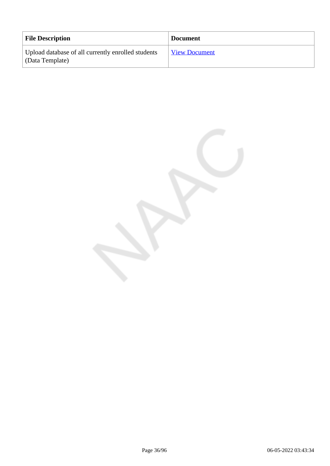| <b>File Description</b>                                               | <b>Document</b>      |
|-----------------------------------------------------------------------|----------------------|
| Upload database of all currently enrolled students<br>(Data Template) | <b>View Document</b> |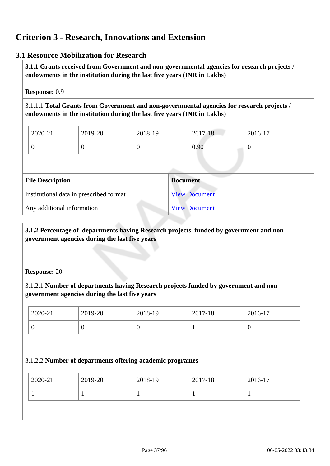# **3.1 Resource Mobilization for Research**

 **3.1.1 Grants received from Government and non-governmental agencies for research projects / endowments in the institution during the last five years (INR in Lakhs)** 

#### **Response:** 0.9

3.1.1.1 **Total Grants from Government and non-governmental agencies for research projects / endowments in the institution during the last five years (INR in Lakhs)**

| $2020 - 21$ | 2019-20 | 2018-19 | $2017 - 18$ | 2016-17 |
|-------------|---------|---------|-------------|---------|
|             |         | ν       | 0.90        |         |

| <b>File Description</b>                 | <b>Document</b>      |
|-----------------------------------------|----------------------|
| Institutional data in prescribed format | <b>View Document</b> |
| Any additional information              | <b>View Document</b> |

# **3.1.2 Percentage of departments having Research projects funded by government and non government agencies during the last five years**

#### **Response:** 20

3.1.2.1 **Number of departments having Research projects funded by government and nongovernment agencies during the last five years**

| 2020-21 | 2019-20 | 2018-19 | 2017-18 | 2016-17 |
|---------|---------|---------|---------|---------|
|         | v       | ν       |         | υ       |

#### 3.1.2.2 **Number of departments offering academic programes**

| $12020 - 21$<br>2019-20<br>2018-19<br>2017-18 | 2016-17 |
|-----------------------------------------------|---------|
|                                               |         |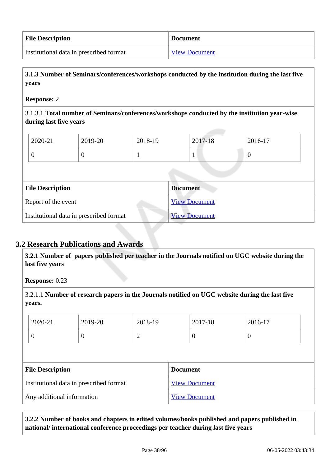| <b>File Description</b>                 | <b>Document</b>      |
|-----------------------------------------|----------------------|
| Institutional data in prescribed format | <b>View Document</b> |

 **3.1.3 Number of Seminars/conferences/workshops conducted by the institution during the last five years**

#### **Response:** 2

3.1.3.1 **Total number of Seminars/conferences/workshops conducted by the institution year-wise during last five years** 

| 2020-21 | 2019-20 | 2018-19 | 2017-18 | 2016-17 |
|---------|---------|---------|---------|---------|
|         |         |         |         |         |

| <b>File Description</b>                 | <b>Document</b>      |
|-----------------------------------------|----------------------|
| Report of the event                     | <b>View Document</b> |
| Institutional data in prescribed format | <b>View Document</b> |

# **3.2 Research Publications and Awards**

 **3.2.1 Number of papers published per teacher in the Journals notified on UGC website during the last five years** 

**Response:** 0.23

3.2.1.1 **Number of research papers in the Journals notified on UGC website during the last five years.**

| $\theta$<br>U<br>υ<br>U<br>∽ |  |
|------------------------------|--|

| <b>File Description</b>                 | <b>Document</b>      |
|-----------------------------------------|----------------------|
| Institutional data in prescribed format | <b>View Document</b> |
| Any additional information              | <b>View Document</b> |

 **3.2.2 Number of books and chapters in edited volumes/books published and papers published in national/ international conference proceedings per teacher during last five years**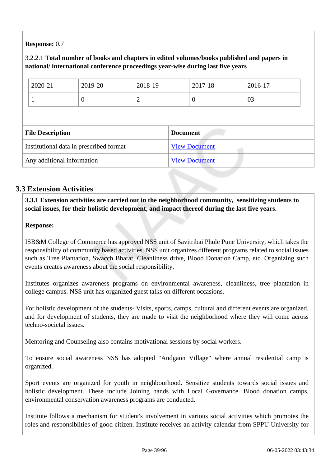# **Response:** 0.7

# 3.2.2.1 **Total number of books and chapters in edited volumes/books published and papers in national/ international conference proceedings year-wise during last five years** 2020-21 2019-20 2018-19 2017-18 2016-17  $\begin{array}{|c|c|c|c|c|}\n\hline\n1 & 0 & 2 & 0 \\
\hline\n\end{array}$ **File Description Document** Institutional data in prescribed format View Document Any additional information View Document

# **3.3 Extension Activities**

 **3.3.1 Extension activities are carried out in the neighborhood community, sensitizing students to social issues, for their holistic development, and impact thereof during the last five years.**

# **Response:**

ISB&M College of Commerce has approved NSS unit of Savitribai Phule Pune University, which takes the responsibility of community based activities. NSS unit organizes different programs related to social issues such as Tree Plantation, Swacch Bharat, Cleanliness drive, Blood Donation Camp, etc. Organizing such events creates awareness about the social responsibility.

Institutes organizes awareness programs on environmental awareness, cleanliness, tree plantation in college campus. NSS unit has organized guest talks on different occasions.

For holistic development of the students- Visits, sports, camps, cultural and different events are organized, and for development of students, they are made to visit the neighborhood where they will come across techno-societal issues.

Mentoring and Counseling also contains motivational sessions by social workers.

To ensure social awareness NSS has adopted "Andgaon Village" where annual residential camp is organized.

Sport events are organized for youth in neighbourhood. Sensitize students towards social issues and holistic development. These include Joining hands with Local Governance. Blood donation camps, environmental conservation awareness programs are conducted.

Institute follows a mechanism for student's involvement in various social activities which promotes the roles and responsiblities of good citizen. Institute receives an activity calendar from SPPU University for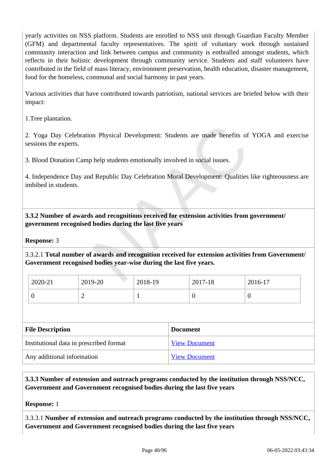yearly activities on NSS platform. Students are enrolled to NSS unit through Guardian Faculty Member (GFM) and departmental faculty representatives. The spirit of voluntary work through sustained community interaction and link between campus and community is enthralled amongst students, which reflects in their holistic development through community service. Students and staff volunteers have contributed in the field of mass literacy, environment preservation, health education, disaster management, food for the homeless, communal and social harmony in past years.

Various activities that have contributed towards patriotism, national services are briefed below with their impact:

1.Tree plantation.

2. Yoga Day Celebration Physical Development: Students are made benefits of YOGA and exercise sessions the experts.

3. Blood Donation Camp help students emotionally involved in social issues.

4. Independence Day and Republic Day Celebration Moral Development: Qualities like righteousness are imbibed in students.

 **3.3.2 Number of awards and recognitions received for extension activities from government/ government recognised bodies during the last five years**

**Response:** 3

3.3.2.1 **Total number of awards and recognition received for extension activities from Government/ Government recognised bodies year-wise during the last five years.**

| 2020-21 | 2019-20 | 2018-19 | 2017-18        | 2016-17 |
|---------|---------|---------|----------------|---------|
|         | -       |         | $\overline{0}$ | ◡       |

| <b>File Description</b>                 | <b>Document</b>      |
|-----------------------------------------|----------------------|
| Institutional data in prescribed format | <b>View Document</b> |
| Any additional information              | <b>View Document</b> |

 **3.3.3 Number of extension and outreach programs conducted by the institution through NSS/NCC, Government and Government recognised bodies during the last five years**

**Response:** 1

3.3.3.1 **Number of extension and outreach programs conducted by the institution through NSS/NCC, Government and Government recognised bodies during the last five years**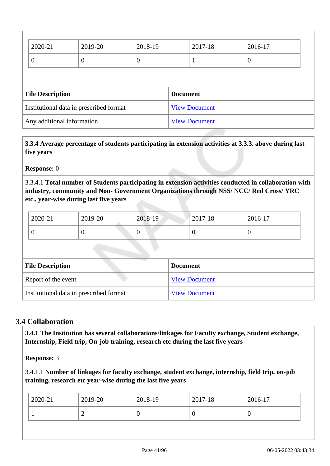| 2020-21                                 | 2019-20  | 2018-19              | 2017-18         | 2016-17  |  |  |
|-----------------------------------------|----------|----------------------|-----------------|----------|--|--|
| $\overline{0}$                          | $\theta$ | $\theta$             |                 | $\theta$ |  |  |
|                                         |          |                      |                 |          |  |  |
| <b>File Description</b>                 |          |                      | <b>Document</b> |          |  |  |
| Institutional data in prescribed format |          | <b>View Document</b> |                 |          |  |  |
| Any additional information              |          | <b>View Document</b> |                 |          |  |  |

 **3.3.4 Average percentage of students participating in extension activities at 3.3.3. above during last five years**

**Response:** 0

3.3.4.1 **Total number of Students participating in extension activities conducted in collaboration with industry, community and Non- Government Organizations through NSS/ NCC/ Red Cross/ YRC etc., year-wise during last five years**

| 2020-21 | 2019-20 | 2018-19 | $2017 - 18$ | 2016-17 |
|---------|---------|---------|-------------|---------|
|         |         | ν       | ◡           |         |

| <b>File Description</b>                 | <b>Document</b>      |
|-----------------------------------------|----------------------|
| Report of the event                     | <b>View Document</b> |
| Institutional data in prescribed format | <b>View Document</b> |

# **3.4 Collaboration**

 **3.4.1 The Institution has several collaborations/linkages for Faculty exchange, Student exchange, Internship, Field trip, On-job training, research etc during the last five years** 

**Response:** 3

3.4.1.1 **Number of linkages for faculty exchange, student exchange, internship, field trip, on-job training, research etc year-wise during the last five years**

| 2020-21 | 2019-20 | 2018-19 | 2017-18 | 2016-17 |
|---------|---------|---------|---------|---------|
|         | ∸       | ν       | U       |         |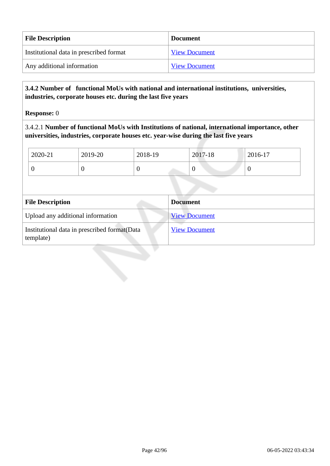| <b>File Description</b>                 | <b>Document</b>      |
|-----------------------------------------|----------------------|
| Institutional data in prescribed format | <b>View Document</b> |
| Any additional information              | <b>View Document</b> |

# **3.4.2 Number of functional MoUs with national and international institutions, universities, industries, corporate houses etc. during the last five years**

**Response:** 0

3.4.2.1 **Number of functional MoUs with Institutions of national, international importance, other universities, industries, corporate houses etc. year-wise during the last five years**

| 2020-21                           | 2019-20 | 2018-19  |                 | 2017-18              | 2016-17  |  |
|-----------------------------------|---------|----------|-----------------|----------------------|----------|--|
| $\overline{0}$                    | 0       | $\theta$ |                 | $\overline{0}$       | $\theta$ |  |
|                                   |         |          |                 |                      |          |  |
|                                   |         |          |                 |                      |          |  |
|                                   |         |          |                 |                      |          |  |
| <b>File Description</b>           |         |          | <b>Document</b> |                      |          |  |
| Upload any additional information |         |          |                 | <b>View Document</b> |          |  |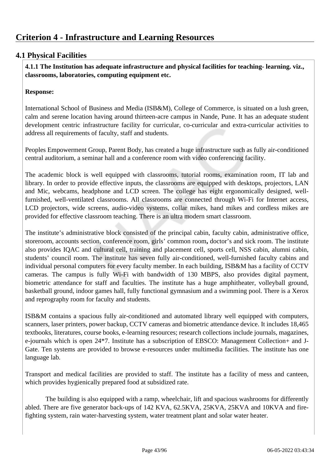# **4.1 Physical Facilities**

 **4.1.1 The Institution has adequate infrastructure and physical facilities for teaching- learning. viz., classrooms, laboratories, computing equipment etc.** 

# **Response:**

International School of Business and Media (ISB&M), College of Commerce, is situated on a lush green, calm and serene location having around thirteen-acre campus in Nande, Pune. It has an adequate student development centric infrastructure facility for curricular, co-curricular and extra-curricular activities to address all requirements of faculty, staff and students.

Peoples Empowerment Group, Parent Body, has created a huge infrastructure such as fully air-conditioned central auditorium, a seminar hall and a conference room with video conferencing facility.

The academic block is well equipped with classrooms, tutorial rooms, examination room, IT lab and library. In order to provide effective inputs, the classrooms are equipped with desktops, projectors, LAN and Mic, webcams, headphone and LCD screen. The college has eight ergonomically designed, wellfurnished, well-ventilated classrooms. All classrooms are connected through Wi-Fi for Internet access, LCD projectors, wide screens, audio-video systems, collar mikes, hand mikes and cordless mikes are provided for effective classroom teaching. There is an ultra modern smart classroom.

The institute's administrative block consisted of the principal cabin, faculty cabin, administrative office, storeroom, accounts section, conference room, girls' common room**,** doctor's and sick room. The institute also provides IQAC and cultural cell, training and placement cell, sports cell, NSS cabin, alumni cabin, students' council room. The institute has seven fully air-conditioned, well-furnished faculty cabins and individual personal computers for every faculty member. In each building, ISB&M has a facility of CCTV cameras. The campus is fully Wi-Fi with bandwidth of 130 MBPS, also provides digital payment, biometric attendance for staff and faculties. The institute has a huge amphitheater, volleyball ground, basketball ground, indoor games hall, fully functional gymnasium and a swimming pool. There is a Xerox and reprography room for faculty and students.

ISB&M contains a spacious fully air-conditioned and automated library well equipped with computers, scanners, laser printers, power backup, CCTV cameras and biometric attendance device. It includes 18,465 textbooks, literatures, course books, e-learning resources; research collections include journals, magazines, e-journals which is open 24\*7. Institute has a subscription of EBSCO: Management Collection+ and J-Gate. Ten systems are provided to browse e-resources under multimedia facilities. The institute has one language lab.

Transport and medical facilities are provided to staff. The institute has a facility of mess and canteen, which provides hygienically prepared food at subsidized rate.

 The building is also equipped with a ramp, wheelchair, lift and spacious washrooms for differently abled. There are five generator back-ups of 142 KVA, 62.5KVA, 25KVA, 25KVA and 10KVA and firefighting system, rain water-harvesting system, water treatment plant and solar water heater.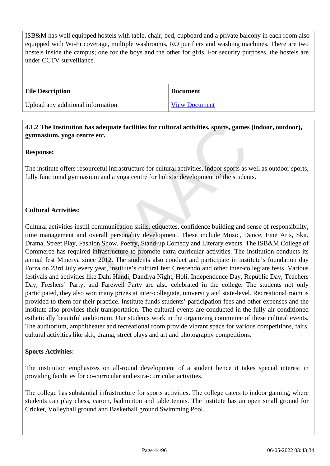ISB&M has well equipped hostels with table, chair, bed, cupboard and a private balcony in each room also equipped with Wi-Fi coverage, multiple washrooms, RO purifiers and washing machines. There are two hostels inside the campus; one for the boys and the other for girls. For security purposes, the hostels are under CCTV surveillance.

| <b>File Description</b>           | <b>Document</b> |
|-----------------------------------|-----------------|
| Upload any additional information | View Document   |

## **4.1.2 The Institution has adequate facilities for cultural activities, sports, games (indoor, outdoor), gymnasium, yoga centre etc.**

# **Response:**

The institute offers resourceful infrastructure for cultural activities, indoor sports as well as outdoor sports, fully functional gymnasium and a yoga centre for holistic development of the students.

# **Cultural Activities:**

Cultural activities instill communication skills, etiquettes, confidence building and sense of responsibility, time management and overall personality development. These include Music, Dance, Fine Arts, Skit, Drama, Street Play, Fashion Show, Poetry, Stand-up Comedy and Literary events. The ISB&M College of Commerce has required infrastructure to promote extra-curricular activities. The institution conducts its annual fest Minerva since 2012. The students also conduct and participate in institute's foundation day Forza on 23rd July every year, institute's cultural fest Crescendo and other inter-collegiate fests. Various festivals and activities like Dahi Handi, Dandiya Night, Holi, Independence Day, Republic Day, Teachers Day, Freshers' Party, and Farewell Party are also celebrated in the college. The students not only participated, they also won many prizes at inter-collegiate, university and state-level. Recreational room is provided to them for their practice. Institute funds students' participation fees and other expenses and the institute also provides their transportation. The cultural events are conducted in the fully air-conditioned esthetically beautiful auditorium. Our students work in the organizing committee of these cultural events. The auditorium, amphitheater and recreational room provide vibrant space for various competitions, fairs, cultural activities like skit, drama, street plays and art and photography competitions.

# **Sports Activities:**

The institution emphasizes on all-round development of a student hence it takes special interest in providing facilities for co-curricular and extra-curricular activities.

The college has substantial infrastructure for sports activities. The college caters to indoor gaming, where students can play chess, carom, badminton and table tennis. The institute has an open small ground for Cricket, Volleyball ground and Basketball ground Swimming Pool.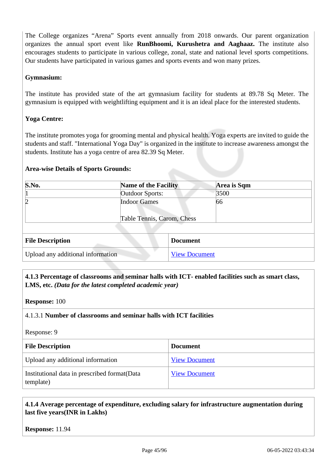The College organizes "Arena" Sports event annually from 2018 onwards. Our parent organization organizes the annual sport event like **RunBhoomi, Kurushetra and Aaghaaz.** The institute also encourages students to participate in various college, zonal, state and national level sports competitions. Our students have participated in various games and sports events and won many prizes.

#### **Gymnasium:**

The institute has provided state of the art gymnasium facility for students at 89.78 Sq Meter. The gymnasium is equipped with weightlifting equipment and it is an ideal place for the interested students.

#### **Yoga Centre:**

The institute promotes yoga for grooming mental and physical health. Yoga experts are invited to guide the students and staff. "International Yoga Day" is organized in the institute to increase awareness amongst the students. Institute has a yoga centre of area 82.39 Sq Meter.

#### **Area-wise Details of Sports Grounds:**

| S.No.                             | <b>Name of the Facility</b>                       | Area is Sqm          |  |
|-----------------------------------|---------------------------------------------------|----------------------|--|
|                                   | <b>Outdoor Sports:</b>                            | 3500                 |  |
|                                   | <b>Indoor Games</b><br>Table Tennis, Carom, Chess | 66                   |  |
| <b>File Description</b>           |                                                   | <b>Document</b>      |  |
| Upload any additional information |                                                   | <b>View Document</b> |  |

# **4.1.3 Percentage of classrooms and seminar halls with ICT- enabled facilities such as smart class, LMS, etc.** *(Data for the latest completed academic year)*

**Response:** 100

#### 4.1.3.1 **Number of classrooms and seminar halls with ICT facilities**

Response: 9

| <b>File Description</b>                                    | <b>Document</b>      |
|------------------------------------------------------------|----------------------|
| Upload any additional information                          | <b>View Document</b> |
| Institutional data in prescribed format (Data<br>template) | <b>View Document</b> |

# **4.1.4 Average percentage of expenditure, excluding salary for infrastructure augmentation during last five years(INR in Lakhs)**

**Response:** 11.94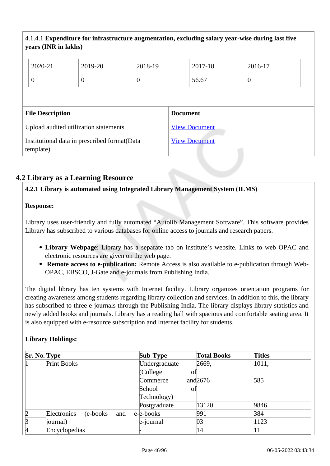# 4.1.4.1 **Expenditure for infrastructure augmentation, excluding salary year-wise during last five years (INR in lakhs)**

|                                       | 2020-21                 | 2019-20          | 2018-19        |                      | 2017-18 | 2016-17  |
|---------------------------------------|-------------------------|------------------|----------------|----------------------|---------|----------|
| $\overline{0}$                        |                         | $\boldsymbol{0}$ | $\overline{0}$ |                      | 56.67   | $\theta$ |
|                                       |                         |                  |                |                      |         |          |
|                                       | <b>File Description</b> |                  |                | <b>Document</b>      |         |          |
| Upload audited utilization statements |                         |                  |                | <b>View Document</b> |         |          |
|                                       |                         |                  |                |                      |         |          |

# **4.2 Library as a Learning Resource**

#### **4.2.1 Library is automated using Integrated Library Management System (ILMS)**

#### **Response:**

Library uses user-friendly and fully automated "Autolib Management Software". This software provides Library has subscribed to various databases for online access to journals and research papers.

- **Library Webpage**: Library has a separate tab on institute's website. Links to web OPAC and electronic resources are given on the web page.
- **Remote access to e-publication:** Remote Access is also available to e-publication through Web-OPAC, EBSCO, J-Gate and e-journals from Publishing India.

The digital library has ten systems with Internet facility. Library organizes orientation programs for creating awareness among students regarding library collection and services. In addition to this, the library has subscribed to three e-journals through the Publishing India. The library displays library statistics and newly added books and journals. Library has a reading hall with spacious and comfortable seating area. It is also equipped with e-resource subscription and Internet facility for students.

# **Library Holdings:**

| Sr. No. Type   |                                 | <b>Sub-Type</b> | <b>Total Books</b> | <b>Titles</b> |
|----------------|---------------------------------|-----------------|--------------------|---------------|
|                | Print Books                     | Undergraduate   | 2669,              | 1011,         |
|                |                                 | (College)<br>οf |                    |               |
|                |                                 | Commerce        | and $2676$         | 585           |
|                |                                 | School<br>of    |                    |               |
|                |                                 | Technology)     |                    |               |
|                |                                 | Postgraduate    | 13120              | 9846          |
| $\overline{2}$ | Electronics<br>(e-books)<br>and | e-e-books       | 991                | 384           |
| $\beta$        | journal)                        | e-journal       | 03                 | 1123          |
| 4              | Encyclopedias                   |                 | 14                 | 11            |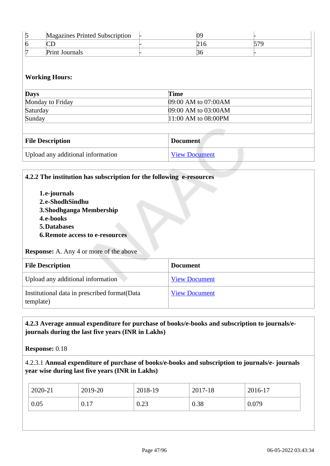| <b>Magazines Printed Subscription</b> |  |  |
|---------------------------------------|--|--|
|                                       |  |  |
| <b>Print Journals</b>                 |  |  |

#### **Working Hours:**

| <b>Days</b>      | Time<br>09:00 AM to 07:00AM |  |
|------------------|-----------------------------|--|
| Monday to Friday |                             |  |
| Saturday         | 09:00 AM to 03:00 AM        |  |
| Sunday           | $11:00$ AM to 08:00PM       |  |

| <b>File Description</b>           | <b>Document</b>      |
|-----------------------------------|----------------------|
| Upload any additional information | <b>View Document</b> |

# **4.2.2 The institution has subscription for the following e-resources**

**1.e-journals 2.e-ShodhSindhu 3.Shodhganga Membership 4.e-books 5.Databases 6.Remote access to e-resources**

#### **Response:** A. Any 4 or more of the above

| <b>File Description</b>                                    | <b>Document</b>      |
|------------------------------------------------------------|----------------------|
| Upload any additional information                          | <b>View Document</b> |
| Institutional data in prescribed format (Data<br>template) | <b>View Document</b> |

#### **4.2.3 Average annual expenditure for purchase of books/e-books and subscription to journals/ejournals during the last five years (INR in Lakhs)**

**Response:** 0.18

# 4.2.3.1 **Annual expenditure of purchase of books/e-books and subscription to journals/e- journals year wise during last five years (INR in Lakhs)**

| $2020 - 21$ | 2019-20 | 2018-19 | 2017-18 | 2016-17 |
|-------------|---------|---------|---------|---------|
| 0.05        | 0.17    | 0.23    | 0.38    | 0.079   |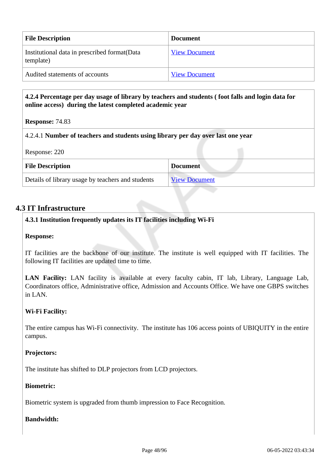| <b>File Description</b>                                    | <b>Document</b>      |
|------------------------------------------------------------|----------------------|
| Institutional data in prescribed format (Data<br>template) | <b>View Document</b> |
| Audited statements of accounts                             | <b>View Document</b> |

# **4.2.4 Percentage per day usage of library by teachers and students ( foot falls and login data for online access) during the latest completed academic year**

**Response:** 74.83

#### 4.2.4.1 **Number of teachers and students using library per day over last one year**

Response: 220

| <b>File Description</b>                           | <b>Document</b>      |  |  |  |
|---------------------------------------------------|----------------------|--|--|--|
| Details of library usage by teachers and students | <b>View Document</b> |  |  |  |

# **4.3 IT Infrastructure**

# **4.3.1 Institution frequently updates its IT facilities including Wi-Fi**

#### **Response:**

IT facilities are the backbone of our institute. The institute is well equipped with IT facilities. The following IT facilities are updated time to time.

**LAN Facility:** LAN facility is available at every faculty cabin, IT lab, Library, Language Lab, Coordinators office, Administrative office, Admission and Accounts Office. We have one GBPS switches in LAN.

#### **Wi-Fi Facility:**

The entire campus has Wi-Fi connectivity. The institute has 106 access points of UBIQUITY in the entire campus.

#### **Projectors:**

The institute has shifted to DLP projectors from LCD projectors.

#### **Biometric:**

Biometric system is upgraded from thumb impression to Face Recognition.

#### **Bandwidth:**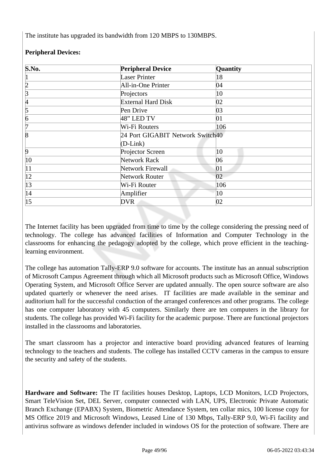The institute has upgraded its bandwidth from 120 MBPS to 130MBPS.

| S.No.           | <b>Peripheral Device</b>         | Quantity |  |
|-----------------|----------------------------------|----------|--|
| П               | <b>Laser Printer</b><br>18       |          |  |
| $\overline{2}$  | All-in-One Printer               | 04       |  |
| $\overline{3}$  | Projectors                       | 10       |  |
| 4               | <b>External Hard Disk</b>        | 02       |  |
| 5               | Pen Drive                        | 03       |  |
| $\vert 6 \vert$ | $48$ " LED TV                    | 01       |  |
| 7               | Wi-Fi Routers<br>106             |          |  |
| $\overline{8}$  | 24 Port GIGABIT Network Switch40 |          |  |
|                 | $(D-Link)$                       |          |  |
| $\overline{9}$  | Projector Screen                 | 10       |  |
| $ 10\rangle$    | Network Rack                     | 06       |  |
| $ 11\rangle$    | Network Firewall                 | 01       |  |
| $ 12\rangle$    | <b>Network Router</b>            | 02       |  |
| $ 13\rangle$    | Wi-Fi Router                     | 106      |  |
| 14              | Amplifier                        | 10       |  |
| 15              | <b>DVR</b><br>02                 |          |  |

# **Peripheral Devices:**

The Internet facility has been upgraded from time to time by the college considering the pressing need of technology. The college has advanced facilities of Information and Computer Technology in the classrooms for enhancing the pedagogy adopted by the college, which prove efficient in the teachinglearning environment.

The college has automation Tally-ERP 9.0 software for accounts. The institute has an annual subscription of Microsoft Campus Agreement through which all Microsoft products such as Microsoft Office, Windows Operating System, and Microsoft Office Server are updated annually. The open source software are also updated quarterly or whenever the need arises. IT facilities are made available in the seminar and auditorium hall for the successful conduction of the arranged conferences and other programs. The college has one computer laboratory with 45 computers. Similarly there are ten computers in the library for students. The college has provided Wi-Fi facility for the academic purpose. There are functional projectors installed in the classrooms and laboratories.

The smart classroom has a projector and interactive board providing advanced features of learning technology to the teachers and students. The college has installed CCTV cameras in the campus to ensure the security and safety of the students.

**Hardware and Software:** The IT facilities houses Desktop, Laptops, LCD Monitors, LCD Projectors, Smart TeleVision Set, DEL Server, computer connected with LAN, UPS, Electronic Private Automatic Branch Exchange (EPABX) System, Biometric Attendance System, ten collar mics, 100 license copy for MS Office 2019 and Microsoft Windows, Leased Line of 130 Mbps, Tally-ERP 9.0, Wi-Fi facility and antivirus software as windows defender included in windows OS for the protection of software. There are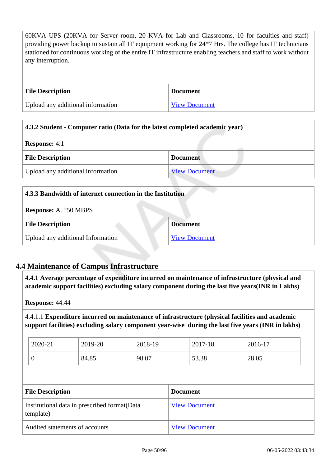60KVA UPS (20KVA for Server room, 20 KVA for Lab and Classrooms, 10 for faculties and staff) providing power backup to sustain all IT equipment working for 24\*7 Hrs. The college has IT technicians stationed for continuous working of the entire IT infrastructure enabling teachers and staff to work without any interruption.

| <b>File Description</b>           | <b>Document</b> |
|-----------------------------------|-----------------|
| Upload any additional information | View Document   |

# **4.3.2 Student - Computer ratio (Data for the latest completed academic year)**

| <b>Response:</b> 4:1              |                      |  |
|-----------------------------------|----------------------|--|
| <b>File Description</b>           | <b>Document</b>      |  |
| Upload any additional information | <b>View Document</b> |  |

| 4.3.3 Bandwidth of internet connection in the Institution |  |  |
|-----------------------------------------------------------|--|--|
| <b>Response:</b> A. ?50 MBPS                              |  |  |
| <b>File Description</b><br><b>Document</b>                |  |  |
| Upload any additional Information<br><b>View Document</b> |  |  |

# **4.4 Maintenance of Campus Infrastructure**

 **4.4.1 Average percentage of expenditure incurred on maintenance of infrastructure (physical and academic support facilities) excluding salary component during the last five years(INR in Lakhs)**

**Response:** 44.44

4.4.1.1 **Expenditure incurred on maintenance of infrastructure (physical facilities and academic support facilities) excluding salary component year-wise during the last five years (INR in lakhs)**

| 2020-21 | 2019-20 | 2018-19 | 2017-18 | 2016-17 |
|---------|---------|---------|---------|---------|
|         | 84.85   | 98.07   | 53.38   | 28.05   |

| <b>File Description</b>                                    | <b>Document</b>      |
|------------------------------------------------------------|----------------------|
| Institutional data in prescribed format (Data<br>template) | <b>View Document</b> |
| Audited statements of accounts                             | <b>View Document</b> |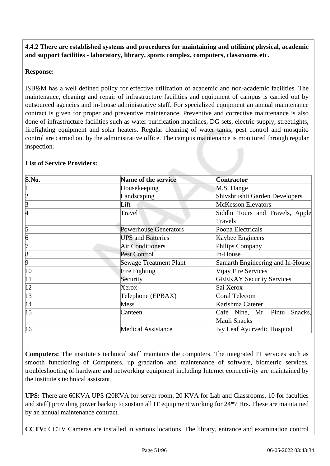**4.4.2 There are established systems and procedures for maintaining and utilizing physical, academic and support facilities - laboratory, library, sports complex, computers, classrooms etc.**

# **Response:**

ISB&M has a well defined policy for effective utilization of academic and non-academic facilities. The maintenance, cleaning and repair of infrastructure facilities and equipment of campus is carried out by outsourced agencies and in-house administrative staff. For specialized equipment an annual maintenance contract is given for proper and preventive maintenance. Preventive and corrective maintenance is also done of infrastructure facilities such as water purification machines, DG sets, electric supply, streetlights, firefighting equipment and solar heaters. Regular cleaning of water tanks, pest control and mosquito control are carried out by the administrative office. The campus maintenance is monitored through regular inspection.

| S.No.          | <b>Name of the service</b>    | <b>Contractor</b>                  |  |
|----------------|-------------------------------|------------------------------------|--|
|                | Housekeeping                  | M.S. Dange                         |  |
| $\overline{2}$ | Landscaping                   | Shivshrushti Garden Developers     |  |
| 3              | Lift                          | <b>McKesson Elevators</b>          |  |
| 4              | Travel                        | Siddhi Tours and Travels, Apple    |  |
|                |                               | Travels                            |  |
| 5              | <b>Powerhouse Generators</b>  | Poona Electricals                  |  |
| $\overline{6}$ | <b>UPS</b> and Batteries      | Kaybee Engineers                   |  |
| 7              | <b>Air Conditioners</b>       | Philips Company                    |  |
| $\overline{8}$ | <b>Pest Control</b>           | In-House                           |  |
| 9              | <b>Sewage Treatment Plant</b> | Samarth Engineering and In-House   |  |
| $ 10\rangle$   | Fire Fighting                 | Vijay Fire Services                |  |
| 11             | Security                      | <b>GEEKAY Security Services</b>    |  |
| $ 12\rangle$   | Xerox                         | Sai Xerox                          |  |
| 13             | Telephone (EPBAX)             | Coral Telecom                      |  |
| 14             | Mess                          | Karishma Caterer                   |  |
| $ 15\rangle$   | Canteen                       | Café Nine, Mr. Pintu Snacks,       |  |
|                |                               | Mauli Snacks                       |  |
| $ 16\rangle$   | <b>Medical Assistance</b>     | <b>Ivy Leaf Ayurvedic Hospital</b> |  |

# **List of Service Providers:**

**Computers:** The institute's technical staff maintains the computers. The integrated IT services such as smooth functioning of Computers, up gradation and maintenance of software, biometric services, troubleshooting of hardware and networking equipment including Internet connectivity are maintained by the institute's technical assistant.

**UPS:** There are 60KVA UPS (20KVA for server room, 20 KVA for Lab and Classrooms, 10 for faculties and staff) providing power backup to sustain all IT equipment working for 24\*7 Hrs. These are maintained by an annual maintenance contract.

**CCTV:** CCTV Cameras are installed in various locations. The library, entrance and examination control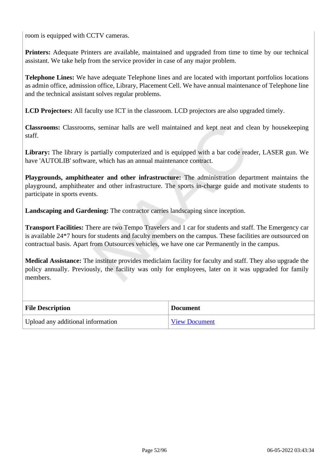room is equipped with CCTV cameras.

**Printers:** Adequate Printers are available, maintained and upgraded from time to time by our technical assistant. We take help from the service provider in case of any major problem.

**Telephone Lines:** We have adequate Telephone lines and are located with important portfolios locations as admin office, admission office, Library, Placement Cell. We have annual maintenance of Telephone line and the technical assistant solves regular problems.

**LCD Projectors:** All faculty use ICT in the classroom. LCD projectors are also upgraded timely.

**Classrooms:** Classrooms, seminar halls are well maintained and kept neat and clean by housekeeping staff.

**Library:** The library is partially computerized and is equipped with a bar code reader, LASER gun. We have 'AUTOLIB' software, which has an annual maintenance contract.

**Playgrounds, amphitheater and other infrastructure:** The administration department maintains the playground, amphitheater and other infrastructure. The sports in-charge guide and motivate students to participate in sports events.

**Landscaping and Gardening:** The contractor carries landscaping since inception.

**Transport Facilities:** There are two Tempo Travelers and 1 car for students and staff. The Emergency car is available 24\*7 hours for students and faculty members on the campus. These facilities are outsourced on contractual basis. Apart from Outsources vehicles, we have one car Permanently in the campus.

**Medical Assistance:** The institute provides mediclaim facility for faculty and staff. They also upgrade the policy annually. Previously, the facility was only for employees, later on it was upgraded for family members.

| <b>File Description</b>           | <b>Document</b>      |
|-----------------------------------|----------------------|
| Upload any additional information | <b>View Document</b> |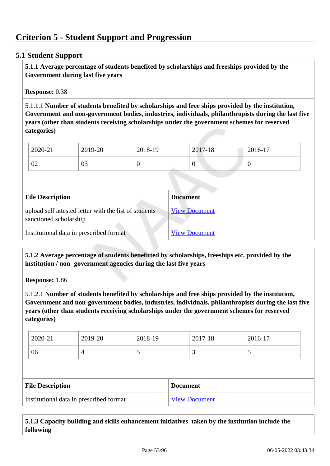# **5.1 Student Support**

 **5.1.1 Average percentage of students benefited by scholarships and freeships provided by the Government during last five years** 

**Response:** 0.38

5.1.1.1 **Number of students benefited by scholarships and free ships provided by the institution, Government and non-government bodies, industries, individuals, philanthropists during the last five years (other than students receiving scholarships under the government schemes for reserved categories)** 

| 2020-21        | 2019-20        | 2018-19 | 2017-18 | 2016-17 |
|----------------|----------------|---------|---------|---------|
| $\Omega$<br>∪∠ | $\Omega$<br>UJ |         |         | ν       |

| <b>File Description</b>                                                         | <b>Document</b>      |
|---------------------------------------------------------------------------------|----------------------|
| upload self attested letter with the list of students<br>sanctioned scholarship | <b>View Document</b> |
| Institutional data in prescribed format                                         | <b>View Document</b> |

 **5.1.2 Average percentage of students benefitted by scholarships, freeships etc. provided by the institution / non- government agencies during the last five years**

**Response:** 1.86

5.1.2.1 **Number of students benefited by scholarships and free ships provided by the institution, Government and non-government bodies, industries, individuals, philanthropists during the last five years (other than students receiving scholarships under the government schemes for reserved categories)** 

| 2020-21 | 2019-20 | 2018-19 | 2017-18                  | 2016-17 |
|---------|---------|---------|--------------------------|---------|
| 06      |         | ັ       | $\overline{\phantom{0}}$ | ັ       |

| <b>File Description</b>                 | <b>Document</b>      |
|-----------------------------------------|----------------------|
| Institutional data in prescribed format | <b>View Document</b> |

 **5.1.3 Capacity building and skills enhancement initiatives taken by the institution include the following**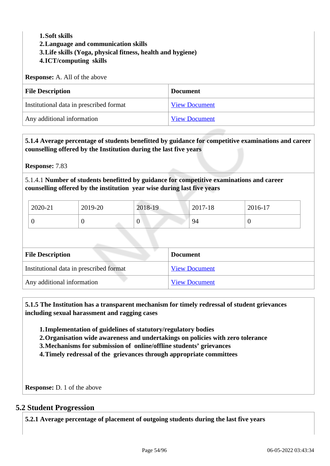# **1.Soft skills 2.Language and communication skills 3.Life skills (Yoga, physical fitness, health and hygiene) 4.ICT/computing skills Response:** A. All of the above **File Description Document** Institutional data in prescribed format View Document

| Any additional information | View Document |
|----------------------------|---------------|

 **5.1.4 Average percentage of students benefitted by guidance for competitive examinations and career counselling offered by the Institution during the last five years**

**Response:** 7.83

5.1.4.1 **Number of students benefitted by guidance for competitive examinations and career counselling offered by the institution year wise during last five years**

| 2020-21 | 2019-20 | 2018-19 | 2017-18 | 2016-17 |
|---------|---------|---------|---------|---------|
|         |         |         | 94      |         |

| <b>File Description</b>                 | <b>Document</b>      |
|-----------------------------------------|----------------------|
| Institutional data in prescribed format | <b>View Document</b> |
| Any additional information              | <b>View Document</b> |

 **5.1.5 The Institution has a transparent mechanism for timely redressal of student grievances including sexual harassment and ragging cases**

**1.Implementation of guidelines of statutory/regulatory bodies**

- **2.Organisation wide awareness and undertakings on policies with zero tolerance**
- **3.Mechanisms for submission of online/offline students' grievances**
- **4.Timely redressal of the grievances through appropriate committees**

**Response:** D. 1 of the above

#### **5.2 Student Progression**

**5.2.1 Average percentage of placement of outgoing students during the last five years**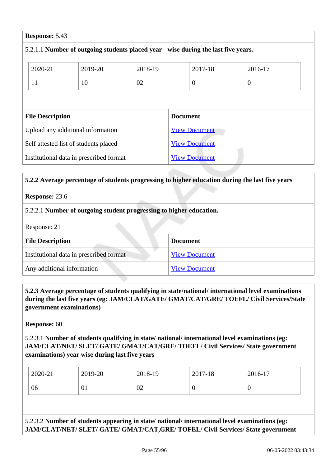#### **Response:** 5.43

| 5.2.1.1 Number of outgoing students placed year - wise during the last five years. |         |         |                 |                      |                  |  |
|------------------------------------------------------------------------------------|---------|---------|-----------------|----------------------|------------------|--|
| 2020-21                                                                            | 2019-20 | 2018-19 |                 | 2017-18              | 2016-17          |  |
| 11                                                                                 | 10      | 02      |                 | $\overline{0}$       | $\boldsymbol{0}$ |  |
|                                                                                    |         |         |                 |                      |                  |  |
| <b>File Description</b>                                                            |         |         | <b>Document</b> |                      |                  |  |
| Upload any additional information                                                  |         |         |                 | <b>View Document</b> |                  |  |
| Self attested list of students placed                                              |         |         |                 | <b>View Document</b> |                  |  |
| Institutional data in prescribed format                                            |         |         |                 | <b>View Document</b> |                  |  |
|                                                                                    |         |         |                 |                      |                  |  |

#### **5.2.2 Average percentage of students progressing to higher education during the last five years**

#### **Response:** 23.6

#### 5.2.2.1 **Number of outgoing student progressing to higher education.**

Response: 21

| <b>File Description</b>                 | <b>Document</b>      |
|-----------------------------------------|----------------------|
| Institutional data in prescribed format | <b>View Document</b> |
| Any additional information              | <b>View Document</b> |

# **5.2.3 Average percentage of students qualifying in state/national/ international level examinations during the last five years (eg: JAM/CLAT/GATE/ GMAT/CAT/GRE/ TOEFL/ Civil Services/State government examinations)**

**Response:** 60

5.2.3.1 **Number of students qualifying in state/ national/ international level examinations (eg: JAM/CLAT/NET/ SLET/ GATE/ GMAT/CAT/GRE/ TOEFL/ Civil Services/ State government examinations) year wise during last five years**

| 2020-21 | 2019-20 | 2018-19 | 2017-18 | 2016-17          |
|---------|---------|---------|---------|------------------|
| 06      | V I     | 02      | ◡       | $\boldsymbol{0}$ |

# 5.2.3.2 **Number of students appearing in state/ national/ international level examinations (eg: JAM/CLAT/NET/ SLET/ GATE/ GMAT/CAT,GRE/ TOFEL/ Civil Services/ State government**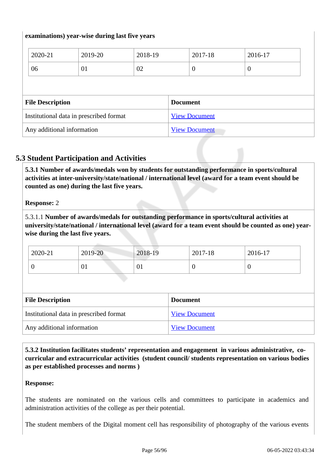#### **examinations) year-wise during last five years**

| 2020-21                                 | 2019-20 | 2018-19 |                 | 2017-18              | 2016-17  |
|-----------------------------------------|---------|---------|-----------------|----------------------|----------|
| 06                                      | 01      | 02      |                 | $\overline{0}$       | $\theta$ |
|                                         |         |         |                 |                      |          |
|                                         |         |         |                 |                      |          |
| <b>File Description</b>                 |         |         | <b>Document</b> |                      |          |
| Institutional data in prescribed format |         |         |                 | <b>View Document</b> |          |

# **5.3 Student Participation and Activities**

 **5.3.1 Number of awards/medals won by students for outstanding performance in sports/cultural activities at inter-university/state/national / international level (award for a team event should be counted as one) during the last five years.**

**Response:** 2

5.3.1.1 **Number of awards/medals for outstanding performance in sports/cultural activities at university/state/national / international level (award for a team event should be counted as one) yearwise during the last five years.**

| 2020-21 | 2019-20 | 2018-19 | 2017-18 | 2016-17 |
|---------|---------|---------|---------|---------|
|         | UI      | U1.     |         | ◡       |

| <b>File Description</b>                 | <b>Document</b>      |
|-----------------------------------------|----------------------|
| Institutional data in prescribed format | <b>View Document</b> |
| Any additional information              | <b>View Document</b> |

 **5.3.2 Institution facilitates students' representation and engagement in various administrative, cocurricular and extracurricular activities (student council/ students representation on various bodies as per established processes and norms )**

#### **Response:**

The students are nominated on the various cells and committees to participate in academics and administration activities of the college as per their potential.

The student members of the Digital moment cell has responsibility of photography of the various events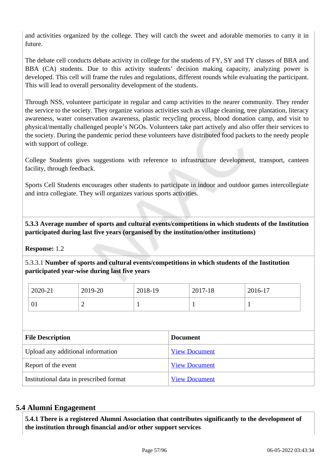and activities organized by the college. They will catch the sweet and adorable memories to carry it in future.

The debate cell conducts debate activity in college for the students of FY, SY and TY classes of BBA and BBA (CA) students. Due to this activity students' decision making capacity, analyzing power is developed. This cell will frame the rules and regulations, different rounds while evaluating the participant. This will lead to overall personality development of the students.

Through NSS, volunteer participate in regular and camp activities to the nearer community. They render the service to the society. They organize various activities such as village cleaning, tree plantation, literacy awareness, water conservation awareness, plastic recycling process, blood donation camp, and visit to physical/mentally challenged people's NGOs. Volunteers take part actively and also offer their services to the society. During the pandemic period these volunteers have distributed food packets to the needy people with support of college.

College Students gives suggestions with reference to infrastructure development, transport, canteen facility, through feedback.

Sports Cell Students encourages other students to participate in indoor and outdoor games intercollegiate and intra collegiate. They will organizes various sports activities.

 **5.3.3 Average number of sports and cultural events/competitions in which students of the Institution participated during last five years (organised by the institution/other institutions)**

**Response:** 1.2

5.3.3.1 **Number of sports and cultural events/competitions in which students of the Institution participated year-wise during last five years**

| 2020-21 | 2019-20   | 2018-19 | 2017-18 | 2016-17 |
|---------|-----------|---------|---------|---------|
| Ω,      | <b>__</b> |         |         |         |

| <b>File Description</b>                 | <b>Document</b>      |
|-----------------------------------------|----------------------|
| Upload any additional information       | <b>View Document</b> |
| Report of the event                     | <b>View Document</b> |
| Institutional data in prescribed format | <b>View Document</b> |

# **5.4 Alumni Engagement**

 **5.4.1 There is a registered Alumni Association that contributes significantly to the development of the institution through financial and/or other support services**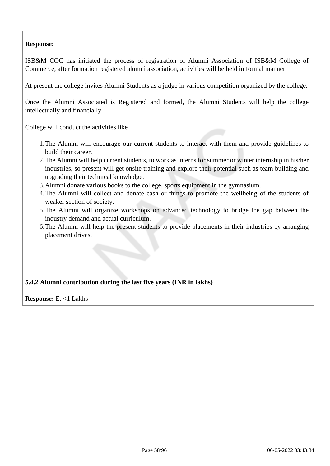# **Response:**

ISB&M COC has initiated the process of registration of Alumni Association of ISB&M College of Commerce, after formation registered alumni association, activities will be held in formal manner.

At present the college invites Alumni Students as a judge in various competition organized by the college.

Once the Alumni Associated is Registered and formed, the Alumni Students will help the college intellectually and financially.

College will conduct the activities like

- 1.The Alumni will encourage our current students to interact with them and provide guidelines to build their career.
- 2.The Alumni will help current students, to work as interns for summer or winter internship in his/her industries, so present will get onsite training and explore their potential such as team building and upgrading their technical knowledge.
- 3.Alumni donate various books to the college, sports equipment in the gymnasium.
- 4.The Alumni will collect and donate cash or things to promote the wellbeing of the students of weaker section of society.
- 5.The Alumni will organize workshops on advanced technology to bridge the gap between the industry demand and actual curriculum.
- 6.The Alumni will help the present students to provide placements in their industries by arranging placement drives.

# **5.4.2 Alumni contribution during the last five years (INR in lakhs)**

**Response:** E. <1 Lakhs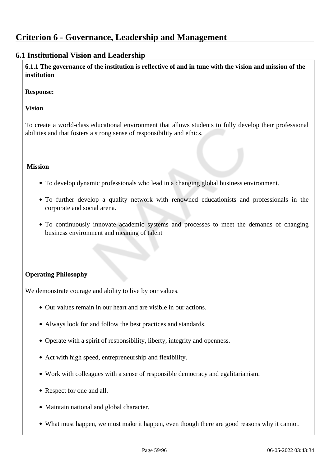# **Criterion 6 - Governance, Leadership and Management**

# **6.1 Institutional Vision and Leadership**

 **6.1.1 The governance of the institution is reflective of and in tune with the vision and mission of the institution**

**Response:** 

#### **Vision**

To create a world-class educational environment that allows students to fully develop their professional abilities and that fosters a strong sense of responsibility and ethics.

#### **Mission**

- To develop dynamic professionals who lead in a changing global business environment.
- To further develop a quality network with renowned educationists and professionals in the corporate and social arena.
- To continuously innovate academic systems and processes to meet the demands of changing business environment and meaning of talent

# **Operating Philosophy**

We demonstrate courage and ability to live by our values.

- Our values remain in our heart and are visible in our actions.
- Always look for and follow the best practices and standards.
- Operate with a spirit of responsibility, liberty, integrity and openness.
- Act with high speed, entrepreneurship and flexibility.
- Work with colleagues with a sense of responsible democracy and egalitarianism.
- Respect for one and all.
- Maintain national and global character.
- What must happen, we must make it happen, even though there are good reasons why it cannot.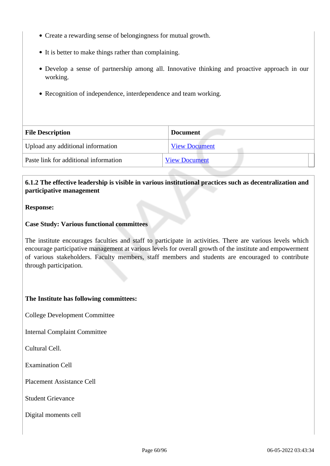- Create a rewarding sense of belongingness for mutual growth.
- It is better to make things rather than complaining.
- Develop a sense of partnership among all. Innovative thinking and proactive approach in our working.
- Recognition of independence, interdependence and team working.

| <b>File Description</b>               | <b>Document</b>      |
|---------------------------------------|----------------------|
| Upload any additional information     | <b>View Document</b> |
| Paste link for additional information | <b>View Document</b> |

# **6.1.2 The effective leadership is visible in various institutional practices such as decentralization and participative management**

#### **Response:**

#### **Case Study: Various functional committees**

The institute encourages faculties and staff to participate in activities. There are various levels which encourage participative management at various levels for overall growth of the institute and empowerment of various stakeholders. Faculty members, staff members and students are encouraged to contribute through participation.

#### **The Institute has following committees:**

College Development Committee

Internal Complaint Committee

Cultural Cell.

Examination Cell

Placement Assistance Cell

Student Grievance

Digital moments cell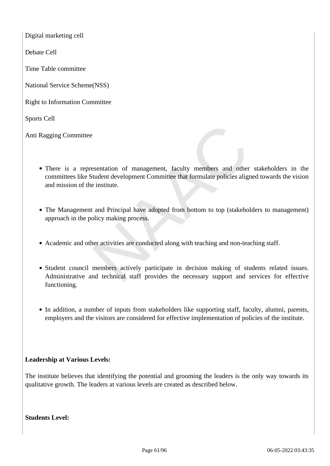Digital marketing cell

Debate Cell

Time Table committee

National Service Scheme(NSS)

Right to Information Committee

Sports Cell

Anti Ragging Committee

- There is a representation of management, faculty members and other stakeholders in the committees like Student development Committee that formulate policies aligned towards the vision and mission of the institute.
- The Management and Principal have adopted from bottom to top (stakeholders to management) approach in the policy making process.
- Academic and other activities are conducted along with teaching and non-teaching staff.
- Student council members actively participate in decision making of students related issues. Administrative and technical staff provides the necessary support and services for effective functioning.
- In addition, a number of inputs from stakeholders like supporting staff, faculty, alumni, parents, employers and the visitors are considered for effective implementation of policies of the institute.

#### **Leadership at Various Levels:**

The institute believes that identifying the potential and grooming the leaders is the only way towards its qualitative growth. The leaders at various levels are created as described below.

**Students Level:**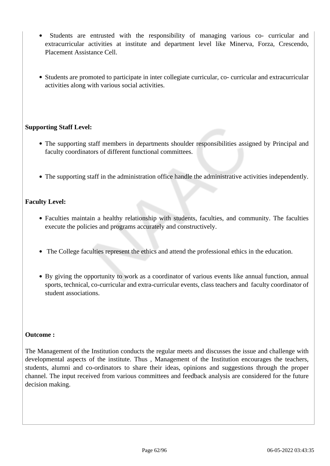- Students are entrusted with the responsibility of managing various co- curricular and extracurricular activities at institute and department level like Minerva, Forza, Crescendo, Placement Assistance Cell.
- Students are promoted to participate in inter collegiate curricular, co- curricular and extracurricular activities along with various social activities.

# **Supporting Staff Level:**

- The supporting staff members in departments shoulder responsibilities assigned by Principal and faculty coordinators of different functional committees.
- The supporting staff in the administration office handle the administrative activities independently.

#### **Faculty Level:**

- Faculties maintain a healthy relationship with students, faculties, and community. The faculties execute the policies and programs accurately and constructively.
- The College faculties represent the ethics and attend the professional ethics in the education.
- By giving the opportunity to work as a coordinator of various events like annual function, annual sports, technical, co-curricular and extra-curricular events, class teachers and faculty coordinator of student associations.

#### **Outcome :**

The Management of the Institution conducts the regular meets and discusses the issue and challenge with developmental aspects of the institute. Thus , Management of the Institution encourages the teachers, students, alumni and co-ordinators to share their ideas, opinions and suggestions through the proper channel. The input received from various committees and feedback analysis are considered for the future decision making.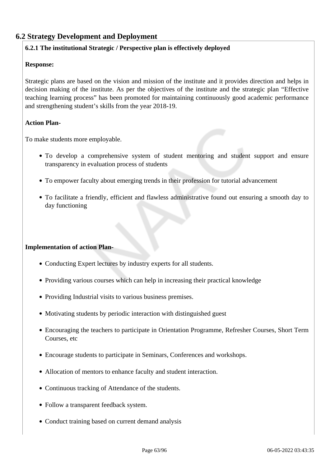# **6.2 Strategy Development and Deployment**

# **6.2.1 The institutional Strategic / Perspective plan is effectively deployed**

#### **Response:**

Strategic plans are based on the vision and mission of the institute and it provides direction and helps in decision making of the institute. As per the objectives of the institute and the strategic plan "Effective teaching learning process" has been promoted for maintaining continuously good academic performance and strengthening student's skills from the year 2018-19.

#### **Action Plan-**

To make students more employable.

- To develop a comprehensive system of student mentoring and student support and ensure transparency in evaluation process of students
- To empower faculty about emerging trends in their profession for tutorial advancement
- To facilitate a friendly, efficient and flawless administrative found out ensuring a smooth day to day functioning

#### **Implementation of action Plan-**

- Conducting Expert lectures by industry experts for all students.
- Providing various courses which can help in increasing their practical knowledge
- Providing Industrial visits to various business premises.
- Motivating students by periodic interaction with distinguished guest
- Encouraging the teachers to participate in Orientation Programme, Refresher Courses, Short Term Courses, etc
- Encourage students to participate in Seminars, Conferences and workshops.
- Allocation of mentors to enhance faculty and student interaction.
- Continuous tracking of Attendance of the students.
- Follow a transparent feedback system.
- Conduct training based on current demand analysis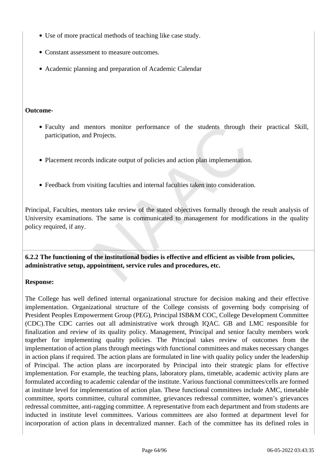- Use of more practical methods of teaching like case study.
- Constant assessment to measure outcomes.
- Academic planning and preparation of Academic Calendar

#### **Outcome-**

- Faculty and mentors monitor performance of the students through their practical Skill, participation, and Projects.
- Placement records indicate output of policies and action plan implementation.
- Feedback from visiting faculties and internal faculties taken into consideration.

Principal, Faculties, mentors take review of the stated objectives formally through the result analysis of University examinations. The same is communicated to management for modifications in the quality policy required, if any.

 **6.2.2 The functioning of the institutional bodies is effective and efficient as visible from policies, administrative setup, appointment, service rules and procedures, etc.**

#### **Response:**

The College has well defined internal organizational structure for decision making and their effective implementation. Organizational structure of the College consists of governing body comprising of President Peoples Empowerment Group (PEG), Principal ISB&M COC, College Development Committee (CDC).The CDC carries out all administrative work through IQAC. GB and LMC responsible for finalization and review of its quality policy. Management, Principal and senior faculty members work together for implementing quality policies. The Principal takes review of outcomes from the implementation of action plans through meetings with functional committees and makes necessary changes in action plans if required. The action plans are formulated in line with quality policy under the leadership of Principal. The action plans are incorporated by Principal into their strategic plans for effective implementation. For example, the teaching plans, laboratory plans, timetable, academic activity plans are formulated according to academic calendar of the institute. Various functional committees/cells are formed at institute level for implementation of action plan. These functional committees include AMC, timetable committee, sports committee, cultural committee, grievances redressal committee, women's grievances redressal committee, anti-ragging committee. A representative from each department and from students are inducted in institute level committees. Various committees are also formed at department level for incorporation of action plans in decentralized manner. Each of the committee has its defined roles in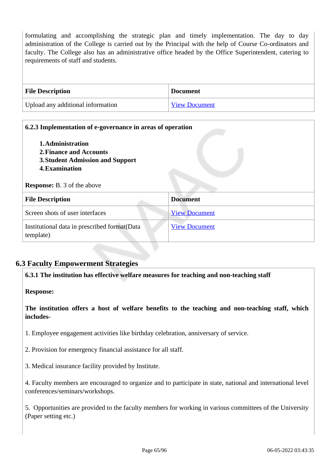formulating and accomplishing the strategic plan and timely implementation. The day to day administration of the College is carried out by the Principal with the help of Course Co-ordinators and faculty. The College also has an administrative office headed by the Office Superintendent, catering to requirements of staff and students.

| <b>File Description</b>           | <b>Document</b>      |
|-----------------------------------|----------------------|
| Upload any additional information | <b>View Document</b> |

| 6.2.3 Implementation of e-governance in areas of operation |
|------------------------------------------------------------|
|                                                            |
| <b>Document</b>                                            |
| <b>View Document</b>                                       |
| <b>View Document</b>                                       |
|                                                            |

# **6.3 Faculty Empowerment Strategies**

**6.3.1 The institution has effective welfare measures for teaching and non-teaching staff**

**Response:** 

**The institution offers a host of welfare benefits to the teaching and non-teaching staff, which includes-**

1. Employee engagement activities like birthday celebration, anniversary of service.

- 2. Provision for emergency financial assistance for all staff.
- 3. Medical insurance facility provided by Institute.

4. Faculty members are encouraged to organize and to participate in state, national and international level conferences/seminars/workshops.

5. Opportunities are provided to the faculty members for working in various committees of the University (Paper setting etc.)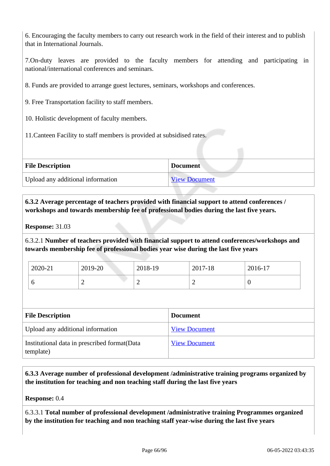6. Encouraging the faculty members to carry out research work in the field of their interest and to publish that in International Journals.

7.On-duty leaves are provided to the faculty members for attending and participating in national/international conferences and seminars.

8. Funds are provided to arrange guest lectures, seminars, workshops and conferences.

9. Free Transportation facility to staff members.

10. Holistic development of faculty members.

11.Canteen Facility to staff members is provided at subsidised rates.

| <b>File Description</b>           | <b>Document</b>      |
|-----------------------------------|----------------------|
| Upload any additional information | <b>View Document</b> |

 **6.3.2 Average percentage of teachers provided with financial support to attend conferences / workshops and towards membership fee of professional bodies during the last five years.**

**Response:** 31.03

6.3.2.1 **Number of teachers provided with financial support to attend conferences/workshops and towards membership fee of professional bodies year wise during the last five years**

| 2020-21 | 2019-20 | 2018-19 | 2017-18 | 2016-17 |
|---------|---------|---------|---------|---------|
| ິ       | ∽       | ∼       | -       | U       |

| <b>File Description</b>                                    | <b>Document</b>      |
|------------------------------------------------------------|----------------------|
| Upload any additional information                          | <b>View Document</b> |
| Institutional data in prescribed format (Data<br>template) | <b>View Document</b> |

 **6.3.3 Average number of professional development /administrative training programs organized by the institution for teaching and non teaching staff during the last five years**

**Response:** 0.4

6.3.3.1 **Total number of professional development /administrative training Programmes organized by the institution for teaching and non teaching staff year-wise during the last five years**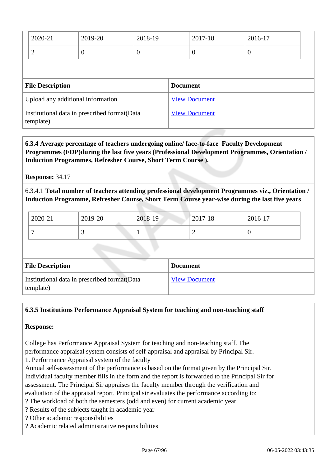| 2020-21                           | 2019-20  | 2018-19 |                 | 2017-18              | 2016-17          |
|-----------------------------------|----------|---------|-----------------|----------------------|------------------|
| 2                                 | $\theta$ | 0       |                 | $\boldsymbol{0}$     | $\boldsymbol{0}$ |
|                                   |          |         |                 |                      |                  |
|                                   |          |         |                 |                      |                  |
| <b>File Description</b>           |          |         | <b>Document</b> |                      |                  |
| Upload any additional information |          |         |                 | <b>View Document</b> |                  |

 **6.3.4 Average percentage of teachers undergoing online/ face-to-face Faculty Development Programmes (FDP)during the last five years (Professional Development Programmes, Orientation / Induction Programmes, Refresher Course, Short Term Course ).**

**Response:** 34.17

6.3.4.1 **Total number of teachers attending professional development Programmes viz., Orientation / Induction Programme, Refresher Course, Short Term Course year-wise during the last five years**

| 2020-21 | 2019-20                  | 2018-19 | 2017-18 | 2016-17 |
|---------|--------------------------|---------|---------|---------|
|         | $\overline{\phantom{0}}$ |         |         |         |

| <b>File Description</b>                                    | <b>Document</b>      |
|------------------------------------------------------------|----------------------|
| Institutional data in prescribed format (Data<br>template) | <b>View Document</b> |

# **6.3.5 Institutions Performance Appraisal System for teaching and non-teaching staff**

#### **Response:**

College has Performance Appraisal System for teaching and non-teaching staff. The performance appraisal system consists of self-appraisal and appraisal by Principal Sir.

1. Performance Appraisal system of the faculty

Annual self-assessment of the performance is based on the format given by the Principal Sir. Individual faculty member fills in the form and the report is forwarded to the Principal Sir for assessment. The Principal Sir appraises the faculty member through the verification and evaluation of the appraisal report. Principal sir evaluates the performance according to:

- ? The workload of both the semesters (odd and even) for current academic year.
- ? Results of the subjects taught in academic year
- ? Other academic responsibilities
- ? Academic related administrative responsibilities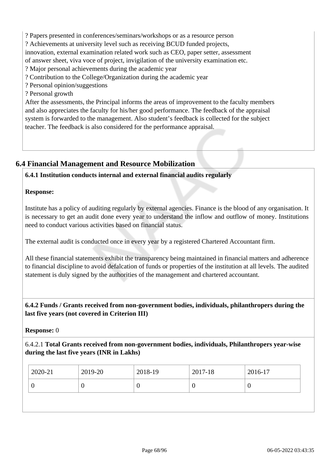? Papers presented in conferences/seminars/workshops or as a resource person ? Achievements at university level such as receiving BCUD funded projects, innovation, external examination related work such as CEO, paper setter, assessment of answer sheet, viva voce of project, invigilation of the university examination etc. ? Major personal achievements during the academic year ? Contribution to the College/Organization during the academic year ? Personal opinion/suggestions ? Personal growth After the assessments, the Principal informs the areas of improvement to the faculty members and also appreciates the faculty for his/her good performance. The feedback of the appraisal system is forwarded to the management. Also student's feedback is collected for the subject

teacher. The feedback is also considered for the performance appraisal.

# **6.4 Financial Management and Resource Mobilization**

# **6.4.1 Institution conducts internal and external financial audits regularly**

# **Response:**

Institute has a policy of auditing regularly by external agencies. Finance is the blood of any organisation. It is necessary to get an audit done every year to understand the inflow and outflow of money. Institutions need to conduct various activities based on financial status.

The external audit is conducted once in every year by a registered Chartered Accountant firm.

All these financial statements exhibit the transparency being maintained in financial matters and adherence to financial discipline to avoid defalcation of funds or properties of the institution at all levels. The audited statement is duly signed by the authorities of the management and chartered accountant.

# **6.4.2 Funds / Grants received from non-government bodies, individuals, philanthropers during the last five years (not covered in Criterion III)**

# **Response:** 0

6.4.2.1 **Total Grants received from non-government bodies, individuals, Philanthropers year-wise during the last five years (INR in Lakhs)**

| 2019-20<br>2020-21<br>2018-19<br>2017-18 | 2016-17 |
|------------------------------------------|---------|
| $\theta$<br>U<br>ν                       | ν       |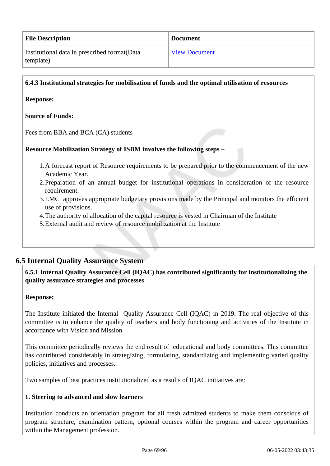| <b>File Description</b>                                    | <b>Document</b>      |
|------------------------------------------------------------|----------------------|
| Institutional data in prescribed format (Data<br>template) | <b>View Document</b> |

#### **6.4.3 Institutional strategies for mobilisation of funds and the optimal utilisation of resources**

#### **Response:**

#### **Source of Funds:**

Fees from BBA and BCA (CA) students

#### **Resource Mobilization Strategy of ISBM involves the following steps –**

- 1.A forecast report of Resource requirements to be prepared prior to the commencement of the new Academic Year.
- 2.Preparation of an annual budget for institutional operations in consideration of the resource requirement.
- 3.LMC approves appropriate budgetary provisions made by the Principal and monitors the efficient use of provisions.
- 4.The authority of allocation of the capital resource is vested in Chairman of the Institute
- 5.External audit and review of resource mobilization at the Institute

# **6.5 Internal Quality Assurance System**

# **6.5.1 Internal Quality Assurance Cell (IQAC) has contributed significantly for institutionalizing the quality assurance strategies and processes**

#### **Response:**

The Institute initiated the Internal Quality Assurance Cell (IQAC) in 2019. The real objective of this committee is to enhance the quality of teachers and body functioning and activities of the Institute in accordance with Vision and Mission.

This committee periodically reviews the end result of educational and body committees. This committee has contributed considerably in strategizing, formulating, standardizing and implementing varied quality policies, initiatives and processes.

Two samples of best practices institutionalized as a results of IQAC initiatives are:

#### **1. Steering to advanced and slow learners**

**I**nstitution conducts an orientation program for all fresh admitted students to make them conscious of program structure, examination pattern, optional courses within the program and career opportunities within the Management profession.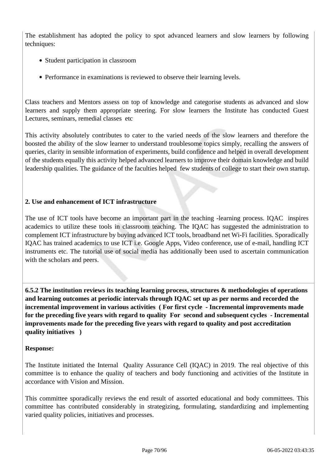The establishment has adopted the policy to spot advanced learners and slow learners by following techniques:

- Student participation in classroom
- Performance in examinations is reviewed to observe their learning levels.

Class teachers and Mentors assess on top of knowledge and categorise students as advanced and slow learners and supply them appropriate steering. For slow learners the Institute has conducted Guest Lectures, seminars, remedial classes etc

This activity absolutely contributes to cater to the varied needs of the slow learners and therefore the boosted the ability of the slow learner to understand troublesome topics simply, recalling the answers of queries, clarity in sensible information of experiments, build confidence and helped in overall development of the students equally this activity helped advanced learners to improve their domain knowledge and build leadership qualities. The guidance of the faculties helped few students of college to start their own startup.

# **2. Use and enhancement of ICT infrastructure**

The use of ICT tools have become an important part in the teaching -learning process. IQAC inspires academics to utilize these tools in classroom teaching. The IQAC has suggested the administration to complement ICT infrastructure by buying advanced ICT tools, broadband net Wi-Fi facilities. Sporadically IQAC has trained academics to use ICT i.e. Google Apps, Video conference, use of e-mail, handling ICT instruments etc. The tutorial use of social media has additionally been used to ascertain communication with the scholars and peers.

 **6.5.2 The institution reviews its teaching learning process, structures & methodologies of operations and learning outcomes at periodic intervals through IQAC set up as per norms and recorded the incremental improvement in various activities ( For first cycle - Incremental improvements made for the preceding five years with regard to quality For second and subsequent cycles - Incremental improvements made for the preceding five years with regard to quality and post accreditation quality initiatives )** 

#### **Response:**

The Institute initiated the Internal Quality Assurance Cell (IQAC) in 2019. The real objective of this committee is to enhance the quality of teachers and body functioning and activities of the Institute in accordance with Vision and Mission.

This committee sporadically reviews the end result of assorted educational and body committees. This committee has contributed considerably in strategizing, formulating, standardizing and implementing varied quality policies, initiatives and processes.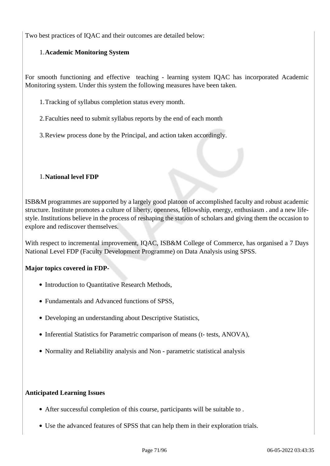Two best practices of IQAC and their outcomes are detailed below:

#### 1.**Academic Monitoring System**

For smooth functioning and effective teaching - learning system IQAC has incorporated Academic Monitoring system. Under this system the following measures have been taken.

1.Tracking of syllabus completion status every month.

2.Faculties need to submit syllabus reports by the end of each month

3.Review process done by the Principal, and action taken accordingly.

#### 1.**National level FDP**

ISB&M programmes are supported by a largely good platoon of accomplished faculty and robust academic structure. Institute promotes a culture of liberty, openness, fellowship, energy, enthusiasm . and a new lifestyle. Institutions believe in the process of reshaping the station of scholars and giving them the occasion to explore and rediscover themselves.

With respect to incremental improvement, IQAC, ISB&M College of Commerce, has organised a 7 Days National Level FDP (Faculty Development Programme) on Data Analysis using SPSS.

#### **Major topics covered in FDP-**

- Introduction to Quantitative Research Methods,
- Fundamentals and Advanced functions of SPSS.
- Developing an understanding about Descriptive Statistics,
- Inferential Statistics for Parametric comparison of means (t- tests, ANOVA),
- Normality and Reliability analysis and Non parametric statistical analysis

#### **Anticipated Learning Issues**

- After successful completion of this course, participants will be suitable to .
- Use the advanced features of SPSS that can help them in their exploration trials.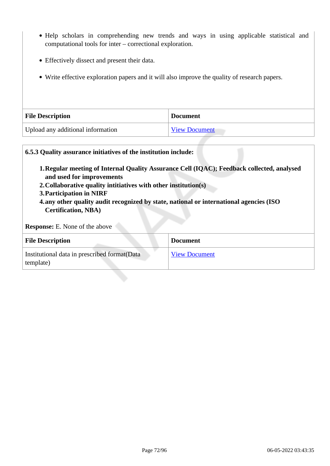- Help scholars in comprehending new trends and ways in using applicable statistical and computational tools for inter – correctional exploration.
- Effectively dissect and present their data.
- Write effective exploration papers and it will also improve the quality of research papers.

| <b>File Description</b>           | <b>Document</b>      |  |
|-----------------------------------|----------------------|--|
| Upload any additional information | <b>View Document</b> |  |

# **6.5.3 Quality assurance initiatives of the institution include: 1.Regular meeting of Internal Quality Assurance Cell (IQAC); Feedback collected, analysed and used for improvements 2.Collaborative quality intitiatives with other institution(s) 3.Participation in NIRF 4.any other quality audit recognized by state, national or international agencies (ISO Certification, NBA) Response:** E. None of the above **File Description Document** Institutional data in prescribed format(Data template) View Document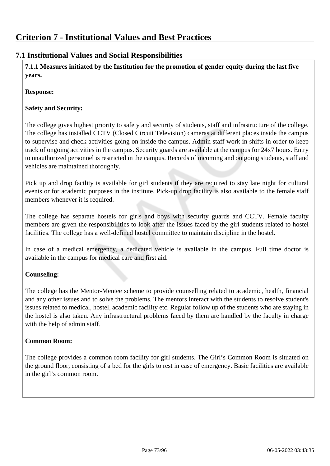#### **7.1 Institutional Values and Social Responsibilities**

 **7.1.1 Measures initiated by the Institution for the promotion of gender equity during the last five years.**

**Response:** 

#### **Safety and Security:**

The college gives highest priority to safety and security of students, staff and infrastructure of the college. The college has installed CCTV (Closed Circuit Television) cameras at different places inside the campus to supervise and check activities going on inside the campus. Admin staff work in shifts in order to keep track of ongoing activities in the campus. Security guards are available at the campus for 24x7 hours. Entry to unauthorized personnel is restricted in the campus. Records of incoming and outgoing students, staff and vehicles are maintained thoroughly.

Pick up and drop facility is available for girl students if they are required to stay late night for cultural events or for academic purposes in the institute. Pick-up drop facility is also available to the female staff members whenever it is required.

The college has separate hostels for girls and boys with security guards and CCTV. Female faculty members are given the responsibilities to look after the issues faced by the girl students related to hostel facilities. The college has a well-defined hostel committee to maintain discipline in the hostel.

In case of a medical emergency, a dedicated vehicle is available in the campus. Full time doctor is available in the campus for medical care and first aid.

#### **Counseling:**

The college has the Mentor-Mentee scheme to provide counselling related to academic, health, financial and any other issues and to solve the problems. The mentors interact with the students to resolve student's issues related to medical, hostel, academic facility etc. Regular follow up of the students who are staying in the hostel is also taken. Any infrastructural problems faced by them are handled by the faculty in charge with the help of admin staff.

#### **Common Room:**

The college provides a common room facility for girl students. The Girl's Common Room is situated on the ground floor, consisting of a bed for the girls to rest in case of emergency. Basic facilities are available in the girl's common room.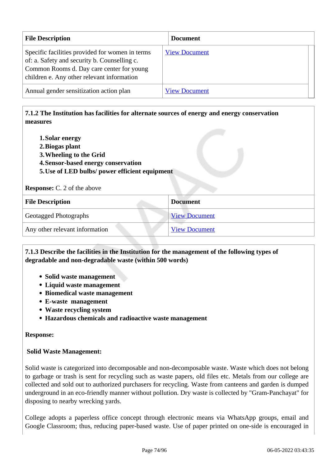| <b>File Description</b>                                                                                                                                                                    | <b>Document</b>      |
|--------------------------------------------------------------------------------------------------------------------------------------------------------------------------------------------|----------------------|
| Specific facilities provided for women in terms<br>of: a. Safety and security b. Counselling c.<br>Common Rooms d. Day care center for young<br>children e. Any other relevant information | <b>View Document</b> |
| Annual gender sensitization action plan                                                                                                                                                    | <b>View Document</b> |

#### **7.1.2 The Institution has facilities for alternate sources of energy and energy conservation measures**

- **1.Solar energy**
- **2.Biogas plant**
- **3.Wheeling to the Grid**
- **4.Sensor-based energy conservation**
- **5.Use of LED bulbs/ power efficient equipment**

**Response:** C. 2 of the above

| <b>File Description</b>        | <b>Document</b>      |
|--------------------------------|----------------------|
| Geotagged Photographs          | <b>View Document</b> |
| Any other relevant information | <b>View Document</b> |

#### **7.1.3 Describe the facilities in the Institution for the management of the following types of degradable and non-degradable waste (within 500 words)**

- **Solid waste management**
- **Liquid waste management**
- **Biomedical waste management**
- **E-waste management**
- **Waste recycling system**
- **Hazardous chemicals and radioactive waste management**

#### **Response:**

#### **Solid Waste Management:**

Solid waste is categorized into decomposable and non-decomposable waste. Waste which does not belong to garbage or trash is sent for recycling such as waste papers, old files etc. Metals from our college are collected and sold out to authorized purchasers for recycling. Waste from canteens and garden is dumped underground in an eco-friendly manner without pollution. Dry waste is collected by "Gram-Panchayat" for disposing to nearby wrecking yards.

College adopts a paperless office concept through electronic means via WhatsApp groups, email and Google Classroom; thus, reducing paper-based waste. Use of paper printed on one-side is encouraged in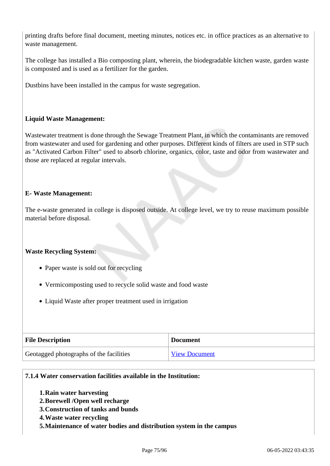printing drafts before final document, meeting minutes, notices etc. in office practices as an alternative to waste management.

The college has installed a Bio composting plant, wherein, the biodegradable kitchen waste, garden waste is composted and is used as a fertilizer for the garden.

Dustbins have been installed in the campus for waste segregation.

#### **Liquid Waste Management:**

Wastewater treatment is done through the Sewage Treatment Plant, in which the contaminants are removed from wastewater and used for gardening and other purposes. Different kinds of filters are used in STP such as "Activated Carbon Filter" used to absorb chlorine, organics, color, taste and odor from wastewater and those are replaced at regular intervals.

#### **E- Waste Management:**

The e-waste generated in college is disposed outside. At college level, we try to reuse maximum possible material before disposal.

#### **Waste Recycling System:**

- Paper waste is sold out for recycling
- Vermicomposting used to recycle solid waste and food waste
- Liquid Waste after proper treatment used in irrigation

| <b>File Description</b>                 | <b>Document</b>      |  |  |
|-----------------------------------------|----------------------|--|--|
| Geotagged photographs of the facilities | <b>View Document</b> |  |  |

#### **7.1.4 Water conservation facilities available in the Institution:**

- **1.Rain water harvesting**
- **2.Borewell /Open well recharge**
- **3.Construction of tanks and bunds**
- **4.Waste water recycling**
- **5.Maintenance of water bodies and distribution system in the campus**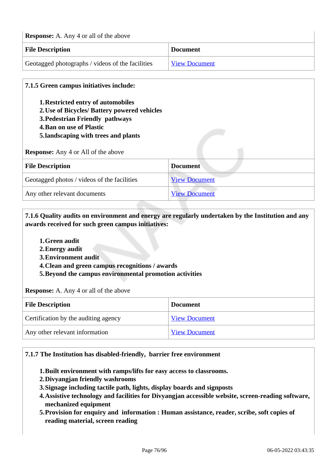| <b>Response:</b> A. Any 4 or all of the above    |                      |  |  |  |
|--------------------------------------------------|----------------------|--|--|--|
| <b>File Description</b><br><b>Document</b>       |                      |  |  |  |
| Geotagged photographs / videos of the facilities | <b>View Document</b> |  |  |  |

# **7.1.5 Green campus initiatives include: 1.Restricted entry of automobiles 2.Use of Bicycles/ Battery powered vehicles 3.Pedestrian Friendly pathways 4.Ban on use of Plastic 5.landscaping with trees and plants Response:** Any 4 or All of the above **File Description Document** Geotagged photos / videos of the facilities View Document Any other relevant documents View Document

 **7.1.6 Quality audits on environment and energy are regularly undertaken by the Institution and any awards received for such green campus initiatives:**

- **1.Green audit**
- **2.Energy audit**
- **3.Environment audit**
- **4.Clean and green campus recognitions / awards**
- **5.Beyond the campus environmental promotion activities**

**Response:** A. Any 4 or all of the above

| <b>File Description</b>              | <b>Document</b>      |  |
|--------------------------------------|----------------------|--|
| Certification by the auditing agency | <b>View Document</b> |  |
| Any other relevant information       | <b>View Document</b> |  |

#### **7.1.7 The Institution has disabled-friendly, barrier free environment**

**1.Built environment with ramps/lifts for easy access to classrooms.**

- **2.Divyangjan friendly washrooms**
- **3.Signage including tactile path, lights, display boards and signposts**
- **4.Assistive technology and facilities for Divyangjan accessible website, screen-reading software, mechanized equipment**
- **5.Provision for enquiry and information : Human assistance, reader, scribe, soft copies of reading material, screen reading**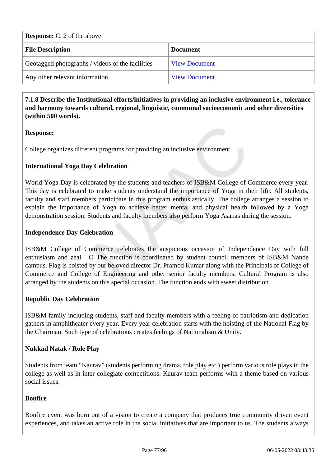| <b>Response:</b> C. 2 of the above               |                      |  |  |  |
|--------------------------------------------------|----------------------|--|--|--|
| <b>File Description</b>                          | <b>Document</b>      |  |  |  |
| Geotagged photographs / videos of the facilities | <b>View Document</b> |  |  |  |
| Any other relevant information                   | <b>View Document</b> |  |  |  |

 **7.1.8 Describe the Institutional efforts/initiatives in providing an inclusive environment i.e., tolerance and harmony towards cultural, regional, linguistic, communal socioeconomic and other diversities (within 500 words).**

#### **Response:**

College organizes different programs for providing an inclusive environment.

#### **International Yoga Day Celebration**

World Yoga Day is celebrated by the students and teachers of ISB&M College of Commerce every year. This day is celebrated to make students understand the importance of Yoga in their life. All students, faculty and staff members participate in this program enthusiastically. The college arranges a session to explain the importance of Yoga to achieve better mental and physical health followed by a Yoga demonstration session. Students and faculty members also perform Yoga Asanas during the session.

#### **Independence Day Celebration**

ISB&M College of Commerce celebrates the auspicious occasion of Independence Day with full enthusiasm and zeal. O The function is coordinated by student council members of ISB&M Nande campus. Flag is hoisted by our beloved director Dr. Pramod Kumar along with the Principals of College of Commerce and College of Engineering and other senior faculty members. Cultural Program is also arranged by the students on this special occasion. The function ends with sweet distribution.

#### **Republic Day Celebration**

ISB&M family including students, staff and faculty members with a feeling of patriotism and dedication gathers in amphitheater every year. Every year celebration starts with the hoisting of the National Flag by the Chairman. Such type of celebrations creates feelings of Nationalism & Unity.

#### **Nukkad Natak / Role Play**

Students from team "Kaurav" (students performing drama, role play etc.) perform various role plays in the college as well as in inter-collegiate competitions. Kaurav team performs with a theme based on various social issues.

#### **Bonfire**

Bonfire event was born out of a vision to create a company that produces true community driven event experiences, and takes an active role in the social initiatives that are important to us. The students always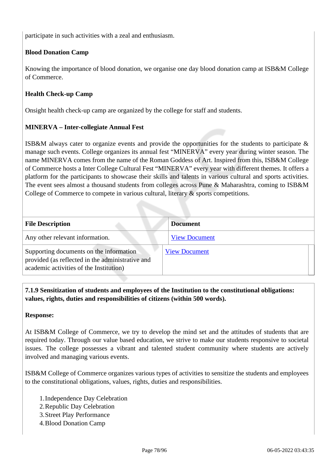participate in such activities with a zeal and enthusiasm.

#### **Blood Donation Camp**

Knowing the importance of blood donation, we organise one day blood donation camp at ISB&M College of Commerce.

#### **Health Check-up Camp**

Onsight health check-up camp are organized by the college for staff and students.

#### **MINERVA – Inter-collegiate Annual Fest**

ISB&M always cater to organize events and provide the opportunities for the students to participate & manage such events. College organizes its annual fest "MINERVA" every year during winter season. The name MINERVA comes from the name of the Roman Goddess of Art. Inspired from this, ISB&M College of Commerce hosts a Inter College Cultural Fest "MINERVA" every year with different themes. It offers a platform for the participants to showcase their skills and talents in various cultural and sports activities. The event sees almost a thousand students from colleges across Pune & Maharashtra, coming to ISB&M College of Commerce to compete in various cultural, literary & sports competitions.

| <b>File Description</b>                                                                                                                | <b>Document</b>      |
|----------------------------------------------------------------------------------------------------------------------------------------|----------------------|
| Any other relevant information.                                                                                                        | <b>View Document</b> |
| Supporting documents on the information<br>provided (as reflected in the administrative and<br>academic activities of the Institution) | <b>View Document</b> |

 **7.1.9 Sensitization of students and employees of the Institution to the constitutional obligations: values, rights, duties and responsibilities of citizens (within 500 words).**

#### **Response:**

At ISB&M College of Commerce, we try to develop the mind set and the attitudes of students that are required today. Through our value based education, we strive to make our students responsive to societal issues. The college possesses a vibrant and talented student community where students are actively involved and managing various events.

ISB&M College of Commerce organizes various types of activities to sensitize the students and employees to the constitutional obligations, values, rights, duties and responsibilities.

- 1.Independence Day Celebration
- 2.Republic Day Celebration
- 3.Street Play Performance
- 4.Blood Donation Camp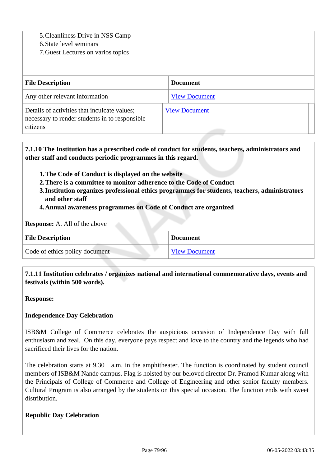5.Cleanliness Drive in NSS Camp

6.State level seminars

7.Guest Lectures on varios topics

| <b>File Description</b>                                                                                    | <b>Document</b>      |
|------------------------------------------------------------------------------------------------------------|----------------------|
| Any other relevant information                                                                             | <b>View Document</b> |
| Details of activities that inculcate values;<br>necessary to render students in to responsible<br>citizens | <b>View Document</b> |

 **7.1.10 The Institution has a prescribed code of conduct for students, teachers, administrators and other staff and conducts periodic programmes in this regard.** 

- **1.The Code of Conduct is displayed on the website**
- **2.There is a committee to monitor adherence to the Code of Conduct**
- **3.Institution organizes professional ethics programmes for students, teachers, administrators and other staff**
- **4.Annual awareness programmes on Code of Conduct are organized**

**Response:** A. All of the above

| <b>File Description</b>        | <b>Document</b>      |
|--------------------------------|----------------------|
| Code of ethics policy document | <b>View Document</b> |

 **7.1.11 Institution celebrates / organizes national and international commemorative days, events and festivals (within 500 words).**

**Response:** 

#### **Independence Day Celebration**

ISB&M College of Commerce celebrates the auspicious occasion of Independence Day with full enthusiasm and zeal. On this day, everyone pays respect and love to the country and the legends who had sacrificed their lives for the nation.

The celebration starts at 9.30 a.m. in the amphitheater. The function is coordinated by student council members of ISB&M Nande campus. Flag is hoisted by our beloved director Dr. Pramod Kumar along with the Principals of College of Commerce and College of Engineering and other senior faculty members. Cultural Program is also arranged by the students on this special occasion. The function ends with sweet distribution.

#### **Republic Day Celebration**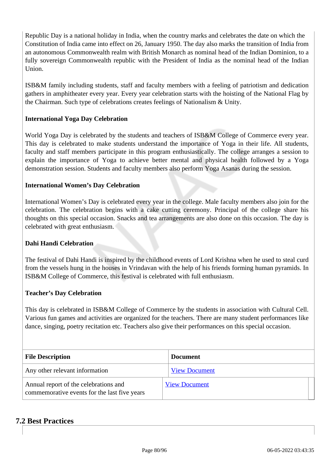Republic Day is a national holiday in India, when the country marks and celebrates the date on which the Constitution of India came into effect on 26, January 1950. The day also marks the transition of India from an autonomous Commonwealth realm with British Monarch as nominal head of the Indian Dominion, to a fully sovereign Commonwealth republic with the President of India as the nominal head of the Indian Union.

ISB&M family including students, staff and faculty members with a feeling of patriotism and dedication gathers in amphitheater every year. Every year celebration starts with the hoisting of the National Flag by the Chairman. Such type of celebrations creates feelings of Nationalism & Unity.

#### **International Yoga Day Celebration**

World Yoga Day is celebrated by the students and teachers of ISB&M College of Commerce every year. This day is celebrated to make students understand the importance of Yoga in their life. All students, faculty and staff members participate in this program enthusiastically. The college arranges a session to explain the importance of Yoga to achieve better mental and physical health followed by a Yoga demonstration session. Students and faculty members also perform Yoga Asanas during the session.

#### **International Women's Day Celebration**

International Women's Day is celebrated every year in the college. Male faculty members also join for the celebration. The celebration begins with a cake cutting ceremony. Principal of the college share his thoughts on this special occasion. Snacks and tea arrangements are also done on this occasion. The day is celebrated with great enthusiasm.

#### **Dahi Handi Celebration**

The festival of Dahi Handi is inspired by the childhood events of Lord Krishna when he used to steal curd from the vessels hung in the houses in Vrindavan with the help of his friends forming human pyramids. In ISB&M College of Commerce, this festival is celebrated with full enthusiasm.

#### **Teacher's Day Celebration**

This day is celebrated in ISB&M College of Commerce by the students in association with Cultural Cell. Various fun games and activities are organized for the teachers. There are many student performances like dance, singing, poetry recitation etc. Teachers also give their performances on this special occasion.

| <b>File Description</b>                                                               | <b>Document</b>      |  |  |
|---------------------------------------------------------------------------------------|----------------------|--|--|
| Any other relevant information                                                        | <b>View Document</b> |  |  |
| Annual report of the celebrations and<br>commemorative events for the last five years | <b>View Document</b> |  |  |

#### **7.2 Best Practices**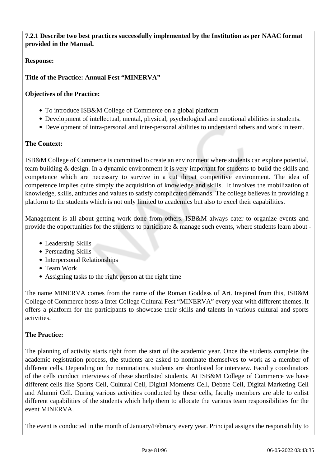**7.2.1 Describe two best practices successfully implemented by the Institution as per NAAC format provided in the Manual.**

#### **Response:**

#### **Title of the Practice: Annual Fest "MINERVA"**

#### **Objectives of the Practice:**

- To introduce ISB&M College of Commerce on a global platform
- Development of intellectual, mental, physical, psychological and emotional abilities in students.
- Development of intra-personal and inter-personal abilities to understand others and work in team.

#### **The Context:**

ISB&M College of Commerce is committed to create an environment where students can explore potential, team building & design. In a dynamic environment it is very important for students to build the skills and competence which are necessary to survive in a cut throat competitive environment. The idea of competence implies quite simply the acquisition of knowledge and skills. It involves the mobilization of knowledge, skills, attitudes and values to satisfy complicated demands. The college believes in providing a platform to the students which is not only limited to academics but also to excel their capabilities.

Management is all about getting work done from others. ISB&M always cater to organize events and provide the opportunities for the students to participate & manage such events, where students learn about -

- Leadership Skills
- Persuading Skills
- Interpersonal Relationships
- Team Work
- Assigning tasks to the right person at the right time

The name MINERVA comes from the name of the Roman Goddess of Art. Inspired from this, ISB&M College of Commerce hosts a Inter College Cultural Fest "MINERVA" every year with different themes. It offers a platform for the participants to showcase their skills and talents in various cultural and sports activities.

#### **The Practice:**

The planning of activity starts right from the start of the academic year. Once the students complete the academic registration process, the students are asked to nominate themselves to work as a member of different cells. Depending on the nominations, students are shortlisted for interview. Faculty coordinators of the cells conduct interviews of these shortlisted students. At ISB&M College of Commerce we have different cells like Sports Cell, Cultural Cell, Digital Moments Cell, Debate Cell, Digital Marketing Cell and Alumni Cell. During various activities conducted by these cells, faculty members are able to enlist different capabilities of the students which help them to allocate the various team responsibilities for the event MINERVA.

The event is conducted in the month of January/February every year. Principal assigns the responsibility to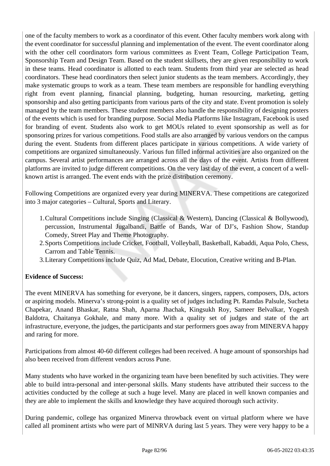one of the faculty members to work as a coordinator of this event. Other faculty members work along with the event coordinator for successful planning and implementation of the event. The event coordinator along with the other cell coordinators form various committees as Event Team, College Participation Team, Sponsorship Team and Design Team. Based on the student skillsets, they are given responsibility to work in these teams. Head coordinator is allotted to each team. Students from third year are selected as head coordinators. These head coordinators then select junior students as the team members. Accordingly, they make systematic groups to work as a team. These team members are responsible for handling everything right from event planning, financial planning, budgeting, human resourcing, marketing, getting sponsorship and also getting participants from various parts of the city and state. Event promotion is solely managed by the team members. These student members also handle the responsibility of designing posters of the events which is used for branding purpose. Social Media Platforms like Instagram, Facebook is used for branding of event. Students also work to get MOUs related to event sponsorship as well as for sponsoring prizes for various competitions. Food stalls are also arranged by various vendors on the campus during the event. Students from different places participate in various competitions. A wide variety of competitions are organized simultaneously. Various fun filled informal activities are also organized on the campus. Several artist performances are arranged across all the days of the event. Artists from different platforms are invited to judge different competitions. On the very last day of the event, a concert of a wellknown artist is arranged. The event ends with the prize distribution ceremony.

Following Competitions are organized every year during MINERVA. These competitions are categorized into 3 major categories – Cultural, Sports and Literary.

- 1.Cultural Competitions include Singing (Classical & Western), Dancing (Classical & Bollywood), percussion, Instrumental Jugalbandi, Battle of Bands, War of DJ's, Fashion Show, Standup Comedy, Street Play and Theme Photography.
- 2.Sports Competitions include Cricket, Football, Volleyball, Basketball, Kabaddi, Aqua Polo, Chess, Carrom and Table Tennis.
- 3.Literary Competitions include Quiz, Ad Mad, Debate, Elocution, Creative writing and B-Plan.

#### **Evidence of Success:**

The event MINERVA has something for everyone, be it dancers, singers, rappers, composers, DJs, actors or aspiring models. Minerva's strong-point is a quality set of judges including Pt. Ramdas Palsule, Sucheta Chapekar, Anand Bhaskar, Ratna Shah, Aparna Jhachak, Kingsukh Roy, Sameer Belvalkar, Yogesh Baldotra, Chaitanya Gokhale, and many more. With a quality set of judges and state of the art infrastructure, everyone, the judges, the participants and star performers goes away from MINERVA happy and raring for more.

Participations from almost 40-60 different colleges had been received. A huge amount of sponsorships had also been received from different vendors across Pune.

Many students who have worked in the organizing team have been benefited by such activities. They were able to build intra-personal and inter-personal skills. Many students have attributed their success to the activities conducted by the college at such a huge level. Many are placed in well known companies and they are able to implement the skills and knowledge they have acquired thorough such activity.

During pandemic, college has organized Minerva throwback event on virtual platform where we have called all prominent artists who were part of MINRVA during last 5 years. They were very happy to be a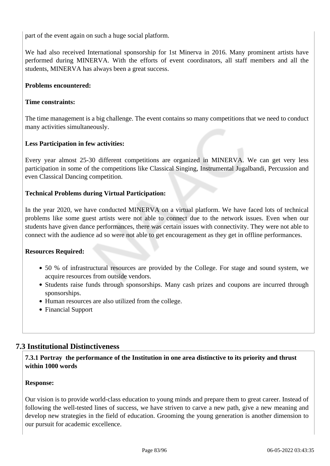part of the event again on such a huge social platform.

We had also received International sponsorship for 1st Minerva in 2016. Many prominent artists have performed during MINERVA. With the efforts of event coordinators, all staff members and all the students, MINERVA has always been a great success.

#### **Problems encountered:**

#### **Time constraints:**

The time management is a big challenge. The event contains so many competitions that we need to conduct many activities simultaneously.

#### **Less Participation in few activities:**

Every year almost 25-30 different competitions are organized in MINERVA. We can get very less participation in some of the competitions like Classical Singing, Instrumental Jugalbandi, Percussion and even Classical Dancing competition.

#### **Technical Problems during Virtual Participation:**

In the year 2020, we have conducted MINERVA on a virtual platform. We have faced lots of technical problems like some guest artists were not able to connect due to the network issues. Even when our students have given dance performances, there was certain issues with connectivity. They were not able to connect with the audience ad so were not able to get encouragement as they get in offline performances.

#### **Resources Required:**

- 50 % of infrastructural resources are provided by the College. For stage and sound system, we acquire resources from outside vendors.
- Students raise funds through sponsorships. Many cash prizes and coupons are incurred through sponsorships.
- Human resources are also utilized from the college.
- Financial Support

#### **7.3 Institutional Distinctiveness**

#### **7.3.1 Portray the performance of the Institution in one area distinctive to its priority and thrust within 1000 words**

#### **Response:**

Our vision is to provide world-class education to young minds and prepare them to great career. Instead of following the well-tested lines of success, we have striven to carve a new path, give a new meaning and develop new strategies in the field of education. Grooming the young generation is another dimension to our pursuit for academic excellence.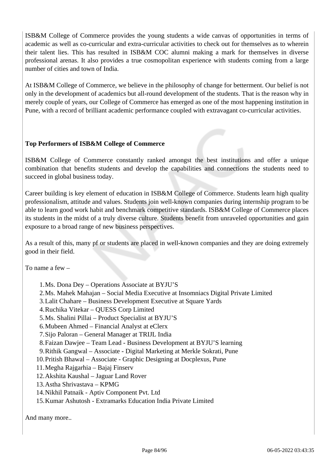ISB&M College of Commerce provides the young students a wide canvas of opportunities in terms of academic as well as co-curricular and extra-curricular activities to check out for themselves as to wherein their talent lies. This has resulted in ISB&M COC alumni making a mark for themselves in diverse professional arenas. It also provides a true cosmopolitan experience with students coming from a large number of cities and town of India.

At ISB&M College of Commerce, we believe in the philosophy of change for betterment. Our belief is not only in the development of academics but all-round development of the students. That is the reason why in merely couple of years, our College of Commerce has emerged as one of the most happening institution in Pune, with a record of brilliant academic performance coupled with extravagant co-curricular activities.

#### **Top Performers of ISB&M College of Commerce**

ISB&M College of Commerce constantly ranked amongst the best institutions and offer a unique combination that benefits students and develop the capabilities and connections the students need to succeed in global business today.

Career building is key element of education in ISB&M College of Commerce. Students learn high quality professionalism, attitude and values. Students join well-known companies during internship program to be able to learn good work habit and benchmark competitive standards. ISB&M College of Commerce places its students in the midst of a truly diverse culture. Students benefit from unraveled opportunities and gain exposure to a broad range of new business perspectives.

As a result of this, many pf or students are placed in well-known companies and they are doing extremely good in their field.

To name a few –

- 1.Ms. Dona Dey Operations Associate at BYJU'S
- 2.Ms. Mahek Mahajan Social Media Executive at Insomniacs Digital Private Limited
- 3.Lalit Chahare Business Development Executive at Square Yards
- 4.Ruchika Vitekar QUESS Corp Limited
- 5.Ms. Shalini Pillai Product Specialist at BYJU'S
- 6.Mubeen Ahmed Financial Analyst at eClerx
- 7.Sijo Paloran General Manager at TRIJL India
- 8.Faizan Dawjee Team Lead Business Development at BYJU'S learning
- 9.Rithik Gangwal Associate Digital Marketing at Merkle Sokrati, Pune
- 10.Pritish Bhawal Associate Graphic Designing at Docplexus, Pune
- 11.Megha Rajgarhia Bajaj Finserv
- 12.Akshita Kaushal Jaguar Land Rover
- 13.Astha Shrivastava KPMG
- 14.Nikhil Patnaik Aptiv Component Pvt. Ltd
- 15.Kumar Ashutosh Extramarks Education India Private Limited

And many more..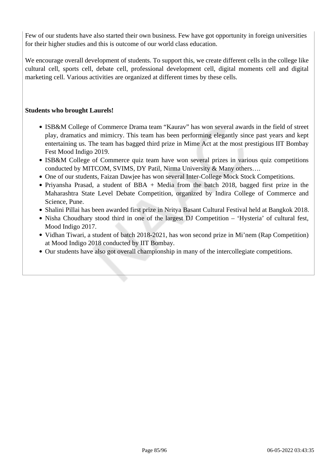Few of our students have also started their own business. Few have got opportunity in foreign universities for their higher studies and this is outcome of our world class education.

We encourage overall development of students. To support this, we create different cells in the college like cultural cell, sports cell, debate cell, professional development cell, digital moments cell and digital marketing cell. Various activities are organized at different times by these cells.

#### **Students who brought Laurels!**

- ISB&M College of Commerce Drama team "Kaurav" has won several awards in the field of street play, dramatics and mimicry. This team has been performing elegantly since past years and kept entertaining us. The team has bagged third prize in Mime Act at the most prestigious IIT Bombay Fest Mood Indigo 2019.
- ISB&M College of Commerce quiz team have won several prizes in various quiz competitions conducted by MITCOM, SVIMS, DY Patil, Nirma University & Many others….
- One of our students, Faizan Dawjee has won several Inter-College Mock Stock Competitions.
- Priyansha Prasad, a student of BBA + Media from the batch 2018, bagged first prize in the Maharashtra State Level Debate Competition, organized by Indira College of Commerce and Science, Pune.
- Shalini Pillai has been awarded first prize in Nritya Basant Cultural Festival held at Bangkok 2018.
- Nisha Choudhary stood third in one of the largest DJ Competition 'Hysteria' of cultural fest, Mood Indigo 2017.
- Vidhan Tiwari, a student of batch 2018-2021, has won second prize in Mi'nem (Rap Competition) at Mood Indigo 2018 conducted by IIT Bombay.
- Our students have also got overall championship in many of the intercollegiate competitions.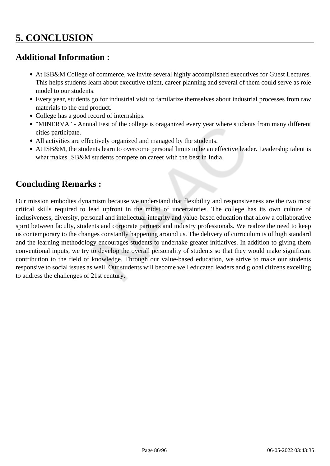## **Additional Information :**

- At ISB&M College of commerce, we invite several highly accomplished executives for Guest Lectures. This helps students learn about executive talent, career planning and several of them could serve as role model to our students.
- Every year, students go for industrial visit to familarize themselves about industrial processes from raw materials to the end product.
- College has a good record of internships.
- "MINERVA" Annual Fest of the college is oraganized every year where students from many different cities participate.
- All activities are effectively organized and managed by the students.
- At ISB&M, the students learn to overcome personal limits to be an effective leader. Leadership talent is what makes ISB&M students compete on career with the best in India.

## **Concluding Remarks :**

Our mission embodies dynamism because we understand that flexibility and responsiveness are the two most critical skills required to lead upfront in the midst of uncertainties. The college has its own culture of inclusiveness, diversity, personal and intellectual integrity and value-based education that allow a collaborative spirit between faculty, students and corporate partners and industry professionals. We realize the need to keep us contemporary to the changes constantly happening around us. The delivery of curriculum is of high standard and the learning methodology encourages students to undertake greater initiatives. In addition to giving them conventional inputs, we try to develop the overall personality of students so that they would make significant contribution to the field of knowledge. Through our value-based education, we strive to make our students responsive to social issues as well. Our students will become well educated leaders and global citizens excelling to address the challenges of 21st century.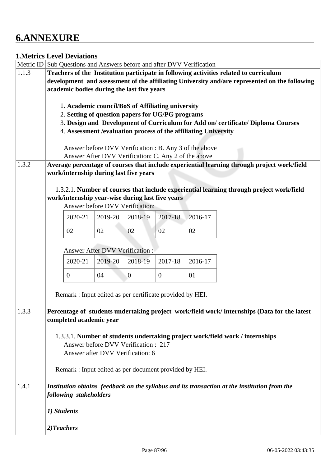## **6.ANNEXURE**

#### **1.Metrics Level Deviations**

|       | Metric ID Sub Questions and Answers before and after DVV Verification                         |                                                        |                  |                  |         |                                                                                              |  |
|-------|-----------------------------------------------------------------------------------------------|--------------------------------------------------------|------------------|------------------|---------|----------------------------------------------------------------------------------------------|--|
| 1.1.3 | Teachers of the Institution participate in following activities related to curriculum         |                                                        |                  |                  |         |                                                                                              |  |
|       | development and assessment of the affiliating University and/are represented on the following |                                                        |                  |                  |         |                                                                                              |  |
|       | academic bodies during the last five years                                                    |                                                        |                  |                  |         |                                                                                              |  |
|       |                                                                                               |                                                        |                  |                  |         |                                                                                              |  |
|       | 1. Academic council/BoS of Affiliating university                                             |                                                        |                  |                  |         |                                                                                              |  |
|       | 2. Setting of question papers for UG/PG programs                                              |                                                        |                  |                  |         |                                                                                              |  |
|       |                                                                                               |                                                        |                  |                  |         | 3. Design and Development of Curriculum for Add on/certificate/Diploma Courses               |  |
|       | 4. Assessment / evaluation process of the affiliating University                              |                                                        |                  |                  |         |                                                                                              |  |
|       |                                                                                               |                                                        |                  |                  |         |                                                                                              |  |
|       |                                                                                               | Answer before DVV Verification : B. Any 3 of the above |                  |                  |         |                                                                                              |  |
|       |                                                                                               | Answer After DVV Verification: C. Any 2 of the above   |                  |                  |         |                                                                                              |  |
| 1.3.2 | work/internship during last five years                                                        |                                                        |                  |                  |         | Average percentage of courses that include experiential learning through project work/field  |  |
|       |                                                                                               |                                                        |                  |                  |         |                                                                                              |  |
|       |                                                                                               |                                                        |                  |                  |         | 1.3.2.1. Number of courses that include experiential learning through project work/field     |  |
|       | work/internship year-wise during last five years                                              |                                                        |                  |                  |         |                                                                                              |  |
|       |                                                                                               | Answer before DVV Verification:                        |                  |                  |         |                                                                                              |  |
|       | 2020-21                                                                                       | 2019-20                                                | 2018-19          | 2017-18          | 2016-17 |                                                                                              |  |
|       | 02                                                                                            | 02                                                     | 02               | 02               | 02      |                                                                                              |  |
|       |                                                                                               |                                                        |                  |                  |         |                                                                                              |  |
|       |                                                                                               | Answer After DVV Verification :                        |                  |                  |         |                                                                                              |  |
|       | 2020-21                                                                                       | 2019-20                                                | 2018-19          | 2017-18          | 2016-17 |                                                                                              |  |
|       | $\overline{0}$                                                                                | 04                                                     | $\boldsymbol{0}$ | $\boldsymbol{0}$ | 01      |                                                                                              |  |
|       | Remark : Input edited as per certificate provided by HEI.                                     |                                                        |                  |                  |         |                                                                                              |  |
|       |                                                                                               |                                                        |                  |                  |         |                                                                                              |  |
| 1.3.3 |                                                                                               |                                                        |                  |                  |         | Percentage of students undertaking project work/field work/ internships (Data for the latest |  |
|       | completed academic year                                                                       |                                                        |                  |                  |         |                                                                                              |  |
|       |                                                                                               |                                                        |                  |                  |         |                                                                                              |  |
|       | 1.3.3.1. Number of students undertaking project work/field work / internships                 |                                                        |                  |                  |         |                                                                                              |  |
|       | Answer before DVV Verification : 217                                                          |                                                        |                  |                  |         |                                                                                              |  |
|       | Answer after DVV Verification: 6                                                              |                                                        |                  |                  |         |                                                                                              |  |
|       | Remark : Input edited as per document provided by HEI.                                        |                                                        |                  |                  |         |                                                                                              |  |
|       |                                                                                               |                                                        |                  |                  |         |                                                                                              |  |
| 1.4.1 |                                                                                               |                                                        |                  |                  |         | Institution obtains feedback on the syllabus and its transaction at the institution from the |  |
|       | following stakeholders                                                                        |                                                        |                  |                  |         |                                                                                              |  |
|       | 1) Students                                                                                   |                                                        |                  |                  |         |                                                                                              |  |
|       | 2)Teachers                                                                                    |                                                        |                  |                  |         |                                                                                              |  |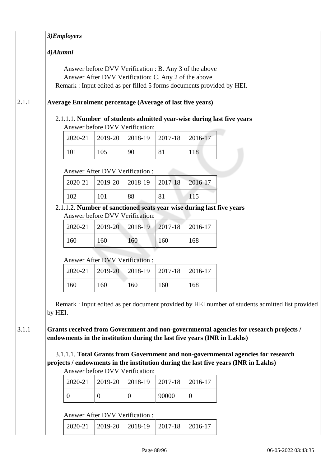|       | 3)Employers                                                                                                                                                                                               |                                                      |                |         |                                                        |  |  |
|-------|-----------------------------------------------------------------------------------------------------------------------------------------------------------------------------------------------------------|------------------------------------------------------|----------------|---------|--------------------------------------------------------|--|--|
|       | 4)Alumni                                                                                                                                                                                                  |                                                      |                |         |                                                        |  |  |
|       | Remark : Input edited as per filled 5 forms documents provided by HEI.                                                                                                                                    | Answer After DVV Verification: C. Any 2 of the above |                |         | Answer before DVV Verification : B. Any 3 of the above |  |  |
| 2.1.1 | <b>Average Enrolment percentage (Average of last five years)</b>                                                                                                                                          |                                                      |                |         |                                                        |  |  |
|       | 2.1.1.1. Number of students admitted year-wise during last five years                                                                                                                                     | Answer before DVV Verification:                      |                |         |                                                        |  |  |
|       | 2020-21                                                                                                                                                                                                   | 2019-20                                              | 2018-19        | 2017-18 | 2016-17                                                |  |  |
|       | 101                                                                                                                                                                                                       | 105                                                  | 90             | 81      | 118                                                    |  |  |
|       |                                                                                                                                                                                                           | Answer After DVV Verification:                       |                |         |                                                        |  |  |
|       | 2020-21                                                                                                                                                                                                   | 2019-20                                              | 2018-19        | 2017-18 | 2016-17                                                |  |  |
|       | 102                                                                                                                                                                                                       | 101                                                  | 88             | 81      | 115                                                    |  |  |
|       | 2.1.1.2. Number of sanctioned seats year wise during last five years                                                                                                                                      | Answer before DVV Verification:                      |                |         |                                                        |  |  |
|       | 2020-21                                                                                                                                                                                                   | 2019-20                                              | 2018-19        | 2017-18 | 2016-17                                                |  |  |
|       | 160                                                                                                                                                                                                       | 160                                                  | 160            | 160     | 168                                                    |  |  |
|       |                                                                                                                                                                                                           | <b>Answer After DVV Verification:</b>                |                |         |                                                        |  |  |
|       | 2020-21                                                                                                                                                                                                   | 2019-20                                              | 2018-19        | 2017-18 | 2016-17                                                |  |  |
|       | 160                                                                                                                                                                                                       | 160                                                  | 160            | 160     | 168                                                    |  |  |
|       | Remark : Input edited as per document provided by HEI number of students admitted list provided<br>by HEI.                                                                                                |                                                      |                |         |                                                        |  |  |
| 3.1.1 | Grants received from Government and non-governmental agencies for research projects /<br>endowments in the institution during the last five years (INR in Lakhs)                                          |                                                      |                |         |                                                        |  |  |
|       | 3.1.1.1. Total Grants from Government and non-governmental agencies for research<br>projects / endowments in the institution during the last five years (INR in Lakhs)<br>Answer before DVV Verification: |                                                      |                |         |                                                        |  |  |
|       | 2020-21                                                                                                                                                                                                   | 2019-20                                              | 2018-19        | 2017-18 | 2016-17                                                |  |  |
|       | $\boldsymbol{0}$                                                                                                                                                                                          | $\theta$                                             | $\overline{0}$ | 90000   | $\overline{0}$                                         |  |  |
|       | Answer After DVV Verification :                                                                                                                                                                           |                                                      |                |         |                                                        |  |  |
|       | 2020-21                                                                                                                                                                                                   | 2019-20                                              | 2018-19        | 2017-18 | 2016-17                                                |  |  |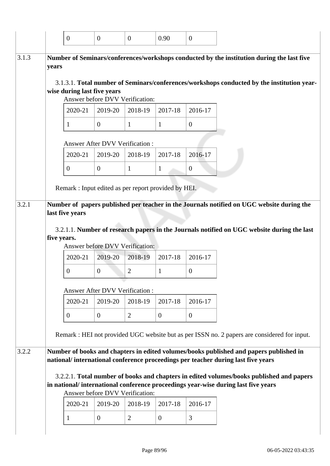|       | $\boldsymbol{0}$                                                                                                                                                              | $\overline{0}$                             | $\overline{0}$ | 0.90           | $\overline{0}$ |
|-------|-------------------------------------------------------------------------------------------------------------------------------------------------------------------------------|--------------------------------------------|----------------|----------------|----------------|
|       | Number of Seminars/conferences/workshops conducted by the institution during the last five                                                                                    |                                            |                |                |                |
| years |                                                                                                                                                                               |                                            |                |                |                |
|       |                                                                                                                                                                               |                                            |                |                |                |
|       | 3.1.3.1. Total number of Seminars/conferences/workshops conducted by the institution year-                                                                                    |                                            |                |                |                |
|       | wise during last five years                                                                                                                                                   | Answer before DVV Verification:            |                |                |                |
|       |                                                                                                                                                                               |                                            |                |                |                |
|       | 2020-21                                                                                                                                                                       | 2019-20                                    | 2018-19        | 2017-18        | 2016-17        |
|       | 1                                                                                                                                                                             | $\overline{0}$                             | $\mathbf{1}$   | 1              | $\overline{0}$ |
|       |                                                                                                                                                                               | Answer After DVV Verification:             |                |                |                |
|       | 2020-21                                                                                                                                                                       | 2019-20                                    | 2018-19        | 2017-18        | 2016-17        |
|       | $\overline{0}$                                                                                                                                                                | $\mathbf{0}$                               | $\mathbf{1}$   | $\mathbf{1}$   | $\mathbf{0}$   |
|       |                                                                                                                                                                               |                                            |                |                |                |
|       | last five years                                                                                                                                                               |                                            |                |                |                |
|       | 3.2.1.1. Number of research papers in the Journals notified on UGC website during the last<br>five years.                                                                     |                                            |                |                |                |
|       | 2020-21                                                                                                                                                                       | Answer before DVV Verification:<br>2019-20 | 2018-19        | 2017-18        | 2016-17        |
|       | $\overline{0}$                                                                                                                                                                | $\overline{0}$                             | $\overline{c}$ | $\mathbf{1}$   | $\overline{0}$ |
|       |                                                                                                                                                                               |                                            |                |                |                |
|       | 2020-21                                                                                                                                                                       | Answer After DVV Verification:<br>2019-20  | 2018-19        | 2017-18        | 2016-17        |
|       | $\mathbf{0}$                                                                                                                                                                  | $\overline{0}$                             | $\overline{2}$ | $\overline{0}$ | $\overline{0}$ |
|       | Remark : HEI not provided UGC website but as per ISSN no. 2 papers are considered for input.                                                                                  |                                            |                |                |                |
|       |                                                                                                                                                                               |                                            |                |                |                |
|       | Number of books and chapters in edited volumes/books published and papers published in<br>national/international conference proceedings per teacher during last five years    |                                            |                |                |                |
|       |                                                                                                                                                                               |                                            |                |                |                |
|       | 3.2.2.1. Total number of books and chapters in edited volumes/books published and papers<br>in national/international conference proceedings year-wise during last five years |                                            |                |                |                |
|       |                                                                                                                                                                               | Answer before DVV Verification:            |                |                |                |
|       | 2020-21                                                                                                                                                                       | 2019-20                                    | 2018-19        | 2017-18        | 2016-17        |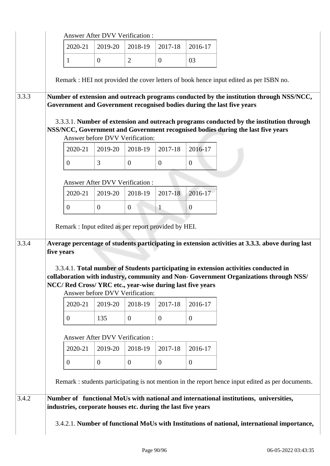|       |            |                | <b>Answer After DVV Verification:</b>                        |                |                |                                                            |                                                                                                                                                                                      |
|-------|------------|----------------|--------------------------------------------------------------|----------------|----------------|------------------------------------------------------------|--------------------------------------------------------------------------------------------------------------------------------------------------------------------------------------|
|       |            | 2020-21        | 2019-20                                                      | 2018-19        | 2017-18        | 2016-17                                                    |                                                                                                                                                                                      |
|       |            | 1              | $\theta$                                                     | $\overline{2}$ | $\overline{0}$ | 03                                                         |                                                                                                                                                                                      |
|       |            |                |                                                              |                |                |                                                            | Remark : HEI not provided the cover letters of book hence input edited as per ISBN no.                                                                                               |
| 3.3.3 |            |                |                                                              |                |                |                                                            | Number of extension and outreach programs conducted by the institution through NSS/NCC,<br>Government and Government recognised bodies during the last five years                    |
|       |            |                | Answer before DVV Verification:                              |                |                |                                                            | 3.3.3.1. Number of extension and outreach programs conducted by the institution through<br>NSS/NCC, Government and Government recognised bodies during the last five years           |
|       |            | 2020-21        | 2019-20                                                      | 2018-19        | 2017-18        | 2016-17                                                    |                                                                                                                                                                                      |
|       |            | $\overline{0}$ | 3                                                            | $\mathbf{0}$   | $\overline{0}$ | $\mathbf{0}$                                               |                                                                                                                                                                                      |
|       |            |                | Answer After DVV Verification :                              |                |                |                                                            |                                                                                                                                                                                      |
|       |            | 2020-21        | 2019-20                                                      | 2018-19        | 2017-18        | 2016-17                                                    |                                                                                                                                                                                      |
|       |            | $\overline{0}$ | $\overline{0}$                                               | $\overline{0}$ | $\mathbf{1}$   | $\overline{0}$                                             |                                                                                                                                                                                      |
|       |            |                | Remark : Input edited as per report provided by HEI.         |                |                |                                                            |                                                                                                                                                                                      |
| 3.3.4 | five years |                |                                                              |                |                |                                                            | Average percentage of students participating in extension activities at 3.3.3. above during last                                                                                     |
|       |            |                | Answer before DVV Verification:                              |                |                | NCC/ Red Cross/ YRC etc., year-wise during last five years | 3.3.4.1. Total number of Students participating in extension activities conducted in<br>collaboration with industry, community and Non-Government Organizations through NSS/         |
|       |            | 2020-21        | 2019-20                                                      | 2018-19        | 2017-18        | 2016-17                                                    |                                                                                                                                                                                      |
|       |            | $\overline{0}$ | 135                                                          | $\mathbf{0}$   | $\overline{0}$ | $\overline{0}$                                             |                                                                                                                                                                                      |
|       |            |                | Answer After DVV Verification :                              |                |                |                                                            |                                                                                                                                                                                      |
|       |            | 2020-21        | 2019-20                                                      | 2018-19        | 2017-18        | 2016-17                                                    |                                                                                                                                                                                      |
|       |            | $\overline{0}$ | $\overline{0}$                                               | $\mathbf{0}$   | $\overline{0}$ | $\overline{0}$                                             |                                                                                                                                                                                      |
|       |            |                |                                                              |                |                |                                                            | Remark : students participating is not mention in the report hence input edited as per documents.                                                                                    |
| 3.4.2 |            |                | industries, corporate houses etc. during the last five years |                |                |                                                            | Number of functional MoUs with national and international institutions, universities,<br>3.4.2.1. Number of functional MoUs with Institutions of national, international importance, |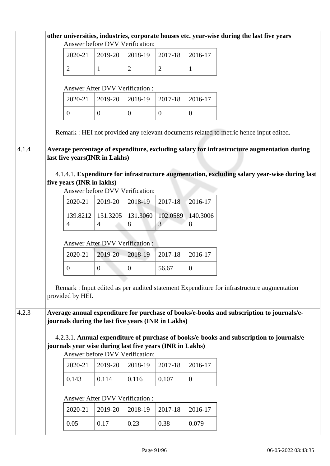|       |                                                          |                                       | Answer before DVV Verification: |                            |                | other universities, industries, corporate houses etc. year-wise during the last five years   |
|-------|----------------------------------------------------------|---------------------------------------|---------------------------------|----------------------------|----------------|----------------------------------------------------------------------------------------------|
|       | 2020-21                                                  | 2019-20                               | 2018-19                         | 2017-18                    | 2016-17        |                                                                                              |
|       | $\overline{2}$                                           | $\mathbf{1}$                          | $\overline{2}$                  | $\overline{2}$             | $\mathbf{1}$   |                                                                                              |
|       |                                                          | Answer After DVV Verification:        |                                 |                            |                |                                                                                              |
|       | 2020-21                                                  | 2019-20                               | 2018-19                         | 2017-18                    | 2016-17        |                                                                                              |
|       | $\overline{0}$                                           | $\boldsymbol{0}$                      | $\overline{0}$                  | $\overline{0}$             | $\mathbf{0}$   |                                                                                              |
|       |                                                          |                                       |                                 |                            |                | Remark : HEI not provided any relevant documents related to metric hence input edited.       |
| 4.1.4 |                                                          |                                       |                                 |                            |                | Average percentage of expenditure, excluding salary for infrastructure augmentation during   |
|       | last five years(INR in Lakhs)                            |                                       |                                 |                            |                |                                                                                              |
|       | five years (INR in lakhs)                                |                                       | Answer before DVV Verification: |                            |                | 4.1.4.1. Expenditure for infrastructure augmentation, excluding salary year-wise during last |
|       | 2020-21                                                  | 2019-20                               | 2018-19                         | $2017 - 18$                | 2016-17        |                                                                                              |
|       | 139.8212<br>$\overline{4}$                               | 131.3205<br>$\overline{4}$            | 131.3060<br>8                   | 102.0589<br>$\overline{3}$ | 140.3006<br>8  |                                                                                              |
|       |                                                          | Answer After DVV Verification:        |                                 |                            |                |                                                                                              |
|       | 2020-21                                                  | 2019-20                               | 2018-19                         | 2017-18                    | 2016-17        |                                                                                              |
|       | $\boldsymbol{0}$                                         | $\overline{0}$                        | $\boldsymbol{0}$                | 56.67                      | $\overline{0}$ |                                                                                              |
|       | provided by HEI.                                         |                                       |                                 |                            |                | Remark : Input edited as per audited statement Expenditure for infrastructure augmentation   |
| 4.2.3 | journals during the last five years (INR in Lakhs)       |                                       |                                 |                            |                | Average annual expenditure for purchase of books/e-books and subscription to journals/e-     |
|       | journals year wise during last five years (INR in Lakhs) |                                       | Answer before DVV Verification: |                            |                | 4.2.3.1. Annual expenditure of purchase of books/e-books and subscription to journals/e-     |
|       | 2020-21                                                  | 2019-20                               | 2018-19                         | 2017-18                    | 2016-17        |                                                                                              |
|       | 0.143                                                    | 0.114                                 | 0.116                           | 0.107                      | $\overline{0}$ |                                                                                              |
|       |                                                          | <b>Answer After DVV Verification:</b> |                                 |                            |                |                                                                                              |
|       | 2020-21                                                  | 2019-20                               | 2018-19                         | 2017-18                    | 2016-17        |                                                                                              |
|       | 0.05                                                     | 0.17                                  | 0.23                            | 0.38                       | 0.079          |                                                                                              |
|       |                                                          |                                       |                                 |                            |                |                                                                                              |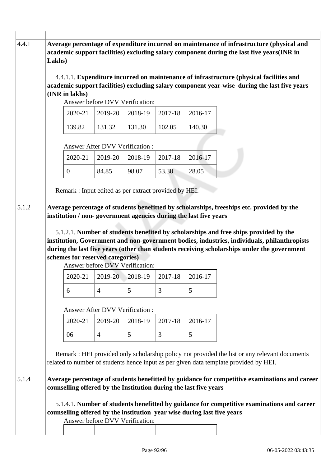| 4.4.1 | Lakhs) |                |                                                                                                                                              |                     |         |                | Average percentage of expenditure incurred on maintenance of infrastructure (physical and<br>academic support facilities) excluding salary component during the last five years(INR in                                                                                                  |
|-------|--------|----------------|----------------------------------------------------------------------------------------------------------------------------------------------|---------------------|---------|----------------|-----------------------------------------------------------------------------------------------------------------------------------------------------------------------------------------------------------------------------------------------------------------------------------------|
|       |        | (INR in lakhs) |                                                                                                                                              |                     |         |                | 4.4.1.1. Expenditure incurred on maintenance of infrastructure (physical facilities and<br>academic support facilities) excluding salary component year-wise during the last five years                                                                                                 |
|       |        |                | Answer before DVV Verification:                                                                                                              |                     |         |                |                                                                                                                                                                                                                                                                                         |
|       |        | 2020-21        | 2019-20                                                                                                                                      | 2018-19             | 2017-18 | 2016-17        |                                                                                                                                                                                                                                                                                         |
|       |        | 139.82         | 131.32                                                                                                                                       | 131.30              | 102.05  | 140.30         |                                                                                                                                                                                                                                                                                         |
|       |        |                | <b>Answer After DVV Verification:</b>                                                                                                        |                     |         |                |                                                                                                                                                                                                                                                                                         |
|       |        | 2020-21        | 2019-20                                                                                                                                      | 2018-19             | 2017-18 | 2016-17        |                                                                                                                                                                                                                                                                                         |
|       |        | $\overline{0}$ | 84.85                                                                                                                                        | 98.07               | 53.38   | 28.05          |                                                                                                                                                                                                                                                                                         |
|       |        |                |                                                                                                                                              |                     |         |                |                                                                                                                                                                                                                                                                                         |
|       |        |                | Remark : Input edited as per extract provided by HEI.                                                                                        |                     |         |                |                                                                                                                                                                                                                                                                                         |
|       |        |                |                                                                                                                                              |                     |         |                |                                                                                                                                                                                                                                                                                         |
|       |        |                | schemes for reserved categories)<br>Answer before DVV Verification:                                                                          |                     |         |                | 5.1.2.1. Number of students benefited by scholarships and free ships provided by the<br>institution, Government and non-government bodies, industries, individuals, philanthropists<br>during the last five years (other than students receiving scholarships under the government      |
|       |        | 2020-21        |                                                                                                                                              | $2019-20$   2018-19 | 2017-18 | 2016-17        |                                                                                                                                                                                                                                                                                         |
|       |        | 6              | $\overline{4}$                                                                                                                               | 5                   | 3       | $\mathfrak{S}$ |                                                                                                                                                                                                                                                                                         |
|       |        |                | Answer After DVV Verification :                                                                                                              |                     |         |                |                                                                                                                                                                                                                                                                                         |
|       |        | 2020-21        | 2019-20                                                                                                                                      | 2018-19             | 2017-18 | 2016-17        |                                                                                                                                                                                                                                                                                         |
|       |        | 06             | $\overline{4}$                                                                                                                               | 5                   | 3       | 5              |                                                                                                                                                                                                                                                                                         |
| 5.1.4 |        |                |                                                                                                                                              |                     |         |                | Remark : HEI provided only scholarship policy not provided the list or any relevant documents<br>related to number of students hence input as per given data template provided by HEI.<br>Average percentage of students benefitted by guidance for competitive examinations and career |
|       |        |                | counselling offered by the Institution during the last five years<br>counselling offered by the institution year wise during last five years |                     |         |                | 5.1.4.1. Number of students benefitted by guidance for competitive examinations and career                                                                                                                                                                                              |
|       |        |                | Answer before DVV Verification:                                                                                                              |                     |         |                |                                                                                                                                                                                                                                                                                         |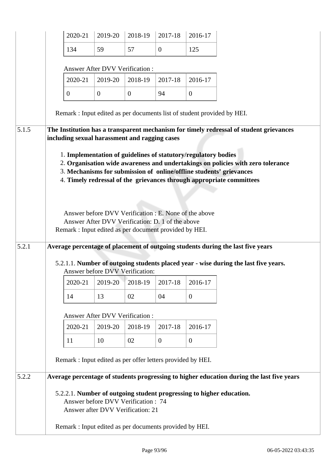|       | 2020-21                                                                                                                  | 2019-20                                                                                                   | 2018-19  | 2017-18        | 2016-17        |                                                                                                                                                                                                                                                                                                                   |
|-------|--------------------------------------------------------------------------------------------------------------------------|-----------------------------------------------------------------------------------------------------------|----------|----------------|----------------|-------------------------------------------------------------------------------------------------------------------------------------------------------------------------------------------------------------------------------------------------------------------------------------------------------------------|
|       | 134                                                                                                                      | 59                                                                                                        | 57       | $\overline{0}$ | 125            |                                                                                                                                                                                                                                                                                                                   |
|       |                                                                                                                          | <b>Answer After DVV Verification:</b>                                                                     |          |                |                |                                                                                                                                                                                                                                                                                                                   |
|       | 2020-21                                                                                                                  | 2019-20                                                                                                   | 2018-19  | 2017-18        | 2016-17        |                                                                                                                                                                                                                                                                                                                   |
|       | $\overline{0}$                                                                                                           | $\overline{0}$                                                                                            | $\theta$ | 94             | $\overline{0}$ |                                                                                                                                                                                                                                                                                                                   |
|       |                                                                                                                          |                                                                                                           |          |                |                | Remark : Input edited as per documents list of student provided by HEI.                                                                                                                                                                                                                                           |
| 5.1.5 | including sexual harassment and ragging cases                                                                            |                                                                                                           |          |                |                | The Institution has a transparent mechanism for timely redressal of student grievances                                                                                                                                                                                                                            |
| 5.2.1 | 1. Implementation of guidelines of statutory/regulatory bodies<br>Remark : Input edited as per document provided by HEI. | Answer before DVV Verification : E. None of the above<br>Answer After DVV Verification: D. 1 of the above |          |                |                | 2. Organisation wide awareness and undertakings on policies with zero tolerance<br>3. Mechanisms for submission of online/offline students' grievances<br>4. Timely redressal of the grievances through appropriate committees<br>Average percentage of placement of outgoing students during the last five years |
|       |                                                                                                                          | Answer before DVV Verification:                                                                           |          |                |                | 5.2.1.1. Number of outgoing students placed year - wise during the last five years.                                                                                                                                                                                                                               |
|       | 2020-21                                                                                                                  | 2019-20                                                                                                   | 2018-19  | 2017-18        | 2016-17        |                                                                                                                                                                                                                                                                                                                   |
|       | 14                                                                                                                       | 13                                                                                                        | 02       | 04             | $\mathbf{0}$   |                                                                                                                                                                                                                                                                                                                   |
|       |                                                                                                                          | Answer After DVV Verification :                                                                           |          |                |                |                                                                                                                                                                                                                                                                                                                   |
|       | 2020-21                                                                                                                  | 2019-20                                                                                                   | 2018-19  | 2017-18        | 2016-17        |                                                                                                                                                                                                                                                                                                                   |
|       | 11                                                                                                                       | 10                                                                                                        | 02       | $\overline{0}$ | $\theta$       |                                                                                                                                                                                                                                                                                                                   |
|       | Remark : Input edited as per offer letters provided by HEI.                                                              |                                                                                                           |          |                |                |                                                                                                                                                                                                                                                                                                                   |
| 5.2.2 |                                                                                                                          |                                                                                                           |          |                |                | Average percentage of students progressing to higher education during the last five years                                                                                                                                                                                                                         |
|       |                                                                                                                          | Answer before DVV Verification: 74<br>Answer after DVV Verification: 21                                   |          |                |                | 5.2.2.1. Number of outgoing student progressing to higher education.                                                                                                                                                                                                                                              |
|       | Remark : Input edited as per documents provided by HEI.                                                                  |                                                                                                           |          |                |                |                                                                                                                                                                                                                                                                                                                   |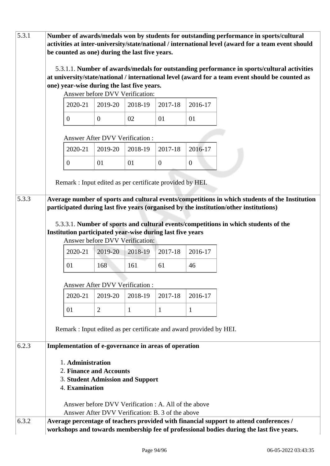| 5.3.1 |                |                   |                                       | be counted as one) during the last five years.                                |                                                                                                          |                                                                    | Number of awards/medals won by students for outstanding performance in sports/cultural<br>activities at inter-university/state/national / international level (award for a team event should  |
|-------|----------------|-------------------|---------------------------------------|-------------------------------------------------------------------------------|----------------------------------------------------------------------------------------------------------|--------------------------------------------------------------------|-----------------------------------------------------------------------------------------------------------------------------------------------------------------------------------------------|
|       |                |                   |                                       | one) year-wise during the last five years.<br>Answer before DVV Verification: |                                                                                                          |                                                                    | 5.3.1.1. Number of awards/medals for outstanding performance in sports/cultural activities<br>at university/state/national / international level (award for a team event should be counted as |
|       |                | 2020-21           | 2019-20                               | 2018-19                                                                       | 2017-18                                                                                                  | 2016-17                                                            |                                                                                                                                                                                               |
|       | $\overline{0}$ |                   | $\mathbf{0}$                          | 02                                                                            | 01                                                                                                       | 01                                                                 |                                                                                                                                                                                               |
|       |                |                   | Answer After DVV Verification :       |                                                                               |                                                                                                          |                                                                    |                                                                                                                                                                                               |
|       |                | 2020-21           | 2019-20                               | 2018-19                                                                       | 2017-18                                                                                                  | 2016-17                                                            |                                                                                                                                                                                               |
|       | $\overline{0}$ |                   | 01                                    | 01                                                                            | $\mathbf{0}$                                                                                             | $\mathbf{0}$                                                       |                                                                                                                                                                                               |
|       |                |                   |                                       |                                                                               | Remark: Input edited as per certificate provided by HEI.                                                 |                                                                    |                                                                                                                                                                                               |
| 5.3.3 |                |                   |                                       |                                                                               |                                                                                                          |                                                                    | Average number of sports and cultural events/competitions in which students of the Institution<br>participated during last five years (organised by the institution/other institutions)       |
|       |                |                   |                                       |                                                                               |                                                                                                          |                                                                    |                                                                                                                                                                                               |
|       |                |                   |                                       |                                                                               | Institution participated year-wise during last five years                                                |                                                                    | 5.3.3.1. Number of sports and cultural events/competitions in which students of the                                                                                                           |
|       |                |                   |                                       | Answer before DVV Verification:                                               |                                                                                                          |                                                                    |                                                                                                                                                                                               |
|       |                | 2020-21           | 2019-20                               | 2018-19                                                                       | 2017-18                                                                                                  | 2016-17                                                            |                                                                                                                                                                                               |
|       | 01             |                   | 168                                   | 161                                                                           | 61                                                                                                       | 46                                                                 |                                                                                                                                                                                               |
|       |                |                   | <b>Answer After DVV Verification:</b> |                                                                               |                                                                                                          |                                                                    |                                                                                                                                                                                               |
|       |                | 2020-21           | 2019-20                               | 2018-19                                                                       | 2017-18                                                                                                  | 2016-17                                                            |                                                                                                                                                                                               |
|       | 01             |                   | $\overline{2}$                        | $\mathbf{1}$                                                                  | 1                                                                                                        | 1                                                                  |                                                                                                                                                                                               |
|       |                |                   |                                       |                                                                               |                                                                                                          | Remark: Input edited as per certificate and award provided by HEI. |                                                                                                                                                                                               |
| 6.2.3 |                |                   |                                       |                                                                               | Implementation of e-governance in areas of operation                                                     |                                                                    |                                                                                                                                                                                               |
|       |                | 1. Administration | 2. Finance and Accounts               |                                                                               |                                                                                                          |                                                                    |                                                                                                                                                                                               |
|       |                | 4. Examination    |                                       | 3. Student Admission and Support                                              |                                                                                                          |                                                                    |                                                                                                                                                                                               |
|       |                |                   |                                       |                                                                               | Answer before DVV Verification : A. All of the above<br>Answer After DVV Verification: B. 3 of the above |                                                                    |                                                                                                                                                                                               |
| 6.3.2 |                |                   |                                       |                                                                               |                                                                                                          |                                                                    | Average percentage of teachers provided with financial support to attend conferences /<br>workshops and towards membership fee of professional bodies during the last five years.             |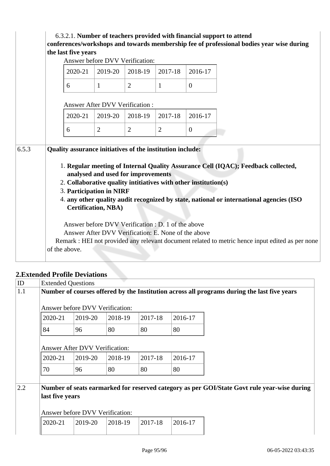| 2020-21<br>6                                                                                | 2019-20                                                                                                   | 2018-19        |                |                |  |                                                                                                                                                                              |
|---------------------------------------------------------------------------------------------|-----------------------------------------------------------------------------------------------------------|----------------|----------------|----------------|--|------------------------------------------------------------------------------------------------------------------------------------------------------------------------------|
|                                                                                             |                                                                                                           |                | 2017-18        | 2016-17        |  |                                                                                                                                                                              |
|                                                                                             | $\mathbf{1}$                                                                                              | $\overline{2}$ | $\mathbf{1}$   | $\overline{0}$ |  |                                                                                                                                                                              |
|                                                                                             | <b>Answer After DVV Verification:</b>                                                                     |                |                |                |  |                                                                                                                                                                              |
| 2020-21                                                                                     | 2019-20                                                                                                   | 2018-19        | 2017-18        | 2016-17        |  |                                                                                                                                                                              |
| 6                                                                                           | $\overline{2}$                                                                                            | $\overline{2}$ | $\overline{2}$ | $\overline{0}$ |  |                                                                                                                                                                              |
| 2. Collaborative quality intitiatives with other institution(s)<br>3. Participation in NIRF | analysed and used for improvements                                                                        |                |                |                |  | 1. Regular meeting of Internal Quality Assurance Cell (IQAC); Feedback collected,<br>4. any other quality audit recognized by state, national or international agencies (ISO |
|                                                                                             | <b>Certification, NBA)</b>                                                                                |                |                |                |  |                                                                                                                                                                              |
|                                                                                             | Answer before DVV Verification : D. 1 of the above<br>Answer After DVV Verification: E. None of the above |                |                |                |  |                                                                                                                                                                              |

### **2.Extended Profile Deviations**

| ID  | <b>Extended Questions</b> |                                       |         |         |         |                                                                                             |  |
|-----|---------------------------|---------------------------------------|---------|---------|---------|---------------------------------------------------------------------------------------------|--|
| 1.1 |                           |                                       |         |         |         | Number of courses offered by the Institution across all programs during the last five years |  |
|     |                           | Answer before DVV Verification:       |         |         |         |                                                                                             |  |
|     | 2020-21                   | 2019-20                               | 2018-19 | 2017-18 | 2016-17 |                                                                                             |  |
|     | 84                        | 96                                    | 80      | 80      | 80      |                                                                                             |  |
|     |                           | <b>Answer After DVV Verification:</b> |         |         |         |                                                                                             |  |
|     | 2020-21                   | 2019-20                               | 2018-19 | 2017-18 | 2016-17 |                                                                                             |  |
|     | 70                        | 96                                    | 80      | 80      | 80      |                                                                                             |  |
| 2.2 | last five years           | Answer before DVV Verification:       |         |         |         | Number of seats earmarked for reserved category as per GOI/State Govt rule year-wise during |  |
|     | 2020-21                   | 2019-20                               | 2018-19 | 2017-18 | 2016-17 |                                                                                             |  |